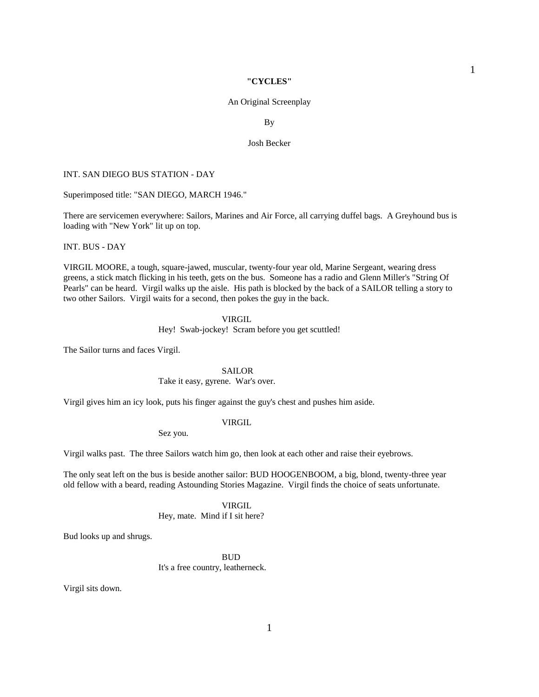### **"CYCLES"**

## An Original Screenplay

By

### Josh Becker

### INT. SAN DIEGO BUS STATION - DAY

Superimposed title: "SAN DIEGO, MARCH 1946."

There are servicemen everywhere: Sailors, Marines and Air Force, all carrying duffel bags. A Greyhound bus is loading with "New York" lit up on top.

INT. BUS - DAY

VIRGIL MOORE, a tough, square-jawed, muscular, twenty-four year old, Marine Sergeant, wearing dress greens, a stick match flicking in his teeth, gets on the bus. Someone has a radio and Glenn Miller's "String Of Pearls" can be heard. Virgil walks up the aisle. His path is blocked by the back of a SAILOR telling a story to two other Sailors. Virgil waits for a second, then pokes the guy in the back.

## VIRGIL

Hey! Swab-jockey! Scram before you get scuttled!

The Sailor turns and faces Virgil.

#### SAILOR

Take it easy, gyrene. War's over.

Virgil gives him an icy look, puts his finger against the guy's chest and pushes him aside.

### VIRGIL

Sez you.

Virgil walks past. The three Sailors watch him go, then look at each other and raise their eyebrows.

The only seat left on the bus is beside another sailor: BUD HOOGENBOOM, a big, blond, twenty-three year old fellow with a beard, reading Astounding Stories Magazine. Virgil finds the choice of seats unfortunate.

VIRGIL

Hey, mate. Mind if I sit here?

Bud looks up and shrugs.

**BUD** It's a free country, leatherneck.

Virgil sits down.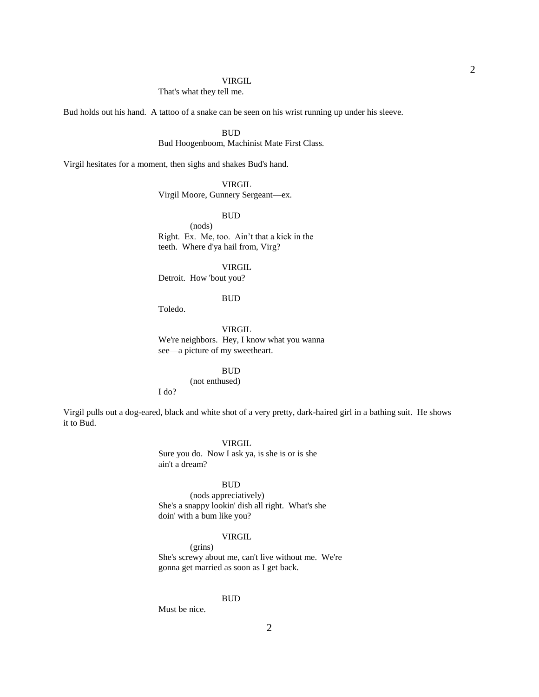## That's what they tell me.

Bud holds out his hand. A tattoo of a snake can be seen on his wrist running up under his sleeve.

### BUD

Bud Hoogenboom, Machinist Mate First Class.

Virgil hesitates for a moment, then sighs and shakes Bud's hand.

## VIRGIL

Virgil Moore, Gunnery Sergeant—ex.

### BUD

 (nods) Right. Ex. Me, too. Ain't that a kick in the teeth. Where d'ya hail from, Virg?

 VIRGIL Detroit. How 'bout you?

### BUD

Toledo.

 VIRGIL We're neighbors. Hey, I know what you wanna see—a picture of my sweetheart.

### **BUD**

(not enthused)

I do?

Virgil pulls out a dog-eared, black and white shot of a very pretty, dark-haired girl in a bathing suit. He shows it to Bud.

### VIRGIL

 Sure you do. Now I ask ya, is she is or is she ain't a dream?

## BUD

 (nods appreciatively) She's a snappy lookin' dish all right. What's she doin' with a bum like you?

## VIRGIL

 (grins) She's screwy about me, can't live without me. We're gonna get married as soon as I get back.

### **BUD**

Must be nice.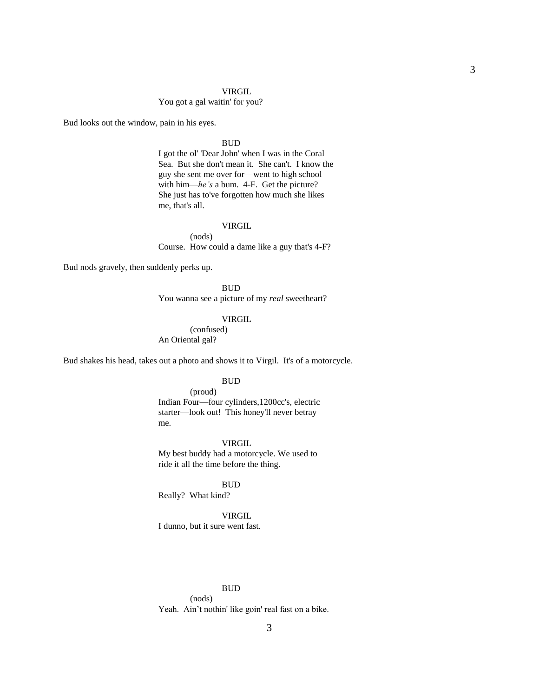### You got a gal waitin' for you?

Bud looks out the window, pain in his eyes.

### **BUD**

 I got the ol' 'Dear John' when I was in the Coral Sea. But she don't mean it. She can't. I know the guy she sent me over for—went to high school with him—*he's* a bum. 4-F. Get the picture? She just has to've forgotten how much she likes me, that's all.

## VIRGIL

 (nods) Course. How could a dame like a guy that's 4-F?

Bud nods gravely, then suddenly perks up.

### **BUD**

You wanna see a picture of my *real* sweetheart?

## VIRGIL

 (confused) An Oriental gal?

Bud shakes his head, takes out a photo and shows it to Virgil. It's of a motorcycle.

### **BUD**

 (proud) Indian Four—four cylinders,1200cc's, electric starter—look out! This honey'll never betray me.

### VIRGIL

 My best buddy had a motorcycle. We used to ride it all the time before the thing.

### BUD

Really? What kind?

### VIRGIL

I dunno, but it sure went fast.

### BUD

 (nods) Yeah. Ain't nothin' like goin' real fast on a bike.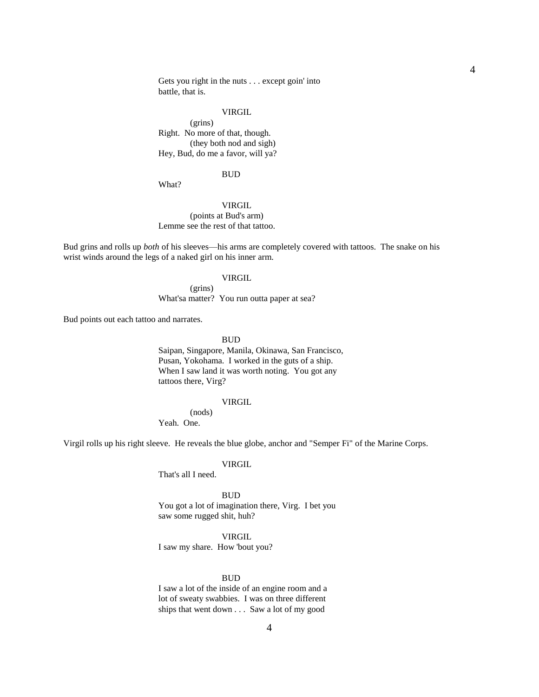Gets you right in the nuts . . . except goin' into battle, that is.

## **VIRGIL**

 (grins) Right. No more of that, though. (they both nod and sigh) Hey, Bud, do me a favor, will ya?

## BUD

What?

## VIRGIL (points at Bud's arm) Lemme see the rest of that tattoo.

Bud grins and rolls up *both* of his sleeves—his arms are completely covered with tattoos. The snake on his wrist winds around the legs of a naked girl on his inner arm.

## **VIRGIL**

 (grins) What'sa matter? You run outta paper at sea?

Bud points out each tattoo and narrates.

### **BUD**

 Saipan, Singapore, Manila, Okinawa, San Francisco, Pusan, Yokohama. I worked in the guts of a ship. When I saw land it was worth noting. You got any tattoos there, Virg?

### VIRGIL

(nods)

Yeah. One.

Virgil rolls up his right sleeve. He reveals the blue globe, anchor and "Semper Fi" of the Marine Corps.

### VIRGIL

That's all I need.

 BUD You got a lot of imagination there, Virg. I bet you saw some rugged shit, huh?

### VIRGIL

I saw my share. How 'bout you?

### **BUD**

 I saw a lot of the inside of an engine room and a lot of sweaty swabbies. I was on three different ships that went down . . . Saw a lot of my good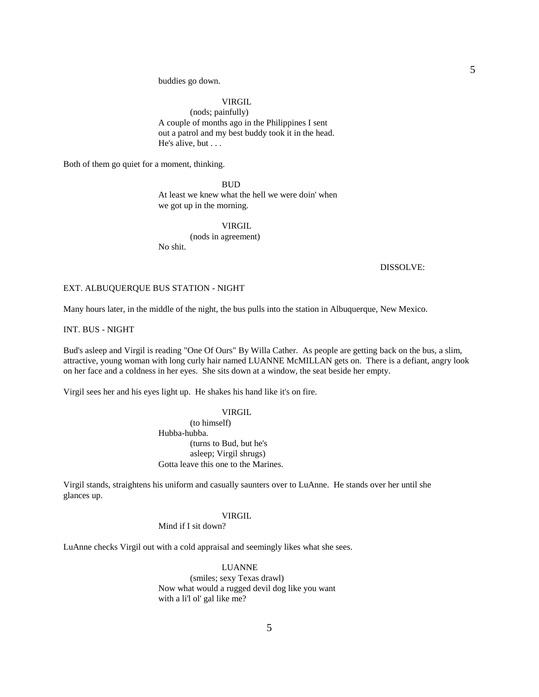buddies go down.

## VIRGIL

 (nods; painfully) A couple of months ago in the Philippines I sent out a patrol and my best buddy took it in the head. He's alive, but . . .

Both of them go quiet for a moment, thinking.

## **BUD**

 At least we knew what the hell we were doin' when we got up in the morning.

### VIRGIL

 (nods in agreement) No shit.

DISSOLVE:

## EXT. ALBUQUERQUE BUS STATION - NIGHT

Many hours later, in the middle of the night, the bus pulls into the station in Albuquerque, New Mexico.

INT. BUS - NIGHT

Bud's asleep and Virgil is reading "One Of Ours" By Willa Cather. As people are getting back on the bus, a slim, attractive, young woman with long curly hair named LUANNE McMILLAN gets on. There is a defiant, angry look on her face and a coldness in her eyes. She sits down at a window, the seat beside her empty.

Virgil sees her and his eyes light up. He shakes his hand like it's on fire.

 VIRGIL (to himself) Hubba-hubba. (turns to Bud, but he's asleep; Virgil shrugs) Gotta leave this one to the Marines.

Virgil stands, straightens his uniform and casually saunters over to LuAnne. He stands over her until she glances up.

## VIRGIL

Mind if I sit down?

LuAnne checks Virgil out with a cold appraisal and seemingly likes what she sees.

 LUANNE (smiles; sexy Texas drawl) Now what would a rugged devil dog like you want with a li'l ol' gal like me?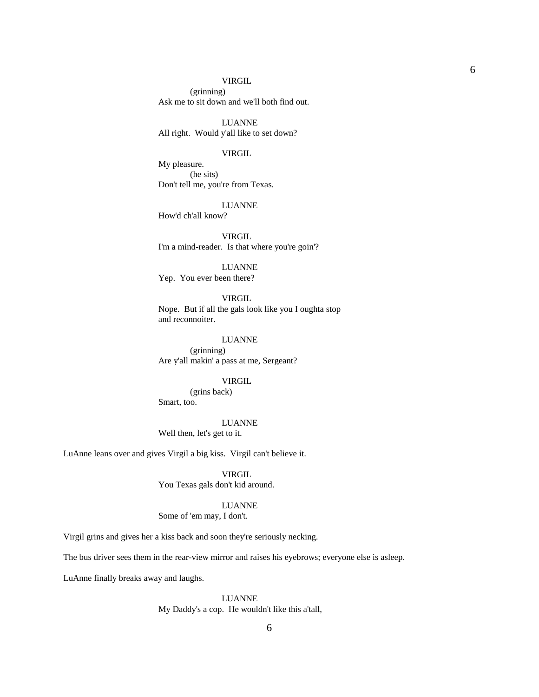(grinning) Ask me to sit down and we'll both find out.

 LUANNE All right. Would y'all like to set down?

### VIRGIL

 My pleasure. (he sits) Don't tell me, you're from Texas.

LUANNE

How'd ch'all know?

 VIRGIL I'm a mind-reader. Is that where you're goin'?

### LUANNE

Yep. You ever been there?

## VIRGIL

 Nope. But if all the gals look like you I oughta stop and reconnoiter.

# LUANNE

 (grinning) Are y'all makin' a pass at me, Sergeant?

## VIRGIL

 (grins back) Smart, too.

## LUANNE

Well then, let's get to it.

LuAnne leans over and gives Virgil a big kiss. Virgil can't believe it.

## VIRGIL

You Texas gals don't kid around.

### LUANNE

Some of 'em may, I don't.

Virgil grins and gives her a kiss back and soon they're seriously necking.

The bus driver sees them in the rear-view mirror and raises his eyebrows; everyone else is asleep.

LuAnne finally breaks away and laughs.

## LUANNE My Daddy's a cop. He wouldn't like this a'tall,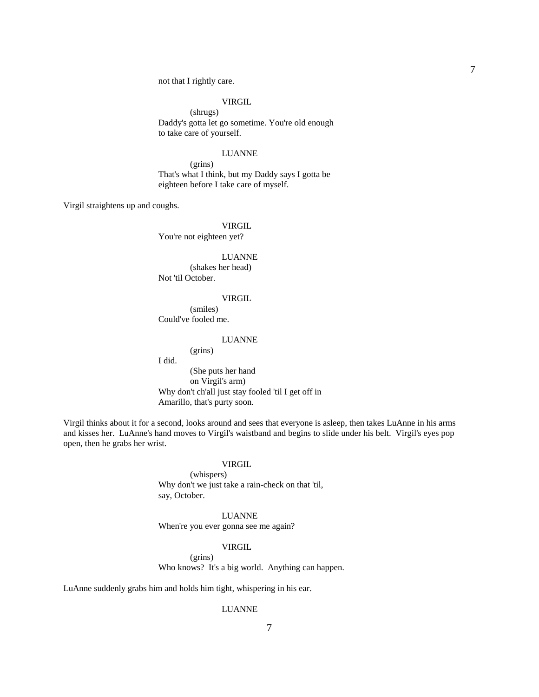not that I rightly care.

## VIRGIL

 (shrugs) Daddy's gotta let go sometime. You're old enough to take care of yourself.

#### LUANNE

 (grins) That's what I think, but my Daddy says I gotta be eighteen before I take care of myself.

Virgil straightens up and coughs.

VIRGIL

You're not eighteen yet?

### LUANNE

 (shakes her head) Not 'til October.

#### VIRGIL

 (smiles) Could've fooled me.

### LUANNE

(grins)

 I did. (She puts her hand on Virgil's arm) Why don't ch'all just stay fooled 'til I get off in Amarillo, that's purty soon.

Virgil thinks about it for a second, looks around and sees that everyone is asleep, then takes LuAnne in his arms and kisses her. LuAnne's hand moves to Virgil's waistband and begins to slide under his belt. Virgil's eyes pop open, then he grabs her wrist.

## VIRGIL

 (whispers) Why don't we just take a rain-check on that 'til, say, October.

### LUANNE

When're you ever gonna see me again?

## VIRGIL

 (grins) Who knows? It's a big world. Anything can happen.

LuAnne suddenly grabs him and holds him tight, whispering in his ear.

### LUANNE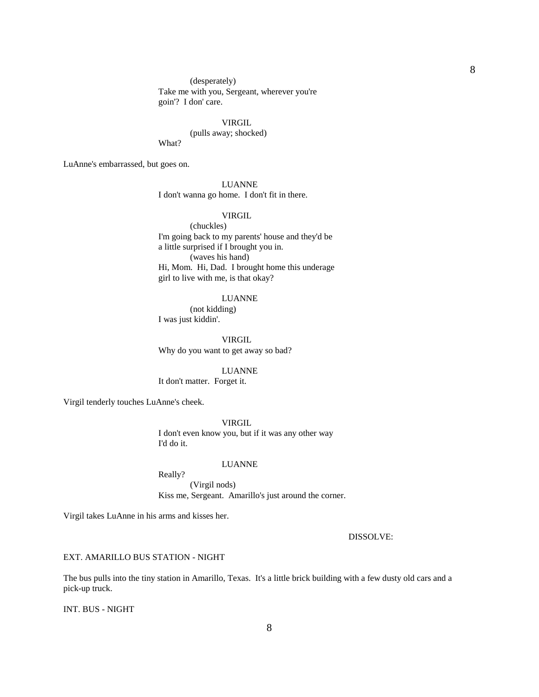(desperately) Take me with you, Sergeant, wherever you're goin'? I don' care.

 VIRGIL (pulls away; shocked) What?

LuAnne's embarrassed, but goes on.

## LUANNE

I don't wanna go home. I don't fit in there.

## VIRGIL

 (chuckles) I'm going back to my parents' house and they'd be a little surprised if I brought you in. (waves his hand) Hi, Mom. Hi, Dad. I brought home this underage girl to live with me, is that okay?

### LUANNE

 (not kidding) I was just kiddin'.

**VIRGIL** Why do you want to get away so bad?

LUANNE

It don't matter. Forget it.

Virgil tenderly touches LuAnne's cheek.

 VIRGIL I don't even know you, but if it was any other way I'd do it.

## LUANNE

Really?

 (Virgil nods) Kiss me, Sergeant. Amarillo's just around the corner.

Virgil takes LuAnne in his arms and kisses her.

DISSOLVE:

## EXT. AMARILLO BUS STATION - NIGHT

The bus pulls into the tiny station in Amarillo, Texas. It's a little brick building with a few dusty old cars and a pick-up truck.

INT. BUS - NIGHT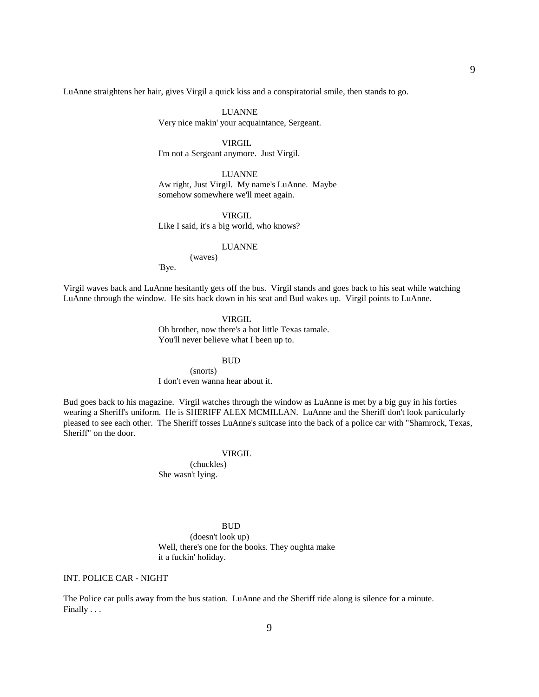LuAnne straightens her hair, gives Virgil a quick kiss and a conspiratorial smile, then stands to go.

## LUANNE

Very nice makin' your acquaintance, Sergeant.

### VIRGIL

I'm not a Sergeant anymore. Just Virgil.

 LUANNE Aw right, Just Virgil. My name's LuAnne. Maybe somehow somewhere we'll meet again.

### VIRGIL

Like I said, it's a big world, who knows?

## LUANNE

(waves)

'Bye.

Virgil waves back and LuAnne hesitantly gets off the bus. Virgil stands and goes back to his seat while watching LuAnne through the window. He sits back down in his seat and Bud wakes up. Virgil points to LuAnne.

### VIRGIL

 Oh brother, now there's a hot little Texas tamale. You'll never believe what I been up to.

### BUD

 (snorts) I don't even wanna hear about it.

Bud goes back to his magazine. Virgil watches through the window as LuAnne is met by a big guy in his forties wearing a Sheriff's uniform. He is SHERIFF ALEX MCMILLAN. LuAnne and the Sheriff don't look particularly pleased to see each other. The Sheriff tosses LuAnne's suitcase into the back of a police car with "Shamrock, Texas, Sheriff" on the door.

#### VIRGIL

 (chuckles) She wasn't lying.

### BUD

 (doesn't look up) Well, there's one for the books. They oughta make it a fuckin' holiday.

### INT. POLICE CAR - NIGHT

The Police car pulls away from the bus station. LuAnne and the Sheriff ride along is silence for a minute. Finally . . .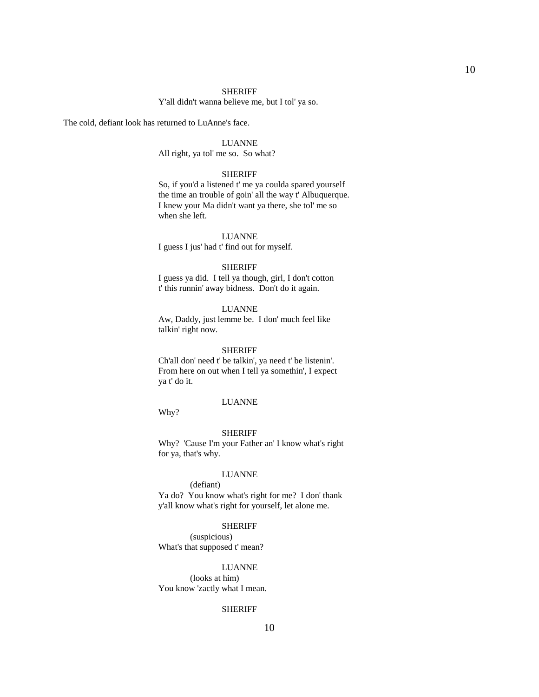### SHERIFF

Y'all didn't wanna believe me, but I tol' ya so.

The cold, defiant look has returned to LuAnne's face.

### LUANNE

All right, ya tol' me so. So what?

### SHERIFF

 So, if you'd a listened t' me ya coulda spared yourself the time an trouble of goin' all the way t' Albuquerque. I knew your Ma didn't want ya there, she tol' me so when she left.

 LUANNE I guess I jus' had t' find out for myself.

### SHERIFF

 I guess ya did. I tell ya though, girl, I don't cotton t' this runnin' away bidness. Don't do it again.

## LUANNE

 Aw, Daddy, just lemme be. I don' much feel like talkin' right now.

#### SHERIFF

 Ch'all don' need t' be talkin', ya need t' be listenin'. From here on out when I tell ya somethin', I expect ya t' do it.

### LUANNE

Why?

#### SHERIFF

 Why? 'Cause I'm your Father an' I know what's right for ya, that's why.

### LUANNE

## (defiant) Ya do? You know what's right for me? I don' thank

y'all know what's right for yourself, let alone me.

### SHERIFF

 (suspicious) What's that supposed t' mean?

## LUANNE

 (looks at him) You know 'zactly what I mean.

### SHERIFF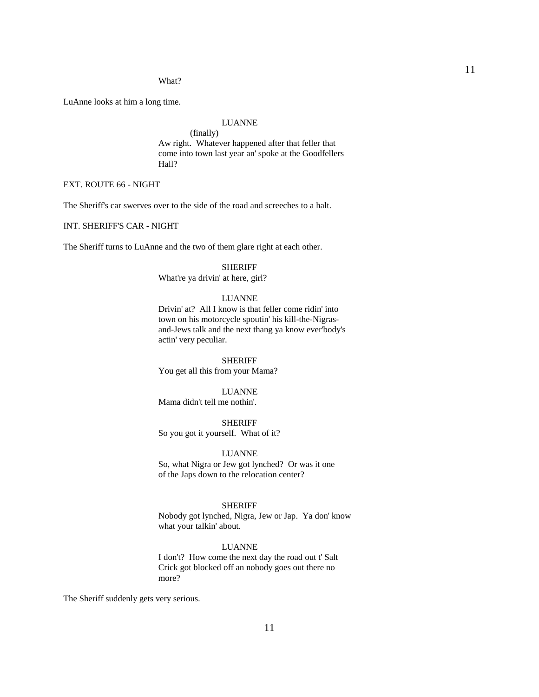#### What?

LuAnne looks at him a long time.

### LUANNE

 (finally) Aw right. Whatever happened after that feller that come into town last year an' spoke at the Goodfellers Hall?

## EXT. ROUTE 66 - NIGHT

The Sheriff's car swerves over to the side of the road and screeches to a halt.

INT. SHERIFF'S CAR - NIGHT

The Sheriff turns to LuAnne and the two of them glare right at each other.

### SHERIFF

What're ya drivin' at here, girl?

## LUANNE

 Drivin' at? All I know is that feller come ridin' into town on his motorcycle spoutin' his kill-the-Nigrasand-Jews talk and the next thang ya know ever'body's actin' very peculiar.

 SHERIFF You get all this from your Mama?

 LUANNE Mama didn't tell me nothin'.

 SHERIFF So you got it yourself. What of it?

 LUANNE So, what Nigra or Jew got lynched? Or was it one of the Japs down to the relocation center?

## SHERIFF

 Nobody got lynched, Nigra, Jew or Jap. Ya don' know what your talkin' about.

## LUANNE

 I don't? How come the next day the road out t' Salt Crick got blocked off an nobody goes out there no more?

The Sheriff suddenly gets very serious.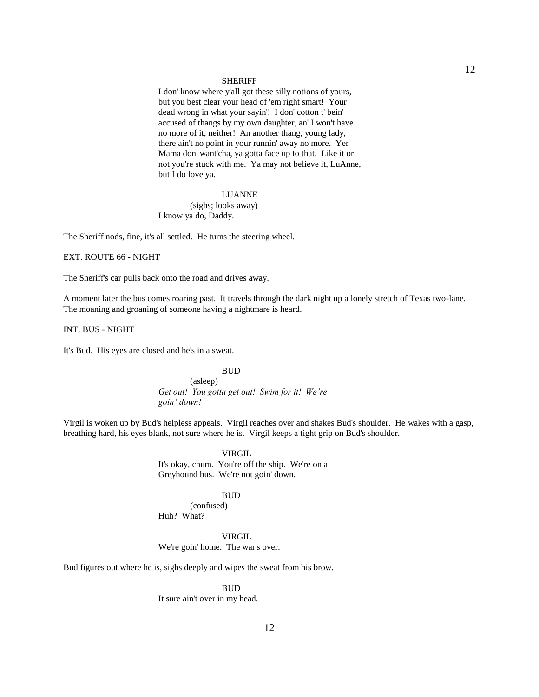#### SHERIFF

 I don' know where y'all got these silly notions of yours, but you best clear your head of 'em right smart! Your dead wrong in what your sayin'! I don' cotton t' bein' accused of thangs by my own daughter, an' I won't have no more of it, neither! An another thang, young lady, there ain't no point in your runnin' away no more. Yer Mama don' want'cha, ya gotta face up to that. Like it or not you're stuck with me. Ya may not believe it, LuAnne, but I do love ya.

## LUANNE

 (sighs; looks away) I know ya do, Daddy.

The Sheriff nods, fine, it's all settled. He turns the steering wheel.

## EXT. ROUTE 66 - NIGHT

The Sheriff's car pulls back onto the road and drives away.

A moment later the bus comes roaring past. It travels through the dark night up a lonely stretch of Texas two-lane. The moaning and groaning of someone having a nightmare is heard.

INT. BUS - NIGHT

It's Bud. His eyes are closed and he's in a sweat.

## BUD

 (asleep) *Get out! You gotta get out! Swim for it! We're goin' down!*

Virgil is woken up by Bud's helpless appeals. Virgil reaches over and shakes Bud's shoulder. He wakes with a gasp, breathing hard, his eyes blank, not sure where he is. Virgil keeps a tight grip on Bud's shoulder.

> VIRGIL It's okay, chum. You're off the ship. We're on a Greyhound bus. We're not goin' down.

### BUD

 (confused) Huh? What?

### VIRGIL

We're goin' home. The war's over.

Bud figures out where he is, sighs deeply and wipes the sweat from his brow.

### BUD

It sure ain't over in my head.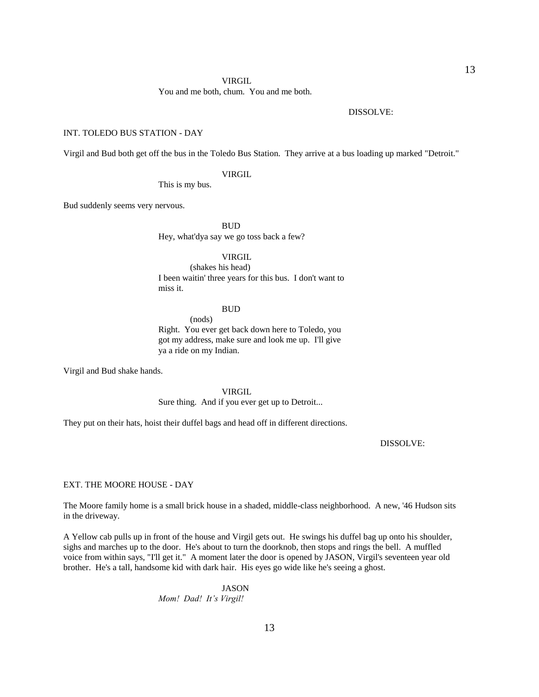You and me both, chum. You and me both.

DISSOLVE:

### INT. TOLEDO BUS STATION - DAY

Virgil and Bud both get off the bus in the Toledo Bus Station. They arrive at a bus loading up marked "Detroit."

VIRGIL

This is my bus.

Bud suddenly seems very nervous.

**BUD** 

Hey, what'dya say we go toss back a few?

## VIRGIL

 (shakes his head) I been waitin' three years for this bus. I don't want to miss it.

### BUD

(nods)

 Right. You ever get back down here to Toledo, you got my address, make sure and look me up. I'll give ya a ride on my Indian.

Virgil and Bud shake hands.

VIRGIL

Sure thing. And if you ever get up to Detroit...

They put on their hats, hoist their duffel bags and head off in different directions.

DISSOLVE:

EXT. THE MOORE HOUSE - DAY

The Moore family home is a small brick house in a shaded, middle-class neighborhood. A new, '46 Hudson sits in the driveway.

A Yellow cab pulls up in front of the house and Virgil gets out. He swings his duffel bag up onto his shoulder, sighs and marches up to the door. He's about to turn the doorknob, then stops and rings the bell. A muffled voice from within says, "I'll get it." A moment later the door is opened by JASON, Virgil's seventeen year old brother. He's a tall, handsome kid with dark hair. His eyes go wide like he's seeing a ghost.

> JASON *Mom! Dad! It's Virgil!*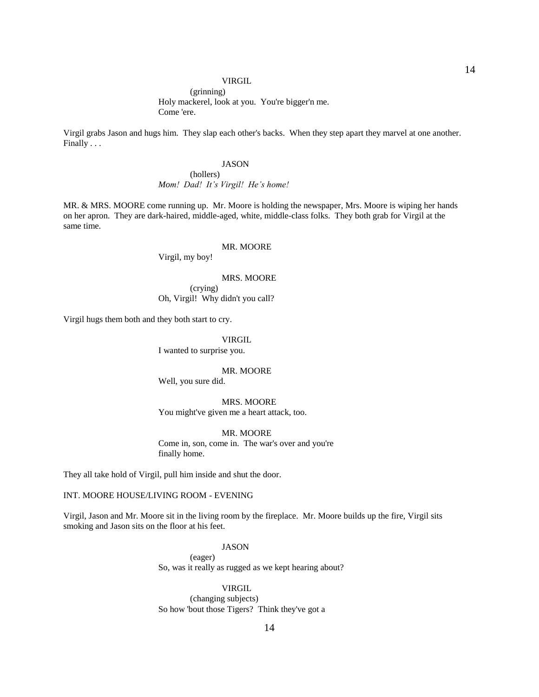(grinning) Holy mackerel, look at you. You're bigger'n me. Come 'ere.

Virgil grabs Jason and hugs him. They slap each other's backs. When they step apart they marvel at one another. Finally . . .

## JASON

 (hollers) *Mom! Dad! It's Virgil! He's home!*

MR. & MRS. MOORE come running up. Mr. Moore is holding the newspaper, Mrs. Moore is wiping her hands on her apron. They are dark-haired, middle-aged, white, middle-class folks. They both grab for Virgil at the same time.

## MR. MOORE

Virgil, my boy!

## MRS. MOORE

 (crying) Oh, Virgil! Why didn't you call?

Virgil hugs them both and they both start to cry.

## **VIRGIL**

I wanted to surprise you.

#### MR. MOORE

Well, you sure did.

 MRS. MOORE You might've given me a heart attack, too.

MR. MOORE

 Come in, son, come in. The war's over and you're finally home.

They all take hold of Virgil, pull him inside and shut the door.

## INT. MOORE HOUSE/LIVING ROOM - EVENING

Virgil, Jason and Mr. Moore sit in the living room by the fireplace. Mr. Moore builds up the fire, Virgil sits smoking and Jason sits on the floor at his feet.

### JASON

(eager)

So, was it really as rugged as we kept hearing about?

### VIRGIL

 (changing subjects) So how 'bout those Tigers? Think they've got a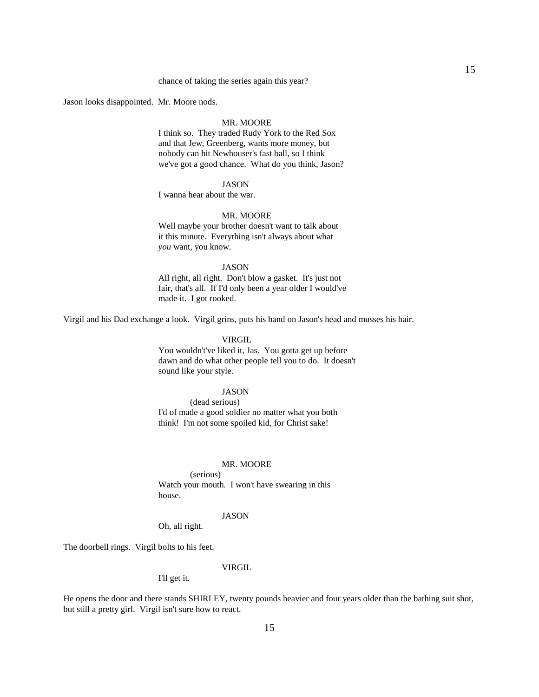### chance of taking the series again this year?

Jason looks disappointed. Mr. Moore nods.

### MR. MOORE

 I think so. They traded Rudy York to the Red Sox and that Jew, Greenberg, wants more money, but nobody can hit Newhouser's fast ball, so I think we've got a good chance. What do you think, Jason?

## JASON

I wanna hear about the war.

### MR. MOORE

 Well maybe your brother doesn't want to talk about it this minute. Everything isn't always about what *you* want, you know.

## JASON

 All right, all right. Don't blow a gasket. It's just not fair, that's all. If I'd only been a year older I would've made it. I got rooked.

Virgil and his Dad exchange a look. Virgil grins, puts his hand on Jason's head and musses his hair.

## VIRGIL

 You wouldn't've liked it, Jas. You gotta get up before dawn and do what other people tell you to do. It doesn't sound like your style.

## JASON

 (dead serious) I'd of made a good soldier no matter what you both think! I'm not some spoiled kid, for Christ sake!

#### MR. MOORE

 (serious) Watch your mouth. I won't have swearing in this house.

### JASON

Oh, all right.

The doorbell rings. Virgil bolts to his feet.

## VIRGIL

I'll get it.

He opens the door and there stands SHIRLEY, twenty pounds heavier and four years older than the bathing suit shot, but still a pretty girl. Virgil isn't sure how to react.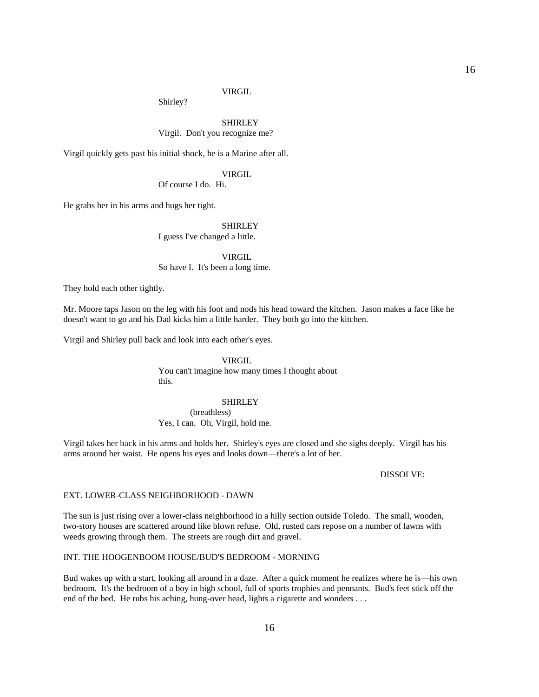Shirley?

## SHIRLEY Virgil. Don't you recognize me?

Virgil quickly gets past his initial shock, he is a Marine after all.

## VIRGIL

Of course I do. Hi.

He grabs her in his arms and hugs her tight.

## **SHIRLEY**

I guess I've changed a little.

VIRGIL

So have I. It's been a long time.

They hold each other tightly.

Mr. Moore taps Jason on the leg with his foot and nods his head toward the kitchen. Jason makes a face like he doesn't want to go and his Dad kicks him a little harder. They both go into the kitchen.

Virgil and Shirley pull back and look into each other's eyes.

 VIRGIL You can't imagine how many times I thought about this.

## SHIRLEY

 (breathless) Yes, I can. Oh, Virgil, hold me.

Virgil takes her back in his arms and holds her. Shirley's eyes are closed and she sighs deeply. Virgil has his arms around her waist. He opens his eyes and looks down—there's a lot of her.

### DISSOLVE:

### EXT. LOWER-CLASS NEIGHBORHOOD - DAWN

The sun is just rising over a lower-class neighborhood in a hilly section outside Toledo. The small, wooden, two-story houses are scattered around like blown refuse. Old, rusted cars repose on a number of lawns with weeds growing through them. The streets are rough dirt and gravel.

### INT. THE HOOGENBOOM HOUSE/BUD'S BEDROOM - MORNING

Bud wakes up with a start, looking all around in a daze. After a quick moment he realizes where he is—his own bedroom. It's the bedroom of a boy in high school, full of sports trophies and pennants. Bud's feet stick off the end of the bed. He rubs his aching, hung-over head, lights a cigarette and wonders . . .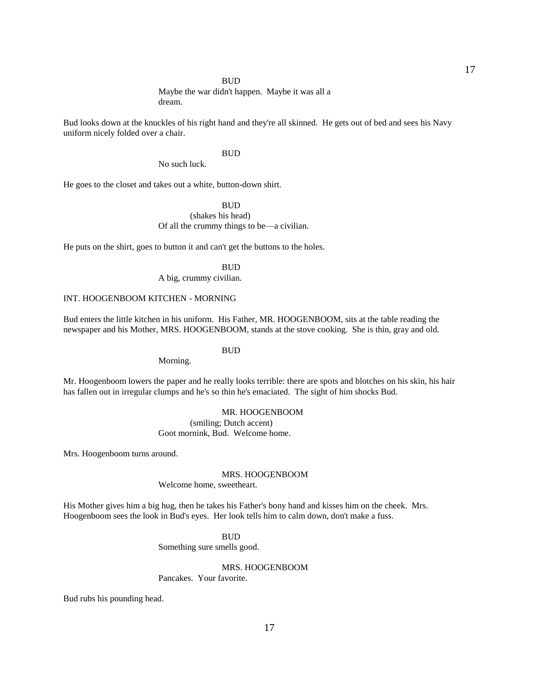Maybe the war didn't happen. Maybe it was all a dream.

Bud looks down at the knuckles of his right hand and they're all skinned. He gets out of bed and sees his Navy uniform nicely folded over a chair.

### **BUD**

No such luck.

He goes to the closet and takes out a white, button-down shirt.

## **BUD**

 (shakes his head) Of all the crummy things to be—a civilian.

He puts on the shirt, goes to button it and can't get the buttons to the holes.

**BUD** A big, crummy civilian.

### INT. HOOGENBOOM KITCHEN - MORNING

Bud enters the little kitchen in his uniform. His Father, MR. HOOGENBOOM, sits at the table reading the newspaper and his Mother, MRS. HOOGENBOOM, stands at the stove cooking. She is thin, gray and old.

## **BUD**

Morning.

Mr. Hoogenboom lowers the paper and he really looks terrible: there are spots and blotches on his skin, his hair has fallen out in irregular clumps and he's so thin he's emaciated. The sight of him shocks Bud.

## MR. HOOGENBOOM

 (smiling; Dutch accent) Goot mornink, Bud. Welcome home.

Mrs. Hoogenboom turns around.

### MRS. HOOGENBOOM

Welcome home, sweetheart.

His Mother gives him a big hug, then he takes his Father's bony hand and kisses him on the cheek. Mrs. Hoogenboom sees the look in Bud's eyes. Her look tells him to calm down, don't make a fuss.

### **BUD**

Something sure smells good.

## MRS. HOOGENBOOM

Pancakes. Your favorite.

Bud rubs his pounding head.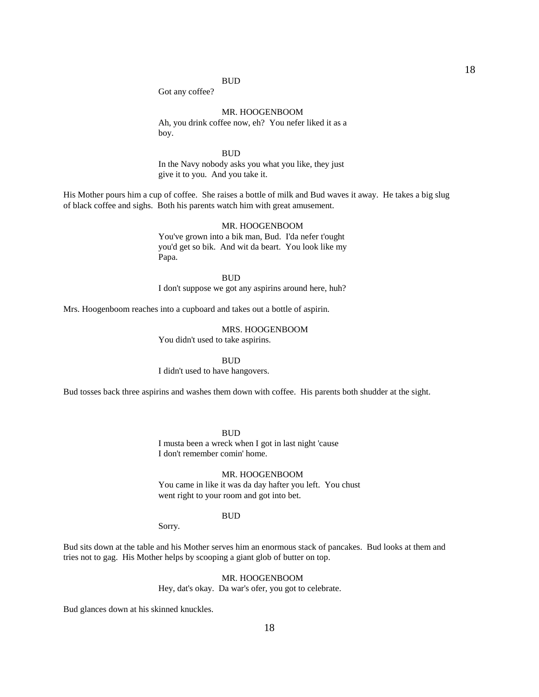Got any coffee?

## MR. HOOGENBOOM

 Ah, you drink coffee now, eh? You nefer liked it as a boy.

**BUD** 

 In the Navy nobody asks you what you like, they just give it to you. And you take it.

His Mother pours him a cup of coffee. She raises a bottle of milk and Bud waves it away. He takes a big slug of black coffee and sighs. Both his parents watch him with great amusement.

### MR. HOOGENBOOM

 You've grown into a bik man, Bud. I'da nefer t'ought you'd get so bik. And wit da beart. You look like my Papa.

 BUD I don't suppose we got any aspirins around here, huh?

Mrs. Hoogenboom reaches into a cupboard and takes out a bottle of aspirin.

 MRS. HOOGENBOOM You didn't used to take aspirins.

 BUD I didn't used to have hangovers.

Bud tosses back three aspirins and washes them down with coffee. His parents both shudder at the sight.

**BUD** 

 I musta been a wreck when I got in last night 'cause I don't remember comin' home.

## MR. HOOGENBOOM

 You came in like it was da day hafter you left. You chust went right to your room and got into bet.

### **BUD**

Sorry.

Bud sits down at the table and his Mother serves him an enormous stack of pancakes. Bud looks at them and tries not to gag. His Mother helps by scooping a giant glob of butter on top.

## MR. HOOGENBOOM

Hey, dat's okay. Da war's ofer, you got to celebrate.

Bud glances down at his skinned knuckles.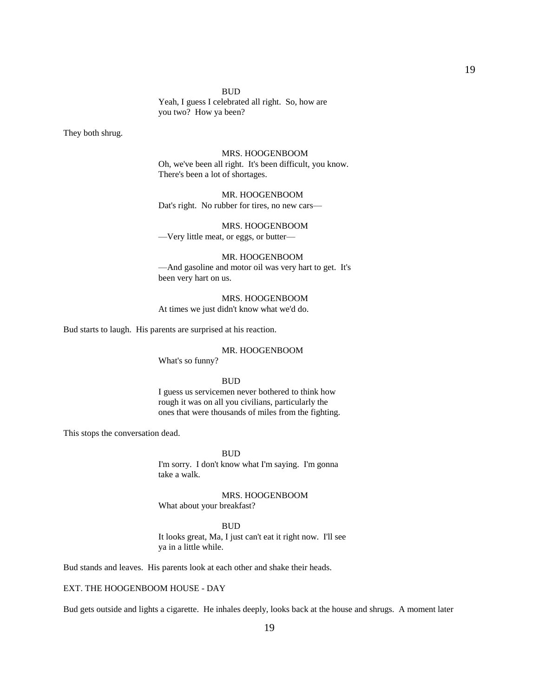Yeah, I guess I celebrated all right. So, how are you two? How ya been?

They both shrug.

### MRS. HOOGENBOOM

 Oh, we've been all right. It's been difficult, you know. There's been a lot of shortages.

## MR. HOOGENBOOM Dat's right. No rubber for tires, no new cars—

### MRS. HOOGENBOOM

—Very little meat, or eggs, or butter—

## MR. HOOGENBOOM

 —And gasoline and motor oil was very hart to get. It's been very hart on us.

 MRS. HOOGENBOOM At times we just didn't know what we'd do.

Bud starts to laugh. His parents are surprised at his reaction.

### MR. HOOGENBOOM

What's so funny?

### **BUD**

 I guess us servicemen never bothered to think how rough it was on all you civilians, particularly the ones that were thousands of miles from the fighting.

This stops the conversation dead.

**BUD** 

 I'm sorry. I don't know what I'm saying. I'm gonna take a walk.

 MRS. HOOGENBOOM What about your breakfast?

 BUD It looks great, Ma, I just can't eat it right now. I'll see ya in a little while.

Bud stands and leaves. His parents look at each other and shake their heads.

## EXT. THE HOOGENBOOM HOUSE - DAY

Bud gets outside and lights a cigarette. He inhales deeply, looks back at the house and shrugs. A moment later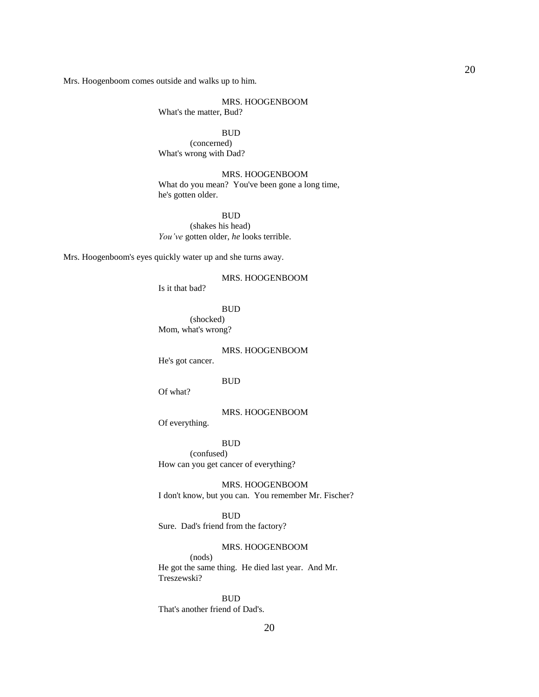Mrs. Hoogenboom comes outside and walks up to him.

## MRS. HOOGENBOOM

What's the matter, Bud?

### BUD

 (concerned) What's wrong with Dad?

## MRS. HOOGENBOOM

 What do you mean? You've been gone a long time, he's gotten older.

### BUD

 (shakes his head) *You've* gotten older, *he* looks terrible.

Mrs. Hoogenboom's eyes quickly water up and she turns away.

## MRS. HOOGENBOOM

Is it that bad?

BUD

 (shocked) Mom, what's wrong?

MRS. HOOGENBOOM

He's got cancer.

### **BUD**

Of what?

## MRS. HOOGENBOOM

Of everything.

### BUD

 (confused) How can you get cancer of everything?

 MRS. HOOGENBOOM I don't know, but you can. You remember Mr. Fischer?

### **BUD**

Sure. Dad's friend from the factory?

## MRS. HOOGENBOOM

 (nods) He got the same thing. He died last year. And Mr. Treszewski?

**BUD** 

That's another friend of Dad's.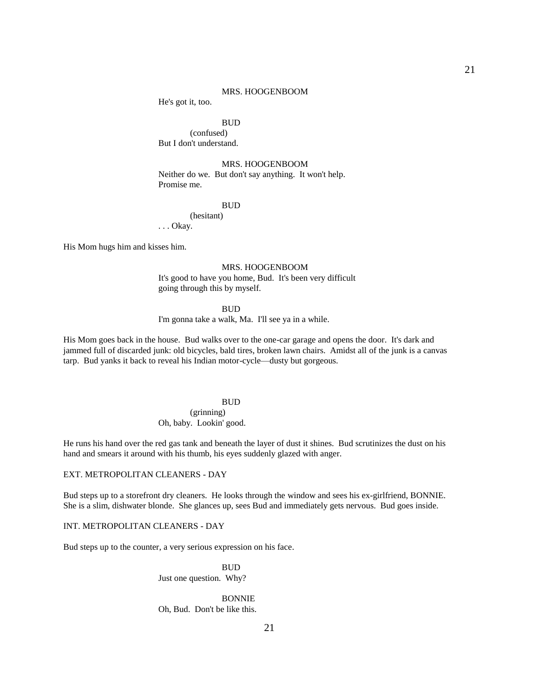### MRS. HOOGENBOOM

He's got it, too.

## BUD

 (confused) But I don't understand.

## MRS. HOOGENBOOM

 Neither do we. But don't say anything. It won't help. Promise me.

## BUD

 (hesitant) . . . Okay.

His Mom hugs him and kisses him.

### MRS. HOOGENBOOM

 It's good to have you home, Bud. It's been very difficult going through this by myself.

### BUD

I'm gonna take a walk, Ma. I'll see ya in a while.

His Mom goes back in the house. Bud walks over to the one-car garage and opens the door. It's dark and jammed full of discarded junk: old bicycles, bald tires, broken lawn chairs. Amidst all of the junk is a canvas tarp. Bud yanks it back to reveal his Indian motor-cycle—dusty but gorgeous.

### **BUD**

 (grinning) Oh, baby. Lookin' good.

He runs his hand over the red gas tank and beneath the layer of dust it shines. Bud scrutinizes the dust on his hand and smears it around with his thumb, his eyes suddenly glazed with anger.

## EXT. METROPOLITAN CLEANERS - DAY

Bud steps up to a storefront dry cleaners. He looks through the window and sees his ex-girlfriend, BONNIE. She is a slim, dishwater blonde. She glances up, sees Bud and immediately gets nervous. Bud goes inside.

### INT. METROPOLITAN CLEANERS - DAY

Bud steps up to the counter, a very serious expression on his face.

**BUD** Just one question. Why?

> BONNIE Oh, Bud. Don't be like this.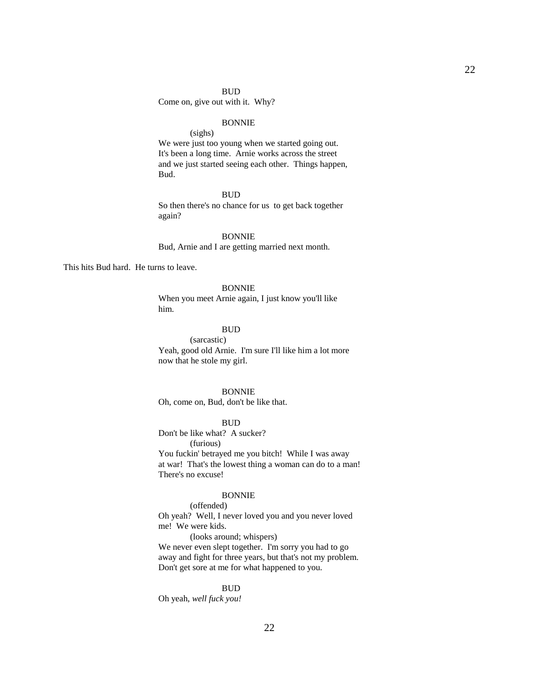## Come on, give out with it. Why?

### BONNIE

 (sighs) We were just too young when we started going out. It's been a long time. Arnie works across the street and we just started seeing each other. Things happen, Bud.

## BUD

 So then there's no chance for us to get back together again?

 BONNIE Bud, Arnie and I are getting married next month.

This hits Bud hard. He turns to leave.

#### BONNIE

 When you meet Arnie again, I just know you'll like him.

## BUD

 (sarcastic) Yeah, good old Arnie. I'm sure I'll like him a lot more now that he stole my girl.

## BONNIE

Oh, come on, Bud, don't be like that.

### BUD

 Don't be like what? A sucker? (furious)

 You fuckin' betrayed me you bitch! While I was away at war! That's the lowest thing a woman can do to a man! There's no excuse!

## BONNIE

 (offended) Oh yeah? Well, I never loved you and you never loved me! We were kids.

(looks around; whispers)

 We never even slept together. I'm sorry you had to go away and fight for three years, but that's not my problem. Don't get sore at me for what happened to you.

### BUD

Oh yeah, *well fuck you!*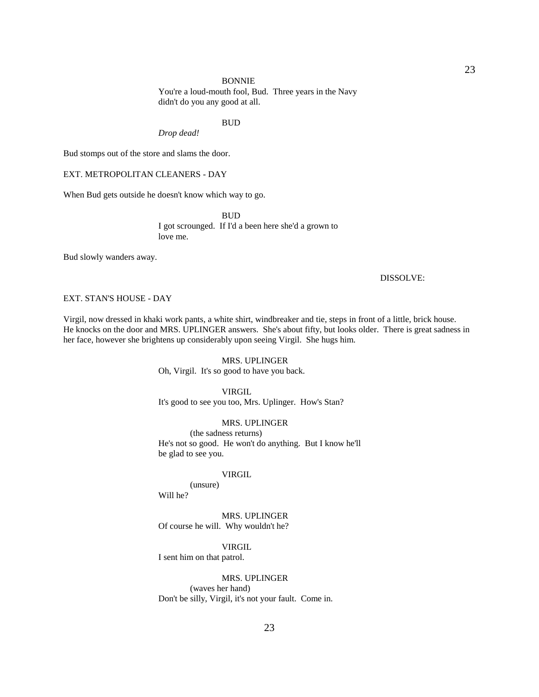#### BONNIE

 You're a loud-mouth fool, Bud. Three years in the Navy didn't do you any good at all.

### **BUD**

*Drop dead!*

Bud stomps out of the store and slams the door.

EXT. METROPOLITAN CLEANERS - DAY

When Bud gets outside he doesn't know which way to go.

 BUD I got scrounged. If I'd a been here she'd a grown to love me.

Bud slowly wanders away.

## DISSOLVE:

## EXT. STAN'S HOUSE - DAY

Virgil, now dressed in khaki work pants, a white shirt, windbreaker and tie, steps in front of a little, brick house. He knocks on the door and MRS. UPLINGER answers. She's about fifty, but looks older. There is great sadness in her face, however she brightens up considerably upon seeing Virgil. She hugs him.

## MRS. UPLINGER

Oh, Virgil. It's so good to have you back.

## VIRGIL

It's good to see you too, Mrs. Uplinger. How's Stan?

## MRS. UPLINGER

 (the sadness returns) He's not so good. He won't do anything. But I know he'll be glad to see you.

## **VIRGIL**

 (unsure) Will he?

 MRS. UPLINGER Of course he will. Why wouldn't he?

VIRGIL

I sent him on that patrol.

## MRS. UPLINGER

 (waves her hand) Don't be silly, Virgil, it's not your fault. Come in.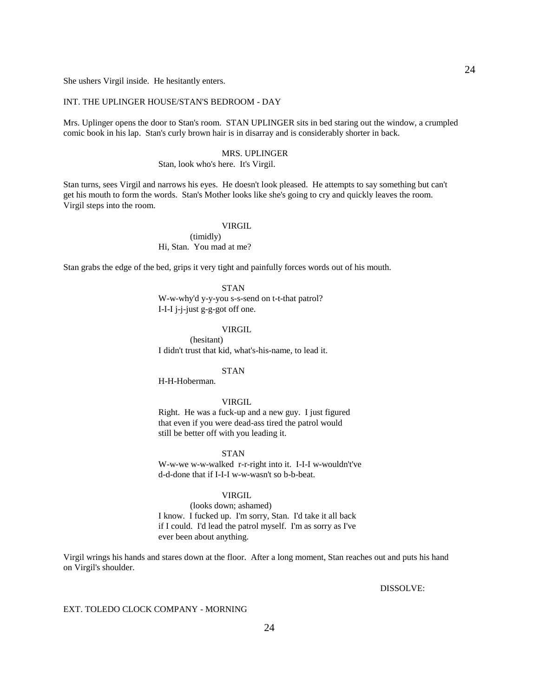She ushers Virgil inside. He hesitantly enters.

## INT. THE UPLINGER HOUSE/STAN'S BEDROOM - DAY

Mrs. Uplinger opens the door to Stan's room. STAN UPLINGER sits in bed staring out the window, a crumpled comic book in his lap. Stan's curly brown hair is in disarray and is considerably shorter in back.

#### MRS. UPLINGER

## Stan, look who's here. It's Virgil.

Stan turns, sees Virgil and narrows his eyes. He doesn't look pleased. He attempts to say something but can't get his mouth to form the words. Stan's Mother looks like she's going to cry and quickly leaves the room. Virgil steps into the room.

### VIRGIL

 (timidly) Hi, Stan. You mad at me?

Stan grabs the edge of the bed, grips it very tight and painfully forces words out of his mouth.

### STAN

 W-w-why'd y-y-you s-s-send on t-t-that patrol? I-I-I j-j-just g-g-got off one.

### VIRGIL

 (hesitant) I didn't trust that kid, what's-his-name, to lead it.

### STAN

H-H-Hoberman.

### VIRGIL

 Right. He was a fuck-up and a new guy. I just figured that even if you were dead-ass tired the patrol would still be better off with you leading it.

STAN

 W-w-we w-w-walked r-r-right into it. I-I-I w-wouldn't've d-d-done that if I-I-I w-w-wasn't so b-b-beat.

## VIRGIL

 (looks down; ashamed) I know. I fucked up. I'm sorry, Stan. I'd take it all back if I could. I'd lead the patrol myself. I'm as sorry as I've ever been about anything.

Virgil wrings his hands and stares down at the floor. After a long moment, Stan reaches out and puts his hand on Virgil's shoulder.

DISSOLVE:

### EXT. TOLEDO CLOCK COMPANY - MORNING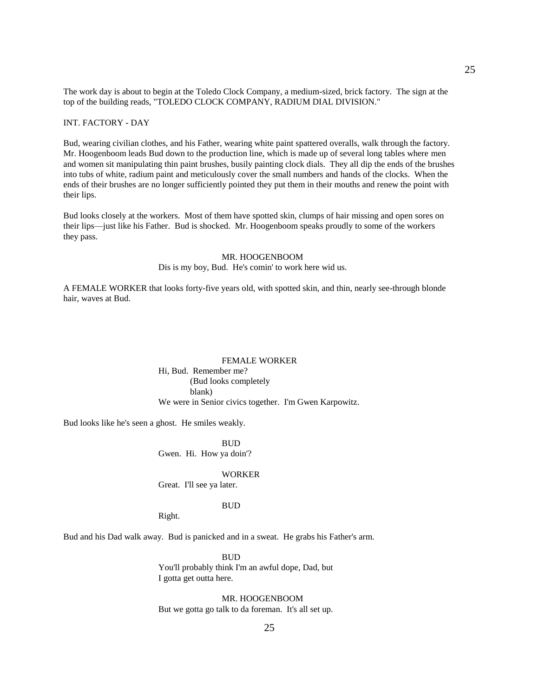The work day is about to begin at the Toledo Clock Company, a medium-sized, brick factory. The sign at the top of the building reads, "TOLEDO CLOCK COMPANY, RADIUM DIAL DIVISION."

## INT. FACTORY - DAY

Bud, wearing civilian clothes, and his Father, wearing white paint spattered overalls, walk through the factory. Mr. Hoogenboom leads Bud down to the production line, which is made up of several long tables where men and women sit manipulating thin paint brushes, busily painting clock dials. They all dip the ends of the brushes into tubs of white, radium paint and meticulously cover the small numbers and hands of the clocks. When the ends of their brushes are no longer sufficiently pointed they put them in their mouths and renew the point with their lips.

Bud looks closely at the workers. Most of them have spotted skin, clumps of hair missing and open sores on their lips—just like his Father. Bud is shocked. Mr. Hoogenboom speaks proudly to some of the workers they pass.

### MR. HOOGENBOOM

Dis is my boy, Bud. He's comin' to work here wid us.

A FEMALE WORKER that looks forty-five years old, with spotted skin, and thin, nearly see-through blonde hair, waves at Bud.

## FEMALE WORKER Hi, Bud. Remember me? (Bud looks completely blank) We were in Senior civics together. I'm Gwen Karpowitz.

Bud looks like he's seen a ghost. He smiles weakly.

 BUD Gwen. Hi. How ya doin'?

### WORKER

Great. I'll see ya later.

### BUD

Right.

Bud and his Dad walk away. Bud is panicked and in a sweat. He grabs his Father's arm.

 BUD You'll probably think I'm an awful dope, Dad, but I gotta get outta here.

MR. HOOGENBOOM

But we gotta go talk to da foreman. It's all set up.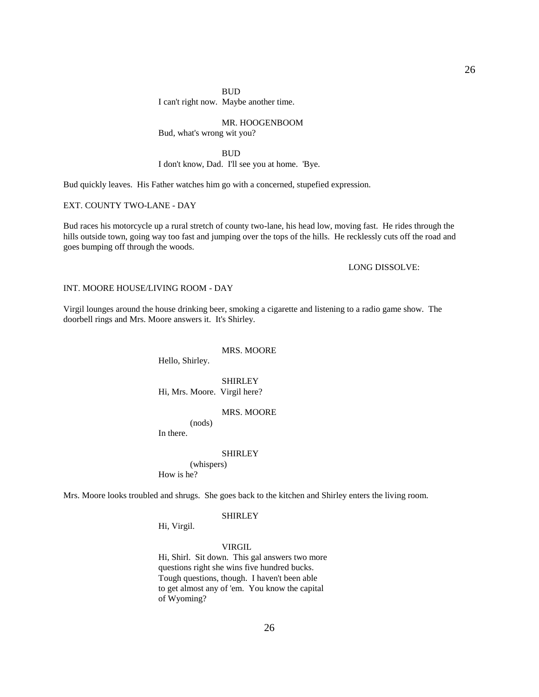I can't right now. Maybe another time.

### MR. HOOGENBOOM

Bud, what's wrong wit you?

### **BUD**

I don't know, Dad. I'll see you at home. 'Bye.

Bud quickly leaves. His Father watches him go with a concerned, stupefied expression.

## EXT. COUNTY TWO-LANE - DAY

Bud races his motorcycle up a rural stretch of county two-lane, his head low, moving fast. He rides through the hills outside town, going way too fast and jumping over the tops of the hills. He recklessly cuts off the road and goes bumping off through the woods.

## LONG DISSOLVE:

### INT. MOORE HOUSE/LIVING ROOM - DAY

Virgil lounges around the house drinking beer, smoking a cigarette and listening to a radio game show. The doorbell rings and Mrs. Moore answers it. It's Shirley.

#### MRS. MOORE

Hello, Shirley.

 SHIRLEY Hi, Mrs. Moore. Virgil here?

### MRS. MOORE

(nods)

In there.

#### SHIRLEY

 (whispers) How is he?

Mrs. Moore looks troubled and shrugs. She goes back to the kitchen and Shirley enters the living room.

### SHIRLEY

Hi, Virgil.

### VIRGIL

 Hi, Shirl. Sit down. This gal answers two more questions right she wins five hundred bucks. Tough questions, though. I haven't been able to get almost any of 'em. You know the capital of Wyoming?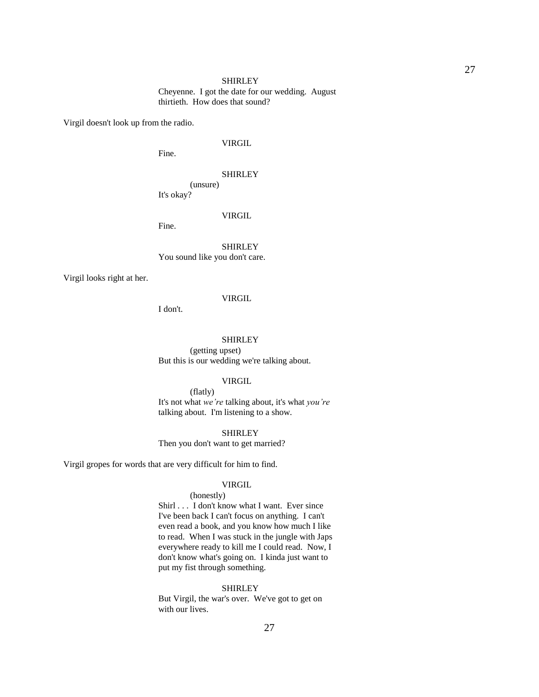## SHIRLEY Cheyenne. I got the date for our wedding. August thirtieth. How does that sound?

Virgil doesn't look up from the radio.

## VIRGIL

Fine.

## SHIRLEY

 (unsure) It's okay?

### VIRGIL

Fine.

## SHIRLEY You sound like you don't care.

Virgil looks right at her.

### VIRGIL

I don't.

## SHIRLEY

 (getting upset) But this is our wedding we're talking about.

### VIRGIL

 (flatly) It's not what *we're* talking about, it's what *you're* talking about. I'm listening to a show.

### SHIRLEY

Then you don't want to get married?

Virgil gropes for words that are very difficult for him to find.

## VIRGIL

## (honestly)

 Shirl . . . I don't know what I want. Ever since I've been back I can't focus on anything. I can't even read a book, and you know how much I like to read. When I was stuck in the jungle with Japs everywhere ready to kill me I could read. Now, I don't know what's going on. I kinda just want to put my fist through something.

## SHIRLEY

 But Virgil, the war's over. We've got to get on with our lives.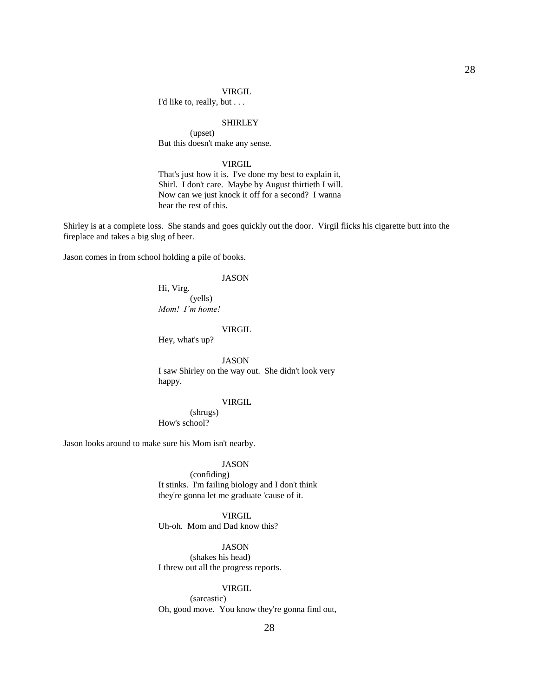I'd like to, really, but . . .

#### SHIRLEY

 (upset) But this doesn't make any sense.

## VIRGIL

 That's just how it is. I've done my best to explain it, Shirl. I don't care. Maybe by August thirtieth I will. Now can we just knock it off for a second? I wanna hear the rest of this.

Shirley is at a complete loss. She stands and goes quickly out the door. Virgil flicks his cigarette butt into the fireplace and takes a big slug of beer.

Jason comes in from school holding a pile of books.

## JASON

 Hi, Virg. (yells) *Mom! I'm home!*

### VIRGIL

Hey, what's up?

 JASON I saw Shirley on the way out. She didn't look very happy.

## VIRGIL

 (shrugs) How's school?

Jason looks around to make sure his Mom isn't nearby.

## JASON

 (confiding) It stinks. I'm failing biology and I don't think they're gonna let me graduate 'cause of it.

## VIRGIL

Uh-oh. Mom and Dad know this?

## JASON

 (shakes his head) I threw out all the progress reports.

## VIRGIL

 (sarcastic) Oh, good move. You know they're gonna find out,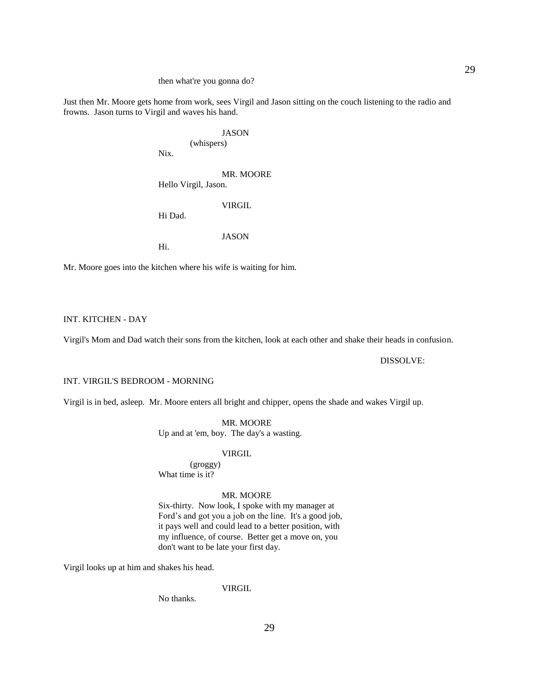### then what're you gonna do?

Just then Mr. Moore gets home from work, sees Virgil and Jason sitting on the couch listening to the radio and frowns. Jason turns to Virgil and waves his hand.

> JASON (whispers)

Nix.

## MR. MOORE Hello Virgil, Jason.

Hi Dad.

JASON

VIRGIL

Hi.

Mr. Moore goes into the kitchen where his wife is waiting for him.

## INT. KITCHEN - DAY

Virgil's Mom and Dad watch their sons from the kitchen, look at each other and shake their heads in confusion.

## DISSOLVE:

#### INT. VIRGIL'S BEDROOM - MORNING

Virgil is in bed, asleep. Mr. Moore enters all bright and chipper, opens the shade and wakes Virgil up.

## MR. MOORE Up and at 'em, boy. The day's a wasting.

## VIRGIL

 (groggy) What time is it?

## MR. MOORE

 Six-thirty. Now look, I spoke with my manager at Ford's and got you a job on the line. It's a good job, it pays well and could lead to a better position, with my influence, of course. Better get a move on, you don't want to be late your first day.

Virgil looks up at him and shakes his head.

## VIRGIL

No thanks.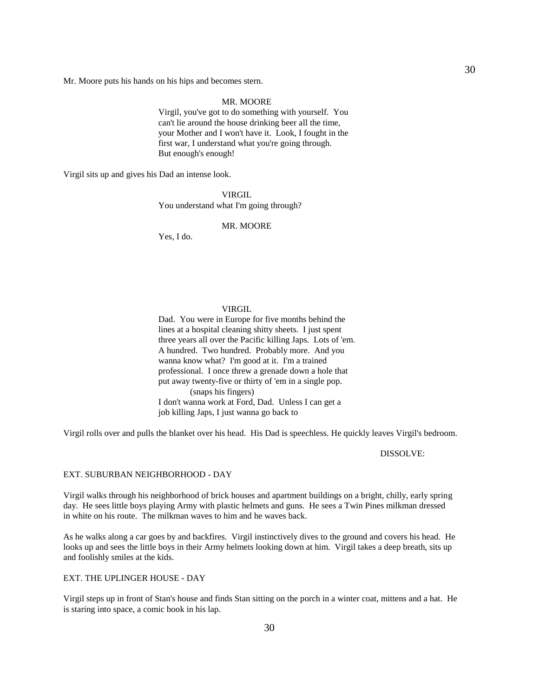Mr. Moore puts his hands on his hips and becomes stern.

#### MR. MOORE

 Virgil, you've got to do something with yourself. You can't lie around the house drinking beer all the time, your Mother and I won't have it. Look, I fought in the first war, I understand what you're going through. But enough's enough!

Virgil sits up and gives his Dad an intense look.

 VIRGIL You understand what I'm going through?

### MR. MOORE

Yes, I do.

### VIRGIL

 Dad. You were in Europe for five months behind the lines at a hospital cleaning shitty sheets. I just spent three years all over the Pacific killing Japs. Lots of 'em. A hundred. Two hundred. Probably more. And you wanna know what? I'm good at it. I'm a trained professional. I once threw a grenade down a hole that put away twenty-five or thirty of 'em in a single pop. (snaps his fingers)

 I don't wanna work at Ford, Dad. Unless I can get a job killing Japs, I just wanna go back to

Virgil rolls over and pulls the blanket over his head. His Dad is speechless. He quickly leaves Virgil's bedroom.

DISSOLVE:

## EXT. SUBURBAN NEIGHBORHOOD - DAY

Virgil walks through his neighborhood of brick houses and apartment buildings on a bright, chilly, early spring day. He sees little boys playing Army with plastic helmets and guns. He sees a Twin Pines milkman dressed in white on his route. The milkman waves to him and he waves back.

As he walks along a car goes by and backfires. Virgil instinctively dives to the ground and covers his head. He looks up and sees the little boys in their Army helmets looking down at him. Virgil takes a deep breath, sits up and foolishly smiles at the kids.

#### EXT. THE UPLINGER HOUSE - DAY

Virgil steps up in front of Stan's house and finds Stan sitting on the porch in a winter coat, mittens and a hat. He is staring into space, a comic book in his lap.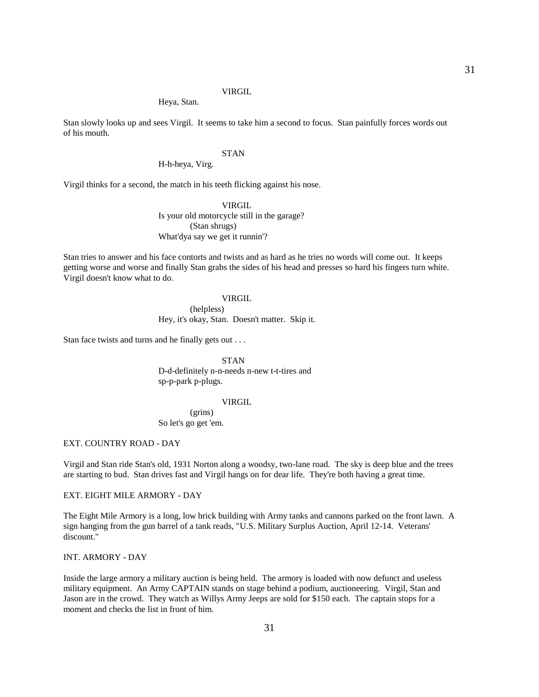Heya, Stan.

Stan slowly looks up and sees Virgil. It seems to take him a second to focus. Stan painfully forces words out of his mouth.

## STAN

## H-h-heya, Virg.

Virgil thinks for a second, the match in his teeth flicking against his nose.

 VIRGIL Is your old motorcycle still in the garage? (Stan shrugs) What'dya say we get it runnin'?

Stan tries to answer and his face contorts and twists and as hard as he tries no words will come out. It keeps getting worse and worse and finally Stan grabs the sides of his head and presses so hard his fingers turn white. Virgil doesn't know what to do.

## VIRGIL

 (helpless) Hey, it's okay, Stan. Doesn't matter. Skip it.

Stan face twists and turns and he finally gets out . . .

 STAN D-d-definitely n-n-needs n-new t-t-tires and sp-p-park p-plugs.

### VIRGIL

 (grins) So let's go get 'em.

### EXT. COUNTRY ROAD - DAY

Virgil and Stan ride Stan's old, 1931 Norton along a woodsy, two-lane road. The sky is deep blue and the trees are starting to bud. Stan drives fast and Virgil hangs on for dear life. They're both having a great time.

## EXT. EIGHT MILE ARMORY - DAY

The Eight Mile Armory is a long, low brick building with Army tanks and cannons parked on the front lawn. A sign hanging from the gun barrel of a tank reads, "U.S. Military Surplus Auction, April 12-14. Veterans' discount."

## INT. ARMORY - DAY

Inside the large armory a military auction is being held. The armory is loaded with now defunct and useless military equipment. An Army CAPTAIN stands on stage behind a podium, auctioneering. Virgil, Stan and Jason are in the crowd. They watch as Willys Army Jeeps are sold for \$150 each. The captain stops for a moment and checks the list in front of him.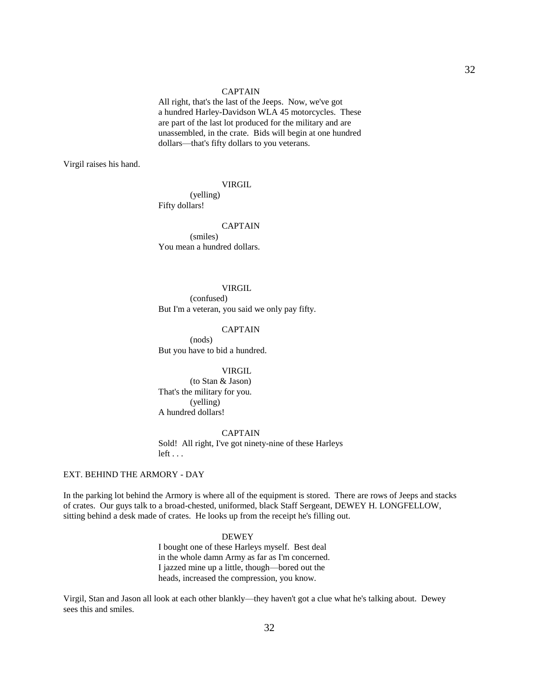### CAPTAIN

 All right, that's the last of the Jeeps. Now, we've got a hundred Harley-Davidson WLA 45 motorcycles. These are part of the last lot produced for the military and are unassembled, in the crate. Bids will begin at one hundred dollars—that's fifty dollars to you veterans.

Virgil raises his hand.

### VIRGIL

 (yelling) Fifty dollars!

 CAPTAIN (smiles) You mean a hundred dollars.

#### VIRGIL

 (confused) But I'm a veteran, you said we only pay fifty.

## CAPTAIN

 (nods) But you have to bid a hundred.

### VIRGIL

 (to Stan & Jason) That's the military for you. (yelling) A hundred dollars!

 CAPTAIN Sold! All right, I've got ninety-nine of these Harleys left . . .

## EXT. BEHIND THE ARMORY - DAY

In the parking lot behind the Armory is where all of the equipment is stored. There are rows of Jeeps and stacks of crates. Our guys talk to a broad-chested, uniformed, black Staff Sergeant, DEWEY H. LONGFELLOW, sitting behind a desk made of crates. He looks up from the receipt he's filling out.

## DEWEY

 I bought one of these Harleys myself. Best deal in the whole damn Army as far as I'm concerned. I jazzed mine up a little, though—bored out the heads, increased the compression, you know.

Virgil, Stan and Jason all look at each other blankly—they haven't got a clue what he's talking about. Dewey sees this and smiles.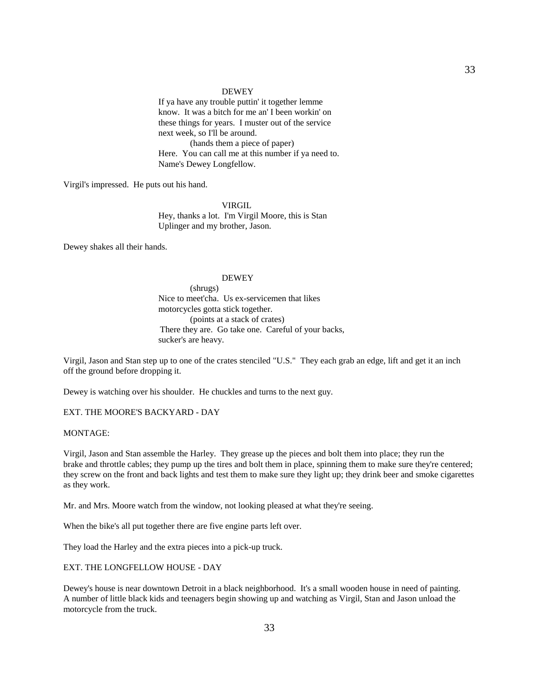### DEWEY

 If ya have any trouble puttin' it together lemme know. It was a bitch for me an' I been workin' on these things for years. I muster out of the service next week, so I'll be around. (hands them a piece of paper) Here. You can call me at this number if ya need to. Name's Dewey Longfellow.

Virgil's impressed. He puts out his hand.

 VIRGIL Hey, thanks a lot. I'm Virgil Moore, this is Stan Uplinger and my brother, Jason.

Dewey shakes all their hands.

## DEWEY

 (shrugs) Nice to meet'cha. Us ex-servicemen that likes motorcycles gotta stick together. (points at a stack of crates) There they are. Go take one. Careful of your backs, sucker's are heavy.

Virgil, Jason and Stan step up to one of the crates stenciled "U.S." They each grab an edge, lift and get it an inch off the ground before dropping it.

Dewey is watching over his shoulder. He chuckles and turns to the next guy.

EXT. THE MOORE'S BACKYARD - DAY

### MONTAGE:

Virgil, Jason and Stan assemble the Harley. They grease up the pieces and bolt them into place; they run the brake and throttle cables; they pump up the tires and bolt them in place, spinning them to make sure they're centered; they screw on the front and back lights and test them to make sure they light up; they drink beer and smoke cigarettes as they work.

Mr. and Mrs. Moore watch from the window, not looking pleased at what they're seeing.

When the bike's all put together there are five engine parts left over.

They load the Harley and the extra pieces into a pick-up truck.

EXT. THE LONGFELLOW HOUSE - DAY

Dewey's house is near downtown Detroit in a black neighborhood. It's a small wooden house in need of painting. A number of little black kids and teenagers begin showing up and watching as Virgil, Stan and Jason unload the motorcycle from the truck.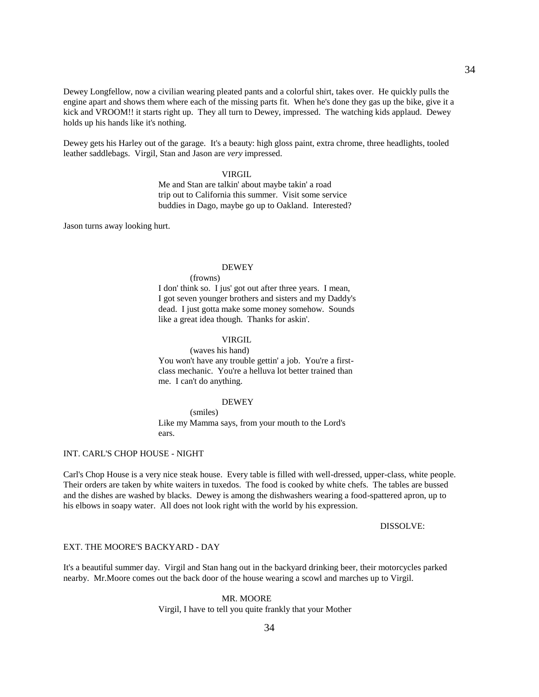Dewey Longfellow, now a civilian wearing pleated pants and a colorful shirt, takes over. He quickly pulls the engine apart and shows them where each of the missing parts fit. When he's done they gas up the bike, give it a kick and VROOM!! it starts right up. They all turn to Dewey, impressed. The watching kids applaud. Dewey holds up his hands like it's nothing.

Dewey gets his Harley out of the garage. It's a beauty: high gloss paint, extra chrome, three headlights, tooled leather saddlebags. Virgil, Stan and Jason are *very* impressed.

## VIRGIL

 Me and Stan are talkin' about maybe takin' a road trip out to California this summer. Visit some service buddies in Dago, maybe go up to Oakland. Interested?

Jason turns away looking hurt.

## DEWEY

(frowns)

 I don' think so. I jus' got out after three years. I mean, I got seven younger brothers and sisters and my Daddy's dead. I just gotta make some money somehow. Sounds like a great idea though. Thanks for askin'.

## **VIRGIL**

 (waves his hand) You won't have any trouble gettin' a job. You're a firstclass mechanic. You're a helluva lot better trained than me. I can't do anything.

### DEWEY

 (smiles) Like my Mamma says, from your mouth to the Lord's ears.

## INT. CARL'S CHOP HOUSE - NIGHT

Carl's Chop House is a very nice steak house. Every table is filled with well-dressed, upper-class, white people. Their orders are taken by white waiters in tuxedos. The food is cooked by white chefs. The tables are bussed and the dishes are washed by blacks. Dewey is among the dishwashers wearing a food-spattered apron, up to his elbows in soapy water. All does not look right with the world by his expression.

### DISSOLVE:

## EXT. THE MOORE'S BACKYARD - DAY

It's a beautiful summer day. Virgil and Stan hang out in the backyard drinking beer, their motorcycles parked nearby. Mr.Moore comes out the back door of the house wearing a scowl and marches up to Virgil.

### MR. MOORE

Virgil, I have to tell you quite frankly that your Mother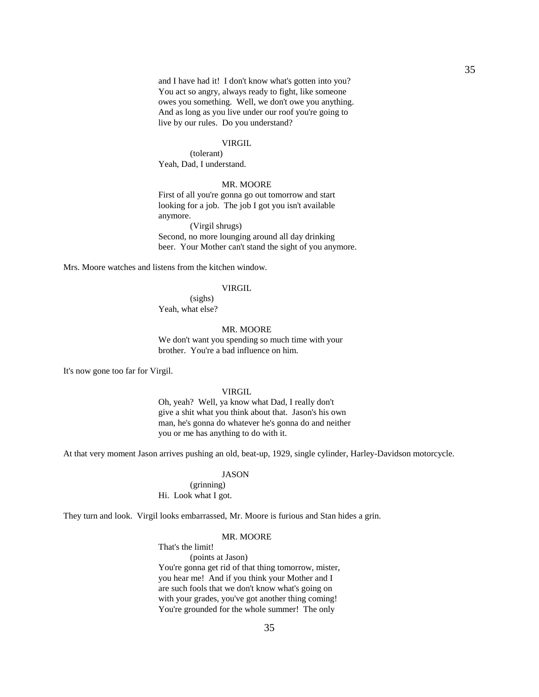and I have had it! I don't know what's gotten into you? You act so angry, always ready to fight, like someone owes you something. Well, we don't owe you anything. And as long as you live under our roof you're going to live by our rules. Do you understand?

## VIRGIL

 (tolerant) Yeah, Dad, I understand.

## MR. MOORE

 First of all you're gonna go out tomorrow and start looking for a job. The job I got you isn't available anymore.

 (Virgil shrugs) Second, no more lounging around all day drinking beer. Your Mother can't stand the sight of you anymore.

Mrs. Moore watches and listens from the kitchen window.

### VIRGIL

 (sighs) Yeah, what else?

### MR. MOORE

We don't want you spending so much time with your brother. You're a bad influence on him.

It's now gone too far for Virgil.

## VIRGIL

 Oh, yeah? Well, ya know what Dad, I really don't give a shit what you think about that. Jason's his own man, he's gonna do whatever he's gonna do and neither you or me has anything to do with it.

At that very moment Jason arrives pushing an old, beat-up, 1929, single cylinder, Harley-Davidson motorcycle.

## JASON

 (grinning) Hi. Look what I got.

They turn and look. Virgil looks embarrassed, Mr. Moore is furious and Stan hides a grin.

### MR. MOORE

That's the limit!

 (points at Jason) You're gonna get rid of that thing tomorrow, mister, you hear me! And if you think your Mother and I are such fools that we don't know what's going on with your grades, you've got another thing coming! You're grounded for the whole summer! The only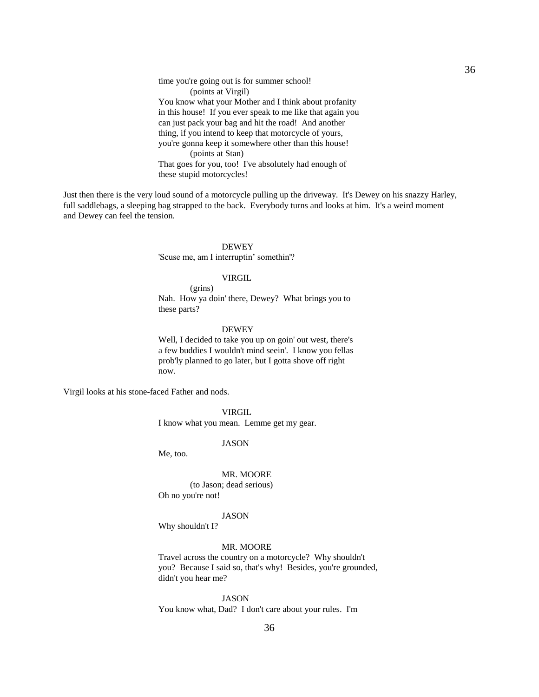time you're going out is for summer school! (points at Virgil) You know what your Mother and I think about profanity in this house! If you ever speak to me like that again you can just pack your bag and hit the road! And another thing, if you intend to keep that motorcycle of yours, you're gonna keep it somewhere other than this house! (points at Stan) That goes for you, too! I've absolutely had enough of these stupid motorcycles!

Just then there is the very loud sound of a motorcycle pulling up the driveway. It's Dewey on his snazzy Harley, full saddlebags, a sleeping bag strapped to the back. Everybody turns and looks at him. It's a weird moment and Dewey can feel the tension.

## **DEWEY**

'Scuse me, am I interruptin' somethin'?

## VIRGIL

 (grins) Nah. How ya doin' there, Dewey? What brings you to these parts?

## DEWEY

 Well, I decided to take you up on goin' out west, there's a few buddies I wouldn't mind seein'. I know you fellas prob'ly planned to go later, but I gotta shove off right now.

Virgil looks at his stone-faced Father and nods.

 VIRGIL I know what you mean. Lemme get my gear.

JASON

Me, too.

 MR. MOORE (to Jason; dead serious) Oh no you're not!

### JASON

Why shouldn't I?

### MR. MOORE

 Travel across the country on a motorcycle? Why shouldn't you? Because I said so, that's why! Besides, you're grounded, didn't you hear me?

 JASON You know what, Dad? I don't care about your rules. I'm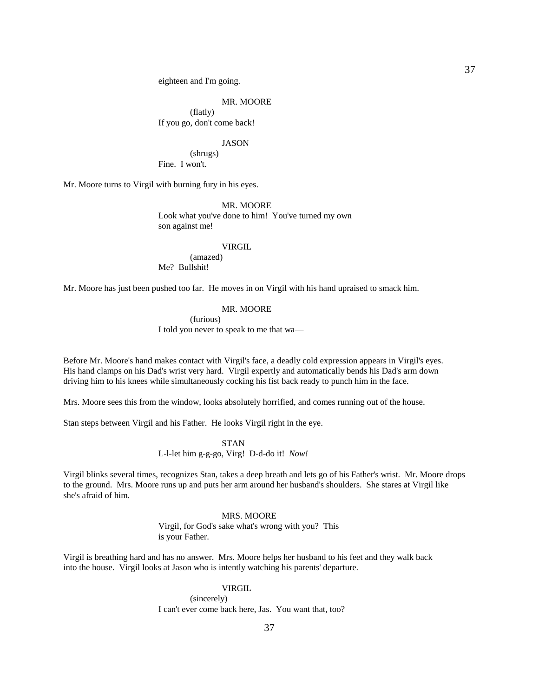eighteen and I'm going.

#### MR. MOORE

 (flatly) If you go, don't come back!

#### JASON

 (shrugs) Fine. I won't.

Mr. Moore turns to Virgil with burning fury in his eyes.

 MR. MOORE Look what you've done to him! You've turned my own son against me!

#### **VIRGIL**

 (amazed) Me? Bullshit!

Mr. Moore has just been pushed too far. He moves in on Virgil with his hand upraised to smack him.

### MR. MOORE

 (furious) I told you never to speak to me that wa—

Before Mr. Moore's hand makes contact with Virgil's face, a deadly cold expression appears in Virgil's eyes. His hand clamps on his Dad's wrist very hard. Virgil expertly and automatically bends his Dad's arm down driving him to his knees while simultaneously cocking his fist back ready to punch him in the face.

Mrs. Moore sees this from the window, looks absolutely horrified, and comes running out of the house.

Stan steps between Virgil and his Father. He looks Virgil right in the eye.

 STAN L-l-let him g-g-go, Virg! D-d-do it! *Now!*

Virgil blinks several times, recognizes Stan, takes a deep breath and lets go of his Father's wrist. Mr. Moore drops to the ground. Mrs. Moore runs up and puts her arm around her husband's shoulders. She stares at Virgil like she's afraid of him.

#### MRS. MOORE

 Virgil, for God's sake what's wrong with you? This is your Father.

Virgil is breathing hard and has no answer. Mrs. Moore helps her husband to his feet and they walk back into the house. Virgil looks at Jason who is intently watching his parents' departure.

### VIRGIL

 (sincerely) I can't ever come back here, Jas. You want that, too?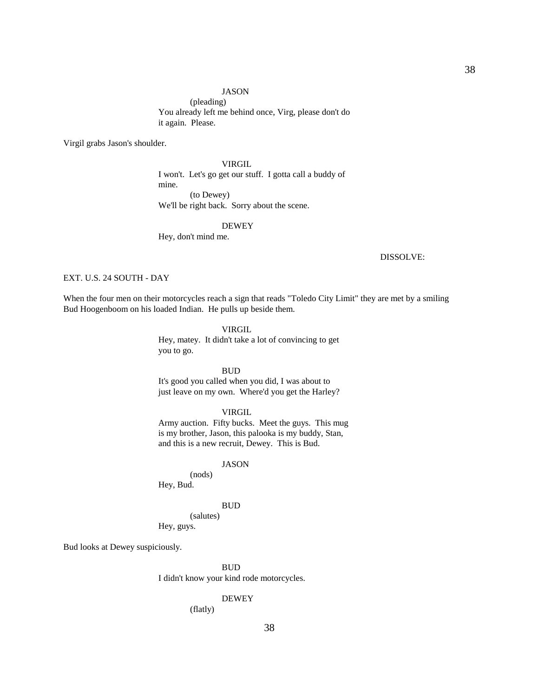#### JASON

 (pleading) You already left me behind once, Virg, please don't do it again. Please.

Virgil grabs Jason's shoulder.

 VIRGIL I won't. Let's go get our stuff. I gotta call a buddy of mine. (to Dewey) We'll be right back. Sorry about the scene.

### DEWEY

Hey, don't mind me.

#### DISSOLVE:

### EXT. U.S. 24 SOUTH - DAY

When the four men on their motorcycles reach a sign that reads "Toledo City Limit" they are met by a smiling Bud Hoogenboom on his loaded Indian. He pulls up beside them.

### VIRGIL

 Hey, matey. It didn't take a lot of convincing to get you to go.

### **BUD**

 It's good you called when you did, I was about to just leave on my own. Where'd you get the Harley?

# VIRGIL

 Army auction. Fifty bucks. Meet the guys. This mug is my brother, Jason, this palooka is my buddy, Stan, and this is a new recruit, Dewey. This is Bud.

### JASON

 (nods) Hey, Bud.

#### BUD

 (salutes) Hey, guys.

Bud looks at Dewey suspiciously.

**BUD** I didn't know your kind rode motorcycles.

# DEWEY

(flatly)

38

38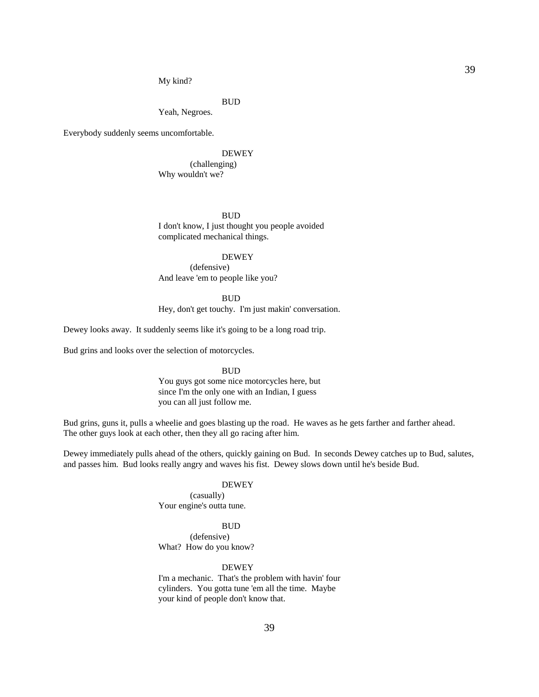39

My kind?

BUD

Yeah, Negroes.

Everybody suddenly seems uncomfortable.

### DEWEY

 (challenging) Why wouldn't we?

BUD

 I don't know, I just thought you people avoided complicated mechanical things.

### DEWEY

 (defensive) And leave 'em to people like you?

 BUD Hey, don't get touchy. I'm just makin' conversation.

Dewey looks away. It suddenly seems like it's going to be a long road trip.

Bud grins and looks over the selection of motorcycles.

**BUD** 

 You guys got some nice motorcycles here, but since I'm the only one with an Indian, I guess you can all just follow me.

Bud grins, guns it, pulls a wheelie and goes blasting up the road. He waves as he gets farther and farther ahead. The other guys look at each other, then they all go racing after him.

Dewey immediately pulls ahead of the others, quickly gaining on Bud. In seconds Dewey catches up to Bud, salutes, and passes him. Bud looks really angry and waves his fist. Dewey slows down until he's beside Bud.

### DEWEY

 (casually) Your engine's outta tune.

### BUD

 (defensive) What? How do you know?

### DEWEY

 I'm a mechanic. That's the problem with havin' four cylinders. You gotta tune 'em all the time. Maybe your kind of people don't know that.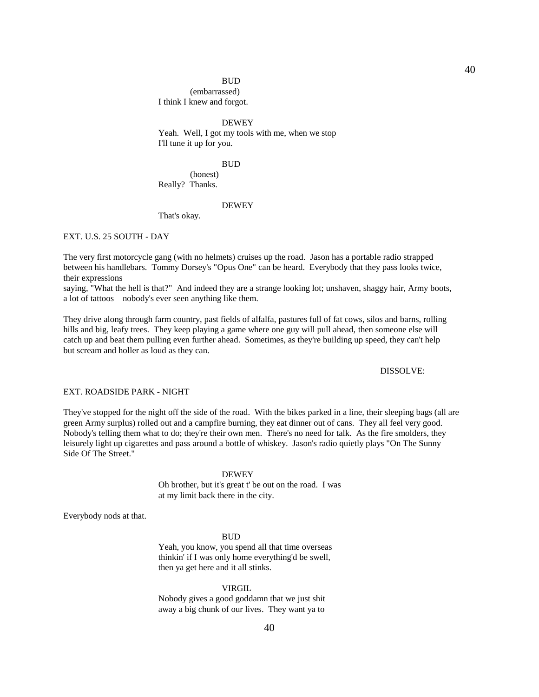### BUD

 (embarrassed) I think I knew and forgot.

 DEWEY Yeah. Well, I got my tools with me, when we stop I'll tune it up for you.

#### BUD

 (honest) Really? Thanks.

# DEWEY

That's okay.

### EXT. U.S. 25 SOUTH - DAY

The very first motorcycle gang (with no helmets) cruises up the road. Jason has a portable radio strapped between his handlebars. Tommy Dorsey's "Opus One" can be heard. Everybody that they pass looks twice, their expressions

saying, "What the hell is that?" And indeed they are a strange looking lot; unshaven, shaggy hair, Army boots, a lot of tattoos—nobody's ever seen anything like them.

They drive along through farm country, past fields of alfalfa, pastures full of fat cows, silos and barns, rolling hills and big, leafy trees. They keep playing a game where one guy will pull ahead, then someone else will catch up and beat them pulling even further ahead. Sometimes, as they're building up speed, they can't help but scream and holler as loud as they can.

### DISSOLVE:

### EXT. ROADSIDE PARK - NIGHT

They've stopped for the night off the side of the road. With the bikes parked in a line, their sleeping bags (all are green Army surplus) rolled out and a campfire burning, they eat dinner out of cans. They all feel very good. Nobody's telling them what to do; they're their own men. There's no need for talk. As the fire smolders, they leisurely light up cigarettes and pass around a bottle of whiskey. Jason's radio quietly plays "On The Sunny Side Of The Street."

### DEWEY

 Oh brother, but it's great t' be out on the road. I was at my limit back there in the city.

Everybody nods at that.

#### **BUD**

 Yeah, you know, you spend all that time overseas thinkin' if I was only home everything'd be swell, then ya get here and it all stinks.

#### VIRGIL

 Nobody gives a good goddamn that we just shit away a big chunk of our lives. They want ya to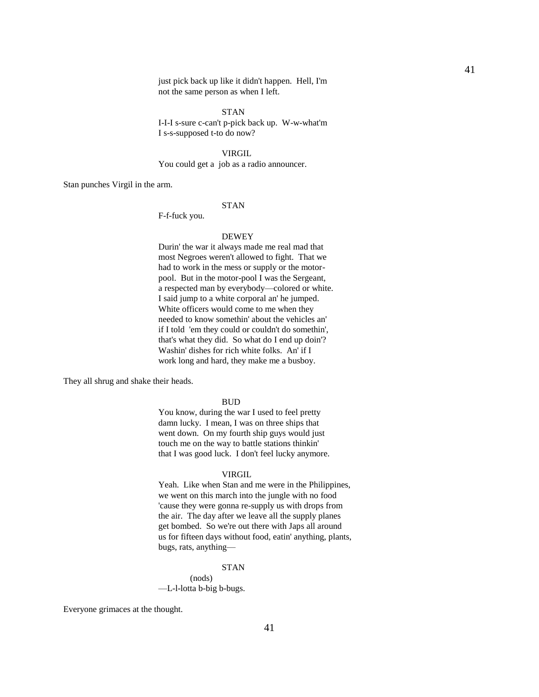just pick back up like it didn't happen. Hell, I'm not the same person as when I left.

 STAN I-I-I s-sure c-can't p-pick back up. W-w-what'm I s-s-supposed t-to do now?

VIRGIL

You could get a job as a radio announcer.

Stan punches Virgil in the arm.

### STAN

F-f-fuck you.

#### DEWEY

 Durin' the war it always made me real mad that most Negroes weren't allowed to fight. That we had to work in the mess or supply or the motorpool. But in the motor-pool I was the Sergeant, a respected man by everybody—colored or white. I said jump to a white corporal an' he jumped. White officers would come to me when they needed to know somethin' about the vehicles an' if I told 'em they could or couldn't do somethin', that's what they did. So what do I end up doin'? Washin' dishes for rich white folks. An' if I work long and hard, they make me a busboy.

They all shrug and shake their heads.

#### **BUD**

 You know, during the war I used to feel pretty damn lucky. I mean, I was on three ships that went down. On my fourth ship guys would just touch me on the way to battle stations thinkin' that I was good luck. I don't feel lucky anymore.

### VIRGIL

 Yeah. Like when Stan and me were in the Philippines, we went on this march into the jungle with no food 'cause they were gonna re-supply us with drops from the air. The day after we leave all the supply planes get bombed. So we're out there with Japs all around us for fifteen days without food, eatin' anything, plants, bugs, rats, anything—

### STAN

 (nods) —L-l-lotta b-big b-bugs.

Everyone grimaces at the thought.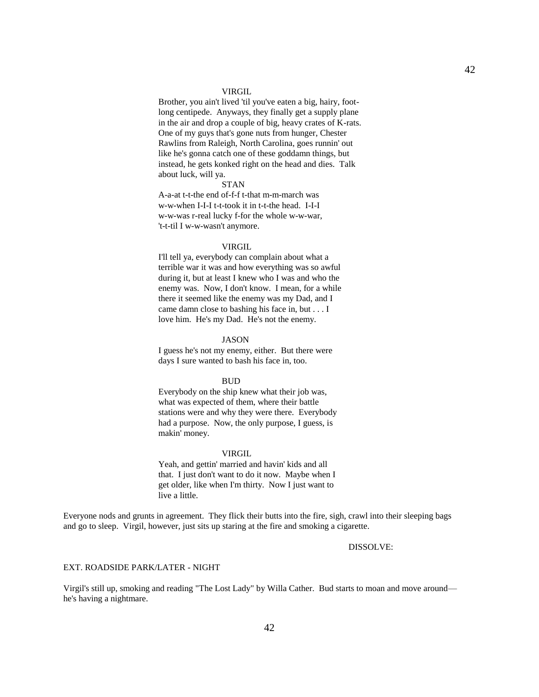#### VIRGIL

 Brother, you ain't lived 'til you've eaten a big, hairy, footlong centipede. Anyways, they finally get a supply plane in the air and drop a couple of big, heavy crates of K-rats. One of my guys that's gone nuts from hunger, Chester Rawlins from Raleigh, North Carolina, goes runnin' out like he's gonna catch one of these goddamn things, but instead, he gets konked right on the head and dies. Talk about luck, will ya.

#### **STAN**

 A-a-at t-t-the end of-f-f t-that m-m-march was w-w-when I-I-I t-t-took it in t-t-the head. I-I-I w-w-was r-real lucky f-for the whole w-w-war, 't-t-til I w-w-wasn't anymore.

#### **VIRGIL**

 I'll tell ya, everybody can complain about what a terrible war it was and how everything was so awful during it, but at least I knew who I was and who the enemy was. Now, I don't know. I mean, for a while there it seemed like the enemy was my Dad, and I came damn close to bashing his face in, but . . . I love him. He's my Dad. He's not the enemy.

### JASON

 I guess he's not my enemy, either. But there were days I sure wanted to bash his face in, too.

#### **BUD**

 Everybody on the ship knew what their job was, what was expected of them, where their battle stations were and why they were there. Everybody had a purpose. Now, the only purpose, I guess, is makin' money.

#### VIRGIL

 Yeah, and gettin' married and havin' kids and all that. I just don't want to do it now. Maybe when I get older, like when I'm thirty. Now I just want to live a little.

Everyone nods and grunts in agreement. They flick their butts into the fire, sigh, crawl into their sleeping bags and go to sleep. Virgil, however, just sits up staring at the fire and smoking a cigarette.

### DISSOLVE:

#### EXT. ROADSIDE PARK/LATER - NIGHT

Virgil's still up, smoking and reading "The Lost Lady" by Willa Cather. Bud starts to moan and move around he's having a nightmare.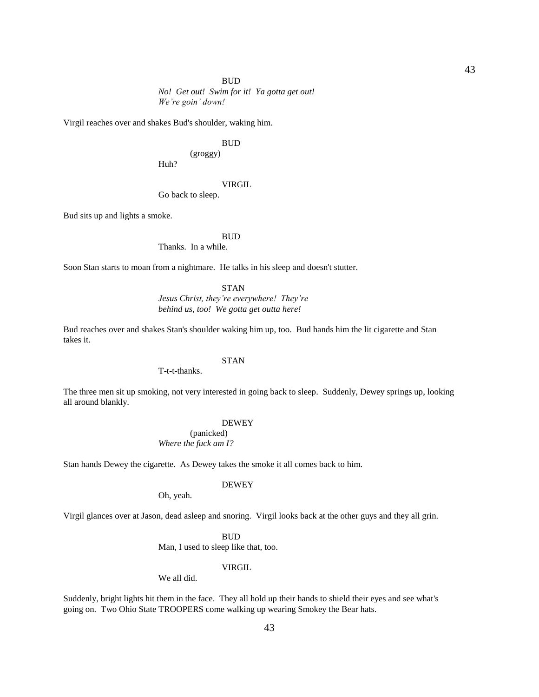BUD

*No! Get out! Swim for it! Ya gotta get out! We're goin' down!*

Virgil reaches over and shakes Bud's shoulder, waking him.

### **BUD**

(groggy)

Huh?

#### VIRGIL

Go back to sleep.

Bud sits up and lights a smoke.

#### **BUD**

Thanks. In a while.

Soon Stan starts to moan from a nightmare. He talks in his sleep and doesn't stutter.

#### STAN

*Jesus Christ, they're everywhere! They're behind us, too! We gotta get outta here!*

Bud reaches over and shakes Stan's shoulder waking him up, too. Bud hands him the lit cigarette and Stan takes it.

# **STAN**

T-t-t-thanks.

The three men sit up smoking, not very interested in going back to sleep. Suddenly, Dewey springs up, looking all around blankly.

#### DEWEY

 (panicked) *Where the fuck am I?*

Stan hands Dewey the cigarette. As Dewey takes the smoke it all comes back to him.

#### DEWEY

Oh, yeah.

Virgil glances over at Jason, dead asleep and snoring. Virgil looks back at the other guys and they all grin.

#### **BUD**

Man, I used to sleep like that, too.

# VIRGIL

We all did.

Suddenly, bright lights hit them in the face. They all hold up their hands to shield their eyes and see what's going on. Two Ohio State TROOPERS come walking up wearing Smokey the Bear hats.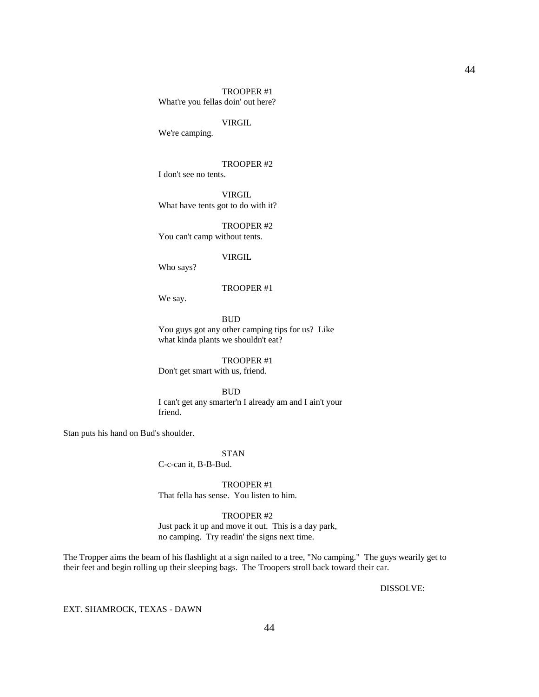# TROOPER #1 What're you fellas doin' out here?

### VIRGIL

We're camping.

### TROOPER #2

I don't see no tents.

 VIRGIL What have tents got to do with it?

 TROOPER #2 You can't camp without tents.

### VIRGIL

Who says?

#### TROOPER #1

We say.

### **BUD**

 You guys got any other camping tips for us? Like what kinda plants we shouldn't eat?

 TROOPER #1 Don't get smart with us, friend.

# BUD

 I can't get any smarter'n I already am and I ain't your friend.

Stan puts his hand on Bud's shoulder.

### STAN

C-c-can it, B-B-Bud.

 TROOPER #1 That fella has sense. You listen to him.

# TROOPER #2

 Just pack it up and move it out. This is a day park, no camping. Try readin' the signs next time.

The Tropper aims the beam of his flashlight at a sign nailed to a tree, "No camping." The guys wearily get to their feet and begin rolling up their sleeping bags. The Troopers stroll back toward their car.

DISSOLVE:

EXT. SHAMROCK, TEXAS - DAWN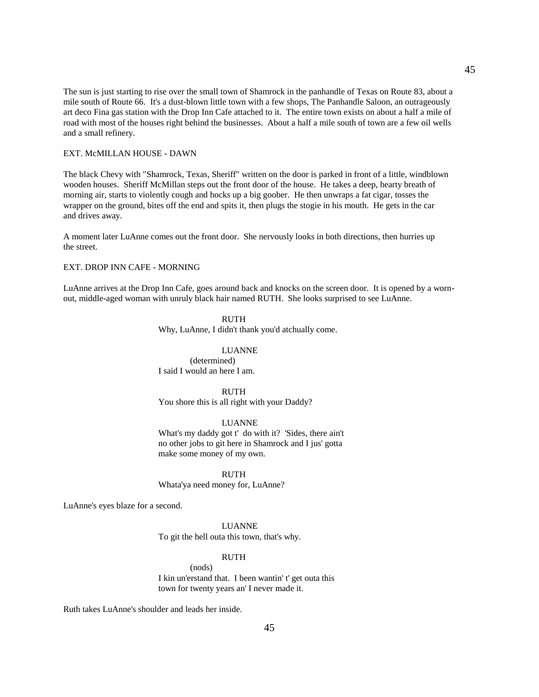The sun is just starting to rise over the small town of Shamrock in the panhandle of Texas on Route 83, about a mile south of Route 66. It's a dust-blown little town with a few shops, The Panhandle Saloon, an outrageously art deco Fina gas station with the Drop Inn Cafe attached to it. The entire town exists on about a half a mile of road with most of the houses right behind the businesses. About a half a mile south of town are a few oil wells and a small refinery.

#### EXT. McMILLAN HOUSE - DAWN

The black Chevy with "Shamrock, Texas, Sheriff" written on the door is parked in front of a little, windblown wooden houses. Sheriff McMillan steps out the front door of the house. He takes a deep, hearty breath of morning air, starts to violently cough and hocks up a big goober. He then unwraps a fat cigar, tosses the wrapper on the ground, bites off the end and spits it, then plugs the stogie in his mouth. He gets in the car and drives away.

A moment later LuAnne comes out the front door. She nervously looks in both directions, then hurries up the street.

### EXT. DROP INN CAFE - MORNING

LuAnne arrives at the Drop Inn Cafe, goes around back and knocks on the screen door. It is opened by a wornout, middle-aged woman with unruly black hair named RUTH. She looks surprised to see LuAnne.

### RUTH

Why, LuAnne, I didn't thank you'd atchually come.

#### LUANNE

 (determined) I said I would an here I am.

# RUTH

You shore this is all right with your Daddy?

#### LUANNE

 What's my daddy got t' do with it? 'Sides, there ain't no other jobs to git here in Shamrock and I jus' gotta make some money of my own.

RUTH

Whata'ya need money for, LuAnne?

LuAnne's eyes blaze for a second.

 LUANNE To git the hell outa this town, that's why.

### RUTH

 (nods) I kin un'erstand that. I been wantin' t' get outa this town for twenty years an' I never made it.

Ruth takes LuAnne's shoulder and leads her inside.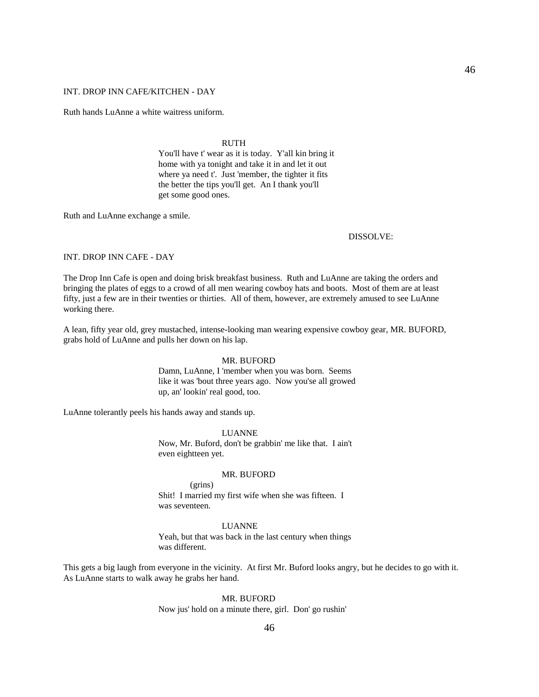### INT. DROP INN CAFE/KITCHEN - DAY

Ruth hands LuAnne a white waitress uniform.

### **RUTH**

 You'll have t' wear as it is today. Y'all kin bring it home with ya tonight and take it in and let it out where ya need t'. Just 'member, the tighter it fits the better the tips you'll get. An I thank you'll get some good ones.

Ruth and LuAnne exchange a smile.

#### DISSOLVE:

### INT. DROP INN CAFE - DAY

The Drop Inn Cafe is open and doing brisk breakfast business. Ruth and LuAnne are taking the orders and bringing the plates of eggs to a crowd of all men wearing cowboy hats and boots. Most of them are at least fifty, just a few are in their twenties or thirties. All of them, however, are extremely amused to see LuAnne working there.

A lean, fifty year old, grey mustached, intense-looking man wearing expensive cowboy gear, MR. BUFORD, grabs hold of LuAnne and pulls her down on his lap.

### MR. BUFORD

 Damn, LuAnne, I 'member when you was born. Seems like it was 'bout three years ago. Now you'se all growed up, an' lookin' real good, too.

LuAnne tolerantly peels his hands away and stands up.

LUANNE

 Now, Mr. Buford, don't be grabbin' me like that. I ain't even eightteen yet.

#### MR. BUFORD

 (grins) Shit! I married my first wife when she was fifteen. I was seventeen.

LUANNE

 Yeah, but that was back in the last century when things was different.

This gets a big laugh from everyone in the vicinity. At first Mr. Buford looks angry, but he decides to go with it. As LuAnne starts to walk away he grabs her hand.

MR. BUFORD

Now jus' hold on a minute there, girl. Don' go rushin'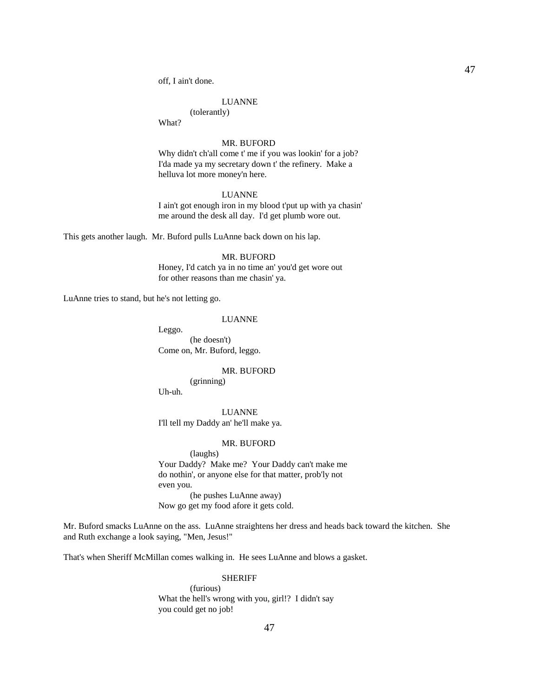off, I ain't done.

### LUANNE

 (tolerantly) What?

#### MR. BUFORD

 Why didn't ch'all come t' me if you was lookin' for a job? I'da made ya my secretary down t' the refinery. Make a helluva lot more money'n here.

#### LUANNE

 I ain't got enough iron in my blood t'put up with ya chasin' me around the desk all day. I'd get plumb wore out.

This gets another laugh. Mr. Buford pulls LuAnne back down on his lap.

#### MR. BUFORD

 Honey, I'd catch ya in no time an' you'd get wore out for other reasons than me chasin' ya.

LuAnne tries to stand, but he's not letting go.

### LUANNE

Leggo.

 (he doesn't) Come on, Mr. Buford, leggo.

#### MR. BUFORD

(grinning)

Uh-uh.

 LUANNE I'll tell my Daddy an' he'll make ya.

#### MR. BUFORD

 (laughs) Your Daddy? Make me? Your Daddy can't make me do nothin', or anyone else for that matter, prob'ly not even you. (he pushes LuAnne away) Now go get my food afore it gets cold.

Mr. Buford smacks LuAnne on the ass. LuAnne straightens her dress and heads back toward the kitchen. She and Ruth exchange a look saying, "Men, Jesus!"

That's when Sheriff McMillan comes walking in. He sees LuAnne and blows a gasket.

#### SHERIFF

 (furious) What the hell's wrong with you, girl!? I didn't say you could get no job!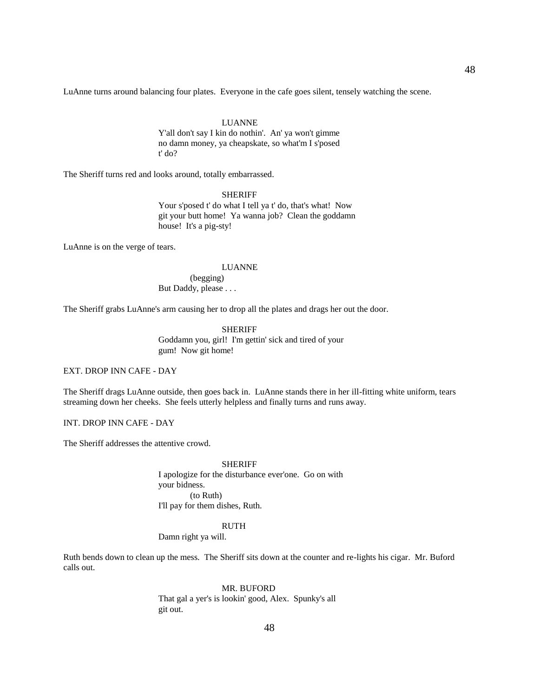LuAnne turns around balancing four plates. Everyone in the cafe goes silent, tensely watching the scene.

### LUANNE

 Y'all don't say I kin do nothin'. An' ya won't gimme no damn money, ya cheapskate, so what'm I s'posed t' do?

The Sheriff turns red and looks around, totally embarrassed.

SHERIFF

 Your s'posed t' do what I tell ya t' do, that's what! Now git your butt home! Ya wanna job? Clean the goddamn house! It's a pig-sty!

LuAnne is on the verge of tears.

#### LUANNE

 (begging) But Daddy, please . . .

The Sheriff grabs LuAnne's arm causing her to drop all the plates and drags her out the door.

 SHERIFF Goddamn you, girl! I'm gettin' sick and tired of your gum! Now git home!

EXT. DROP INN CAFE - DAY

The Sheriff drags LuAnne outside, then goes back in. LuAnne stands there in her ill-fitting white uniform, tears streaming down her cheeks. She feels utterly helpless and finally turns and runs away.

INT. DROP INN CAFE - DAY

The Sheriff addresses the attentive crowd.

 SHERIFF I apologize for the disturbance ever'one. Go on with your bidness. (to Ruth) I'll pay for them dishes, Ruth.

#### RUTH

Damn right ya will.

Ruth bends down to clean up the mess. The Sheriff sits down at the counter and re-lights his cigar. Mr. Buford calls out.

MR. BUFORD

 That gal a yer's is lookin' good, Alex. Spunky's all git out.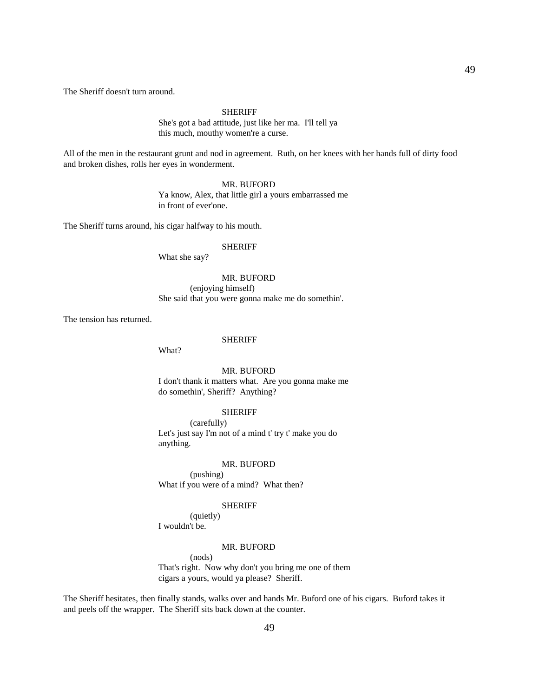The Sheriff doesn't turn around.

SHERIFF

 She's got a bad attitude, just like her ma. I'll tell ya this much, mouthy women're a curse.

All of the men in the restaurant grunt and nod in agreement. Ruth, on her knees with her hands full of dirty food and broken dishes, rolls her eyes in wonderment.

# MR. BUFORD

 Ya know, Alex, that little girl a yours embarrassed me in front of ever'one.

The Sheriff turns around, his cigar halfway to his mouth.

### SHERIFF

What she say?

### MR. BUFORD

 (enjoying himself) She said that you were gonna make me do somethin'.

The tension has returned.

#### SHERIFF

What?

### MR. BUFORD

 I don't thank it matters what. Are you gonna make me do somethin', Sheriff? Anything?

### SHERIFF

 (carefully) Let's just say I'm not of a mind t' try t' make you do anything.

#### MR. BUFORD

 (pushing) What if you were of a mind? What then?

### SHERIFF

 (quietly) I wouldn't be.

### MR. BUFORD

 (nods) That's right. Now why don't you bring me one of them cigars a yours, would ya please? Sheriff.

The Sheriff hesitates, then finally stands, walks over and hands Mr. Buford one of his cigars. Buford takes it and peels off the wrapper. The Sheriff sits back down at the counter.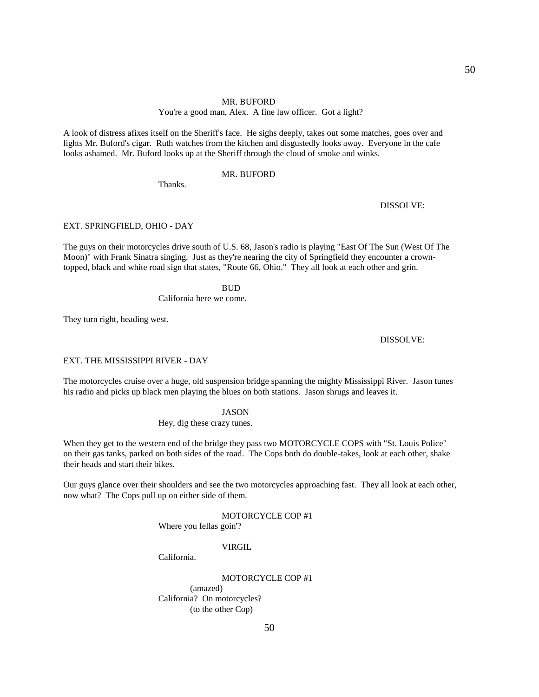### MR. BUFORD

# You're a good man, Alex. A fine law officer. Got a light?

A look of distress afixes itself on the Sheriff's face. He sighs deeply, takes out some matches, goes over and lights Mr. Buford's cigar. Ruth watches from the kitchen and disgustedly looks away. Everyone in the cafe looks ashamed. Mr. Buford looks up at the Sheriff through the cloud of smoke and winks.

# MR. BUFORD

Thanks.

# DISSOLVE:

### EXT. SPRINGFIELD, OHIO - DAY

The guys on their motorcycles drive south of U.S. 68, Jason's radio is playing "East Of The Sun (West Of The Moon)" with Frank Sinatra singing. Just as they're nearing the city of Springfield they encounter a crowntopped, black and white road sign that states, "Route 66, Ohio." They all look at each other and grin.

#### **BUD**

California here we come.

They turn right, heading west.

#### DISSOLVE:

#### EXT. THE MISSISSIPPI RIVER - DAY

The motorcycles cruise over a huge, old suspension bridge spanning the mighty Mississippi River. Jason tunes his radio and picks up black men playing the blues on both stations. Jason shrugs and leaves it.

# JASON

Hey, dig these crazy tunes.

When they get to the western end of the bridge they pass two MOTORCYCLE COPS with "St. Louis Police" on their gas tanks, parked on both sides of the road. The Cops both do double-takes, look at each other, shake their heads and start their bikes.

Our guys glance over their shoulders and see the two motorcycles approaching fast. They all look at each other, now what? The Cops pull up on either side of them.

#### MOTORCYCLE COP #1

Where you fellas goin'?

# VIRGIL

California.

 MOTORCYCLE COP #1 (amazed) California? On motorcycles? (to the other Cop)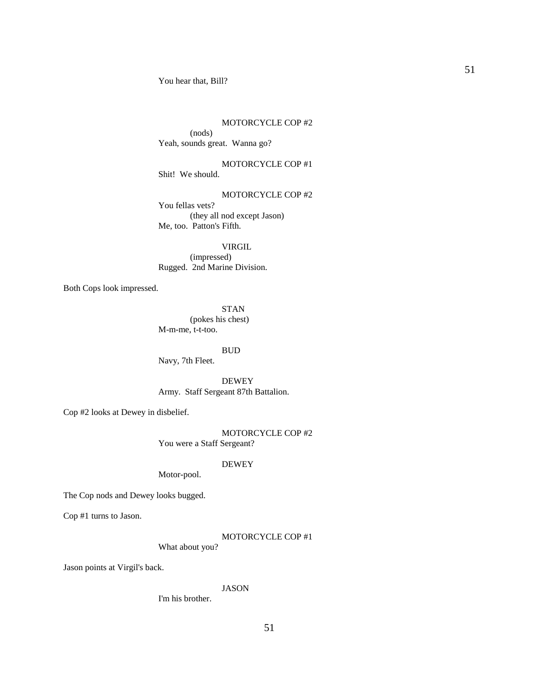You hear that, Bill?

### MOTORCYCLE COP #2

 (nods) Yeah, sounds great. Wanna go?

 MOTORCYCLE COP #1 Shit! We should.

# MOTORCYCLE COP #2

 You fellas vets? (they all nod except Jason) Me, too. Patton's Fifth.

 VIRGIL (impressed) Rugged. 2nd Marine Division.

Both Cops look impressed.

 STAN (pokes his chest) M-m-me, t-t-too.

### BUD

Navy, 7th Fleet.

 DEWEY Army. Staff Sergeant 87th Battalion.

Cop #2 looks at Dewey in disbelief.

 MOTORCYCLE COP #2 You were a Staff Sergeant?

# DEWEY

Motor-pool.

The Cop nods and Dewey looks bugged.

Cop #1 turns to Jason.

### MOTORCYCLE COP #1

What about you?

Jason points at Virgil's back.

### JASON

I'm his brother.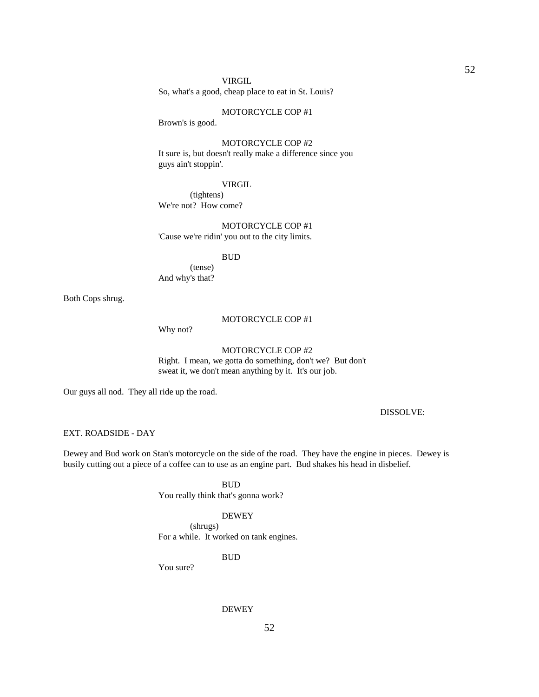#### VIRGIL

So, what's a good, cheap place to eat in St. Louis?

### MOTORCYCLE COP #1

Brown's is good.

# MOTORCYCLE COP #2

 It sure is, but doesn't really make a difference since you guys ain't stoppin'.

### VIRGIL

 (tightens) We're not? How come?

# MOTORCYCLE COP #1

'Cause we're ridin' you out to the city limits.

# BUD

 (tense) And why's that?

Both Cops shrug.

# MOTORCYCLE COP #1

Why not?

### MOTORCYCLE COP #2

 Right. I mean, we gotta do something, don't we? But don't sweat it, we don't mean anything by it. It's our job.

Our guys all nod. They all ride up the road.

# DISSOLVE:

# EXT. ROADSIDE - DAY

Dewey and Bud work on Stan's motorcycle on the side of the road. They have the engine in pieces. Dewey is busily cutting out a piece of a coffee can to use as an engine part. Bud shakes his head in disbelief.

> BUD You really think that's gonna work?

#### DEWEY

 (shrugs) For a while. It worked on tank engines.

### BUD

You sure?

#### DEWEY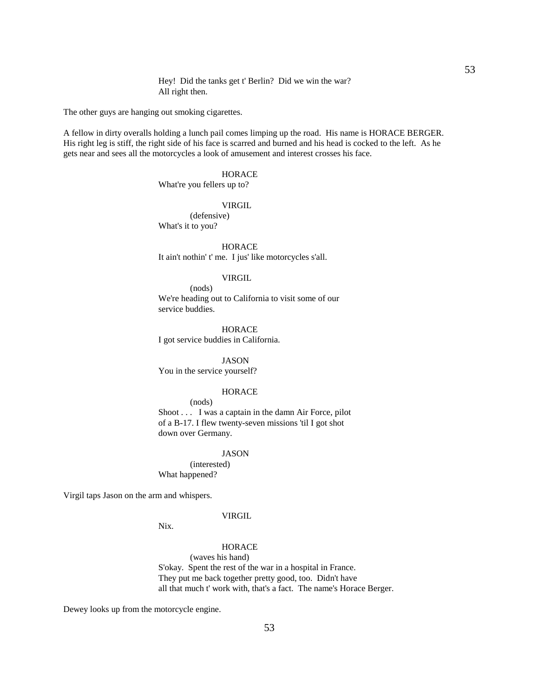Hey! Did the tanks get t' Berlin? Did we win the war? All right then.

The other guys are hanging out smoking cigarettes.

A fellow in dirty overalls holding a lunch pail comes limping up the road. His name is HORACE BERGER. His right leg is stiff, the right side of his face is scarred and burned and his head is cocked to the left. As he gets near and sees all the motorcycles a look of amusement and interest crosses his face.

# **HORACE**

What're you fellers up to?

# **VIRGIL**

 (defensive) What's it to you?

 HORACE It ain't nothin' t' me. I jus' like motorcycles s'all.

### VIRGIL

 (nods) We're heading out to California to visit some of our service buddies.

 HORACE I got service buddies in California.

 JASON You in the service yourself?

# **HORACE**

 (nods) Shoot . . . I was a captain in the damn Air Force, pilot of a B-17. I flew twenty-seven missions 'til I got shot down over Germany.

#### JASON

 (interested) What happened?

Virgil taps Jason on the arm and whispers.

#### VIRGIL

Nix.

# **HORACE**

 (waves his hand) S'okay. Spent the rest of the war in a hospital in France. They put me back together pretty good, too. Didn't have all that much t' work with, that's a fact. The name's Horace Berger.

Dewey looks up from the motorcycle engine.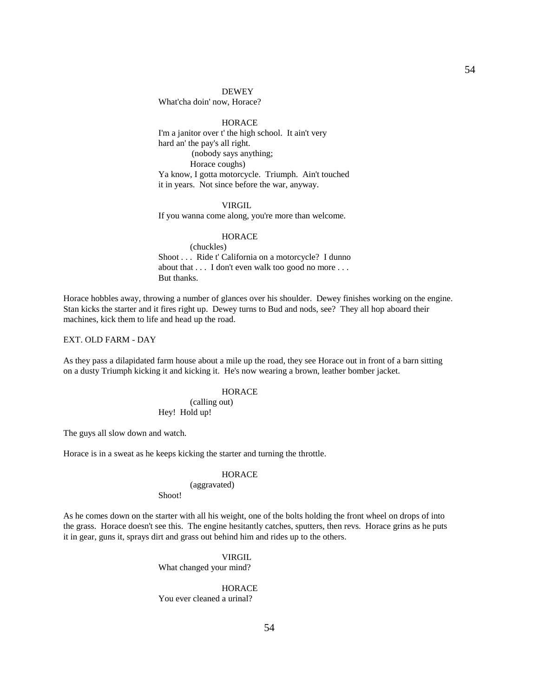#### **DEWEY**

What'cha doin' now, Horace?

**HORACE**  I'm a janitor over t' the high school. It ain't very hard an' the pay's all right. (nobody says anything; Horace coughs) Ya know, I gotta motorcycle. Triumph. Ain't touched it in years. Not since before the war, anyway.

### VIRGIL

If you wanna come along, you're more than welcome.

#### HORACE

 (chuckles) Shoot . . . Ride t' California on a motorcycle? I dunno about that . . . I don't even walk too good no more . . . But thanks.

Horace hobbles away, throwing a number of glances over his shoulder. Dewey finishes working on the engine. Stan kicks the starter and it fires right up. Dewey turns to Bud and nods, see? They all hop aboard their machines, kick them to life and head up the road.

EXT. OLD FARM - DAY

As they pass a dilapidated farm house about a mile up the road, they see Horace out in front of a barn sitting on a dusty Triumph kicking it and kicking it. He's now wearing a brown, leather bomber jacket.

# **HORACE**

 (calling out) Hey! Hold up!

The guys all slow down and watch.

Horace is in a sweat as he keeps kicking the starter and turning the throttle.

# **HORACE**

#### (aggravated)

Shoot!

As he comes down on the starter with all his weight, one of the bolts holding the front wheel on drops of into the grass. Horace doesn't see this. The engine hesitantly catches, sputters, then revs. Horace grins as he puts it in gear, guns it, sprays dirt and grass out behind him and rides up to the others.

> VIRGIL What changed your mind?

**HORACE** You ever cleaned a urinal?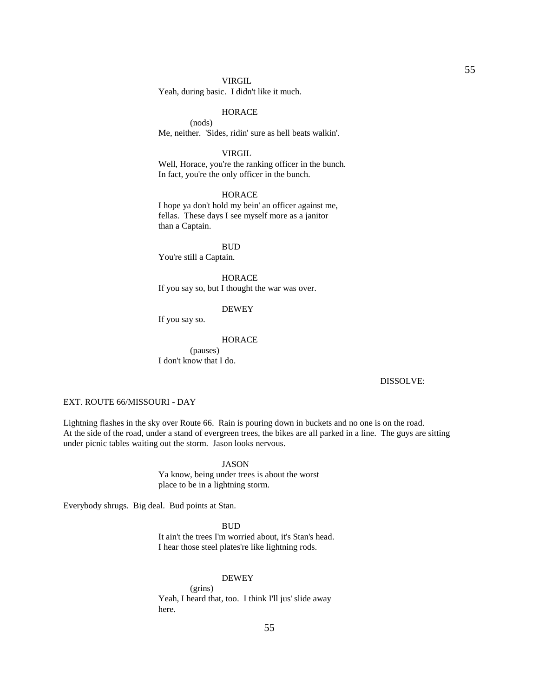VIRGIL

Yeah, during basic. I didn't like it much.

### **HORACE**

 (nods) Me, neither. 'Sides, ridin' sure as hell beats walkin'.

#### VIRGIL

Well, Horace, you're the ranking officer in the bunch. In fact, you're the only officer in the bunch.

### **HORACE**

 I hope ya don't hold my bein' an officer against me, fellas. These days I see myself more as a janitor than a Captain.

 BUD You're still a Captain.

> **HORACE** If you say so, but I thought the war was over.

### DEWEY

If you say so.

### HORACE

 (pauses) I don't know that I do.

#### DISSOLVE:

# EXT. ROUTE 66/MISSOURI - DAY

Lightning flashes in the sky over Route 66. Rain is pouring down in buckets and no one is on the road. At the side of the road, under a stand of evergreen trees, the bikes are all parked in a line. The guys are sitting under picnic tables waiting out the storm. Jason looks nervous.

#### JASON

 Ya know, being under trees is about the worst place to be in a lightning storm.

Everybody shrugs. Big deal. Bud points at Stan.

 BUD It ain't the trees I'm worried about, it's Stan's head. I hear those steel plates're like lightning rods.

### DEWEY

 (grins) Yeah, I heard that, too. I think I'll jus' slide away here.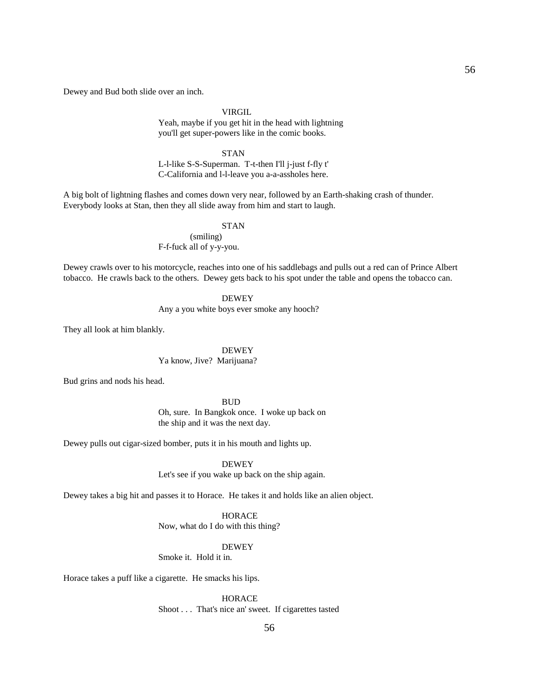Dewey and Bud both slide over an inch.

VIRGIL

 Yeah, maybe if you get hit in the head with lightning you'll get super-powers like in the comic books.

STAN

 L-l-like S-S-Superman. T-t-then I'll j-just f-fly t' C-California and l-l-leave you a-a-assholes here.

A big bolt of lightning flashes and comes down very near, followed by an Earth-shaking crash of thunder. Everybody looks at Stan, then they all slide away from him and start to laugh.

### **STAN**

 (smiling) F-f-fuck all of y-y-you.

Dewey crawls over to his motorcycle, reaches into one of his saddlebags and pulls out a red can of Prince Albert tobacco. He crawls back to the others. Dewey gets back to his spot under the table and opens the tobacco can.

DEWEY

Any a you white boys ever smoke any hooch?

They all look at him blankly.

DEWEY

Ya know, Jive? Marijuana?

Bud grins and nods his head.

**BUD**  Oh, sure. In Bangkok once. I woke up back on the ship and it was the next day.

Dewey pulls out cigar-sized bomber, puts it in his mouth and lights up.

DEWEY

Let's see if you wake up back on the ship again.

Dewey takes a big hit and passes it to Horace. He takes it and holds like an alien object.

**HORACE** 

Now, what do I do with this thing?

DEWEY

Smoke it. Hold it in.

Horace takes a puff like a cigarette. He smacks his lips.

 HORACE Shoot . . . That's nice an' sweet. If cigarettes tasted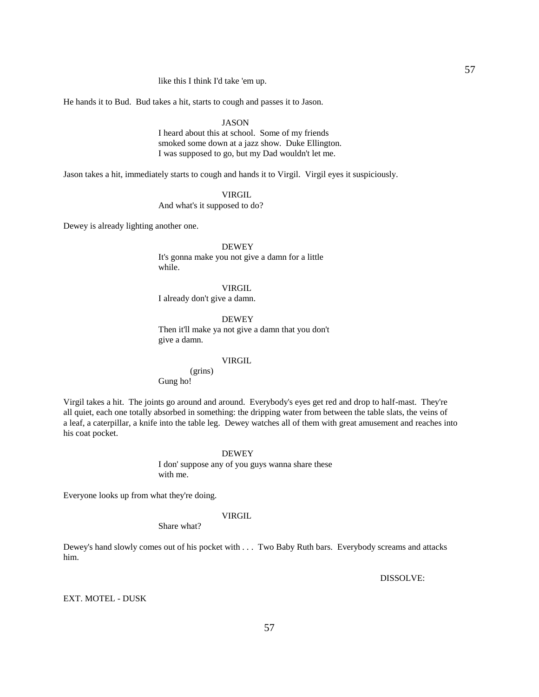like this I think I'd take 'em up.

He hands it to Bud. Bud takes a hit, starts to cough and passes it to Jason.

### JASON

 I heard about this at school. Some of my friends smoked some down at a jazz show. Duke Ellington. I was supposed to go, but my Dad wouldn't let me.

Jason takes a hit, immediately starts to cough and hands it to Virgil. Virgil eyes it suspiciously.

# VIRGIL

And what's it supposed to do?

Dewey is already lighting another one.

 DEWEY It's gonna make you not give a damn for a little while.

#### VIRGIL

I already don't give a damn.

DEWEY

 Then it'll make ya not give a damn that you don't give a damn.

### VIRGIL

(grins)

Gung ho!

Virgil takes a hit. The joints go around and around. Everybody's eyes get red and drop to half-mast. They're all quiet, each one totally absorbed in something: the dripping water from between the table slats, the veins of a leaf, a caterpillar, a knife into the table leg. Dewey watches all of them with great amusement and reaches into his coat pocket.

#### DEWEY

 I don' suppose any of you guys wanna share these with me.

Everyone looks up from what they're doing.

#### VIRGIL

Share what?

Dewey's hand slowly comes out of his pocket with . . . Two Baby Ruth bars. Everybody screams and attacks him.

DISSOLVE:

# EXT. MOTEL - DUSK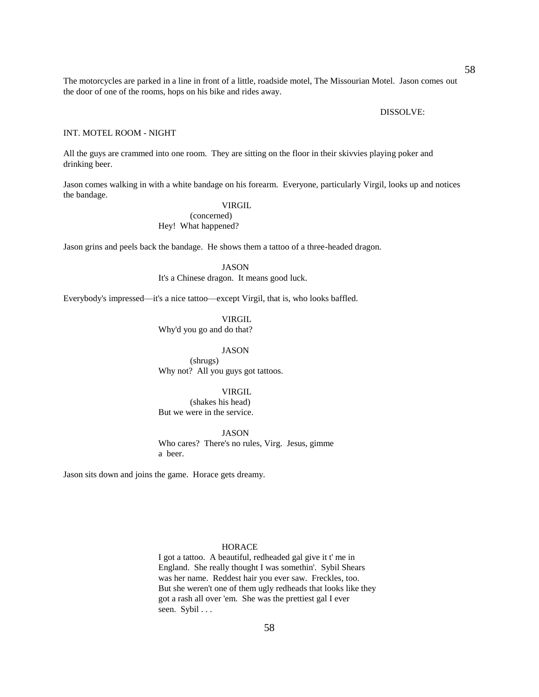The motorcycles are parked in a line in front of a little, roadside motel, The Missourian Motel. Jason comes out the door of one of the rooms, hops on his bike and rides away.

#### DISSOLVE:

### INT. MOTEL ROOM - NIGHT

All the guys are crammed into one room. They are sitting on the floor in their skivvies playing poker and drinking beer.

Jason comes walking in with a white bandage on his forearm. Everyone, particularly Virgil, looks up and notices the bandage.

# VIRGIL

 (concerned) Hey! What happened?

Jason grins and peels back the bandage. He shows them a tattoo of a three-headed dragon.

 JASON It's a Chinese dragon. It means good luck.

Everybody's impressed—it's a nice tattoo—except Virgil, that is, who looks baffled.

 VIRGIL Why'd you go and do that?

JASON

 (shrugs) Why not? All you guys got tattoos.

# VIRGIL

 (shakes his head) But we were in the service.

#### JASON

 Who cares? There's no rules, Virg. Jesus, gimme a beer.

Jason sits down and joins the game. Horace gets dreamy.

# **HORACE**

 I got a tattoo. A beautiful, redheaded gal give it t' me in England. She really thought I was somethin'. Sybil Shears was her name. Reddest hair you ever saw. Freckles, too. But she weren't one of them ugly redheads that looks like they got a rash all over 'em. She was the prettiest gal I ever seen. Sybil . . .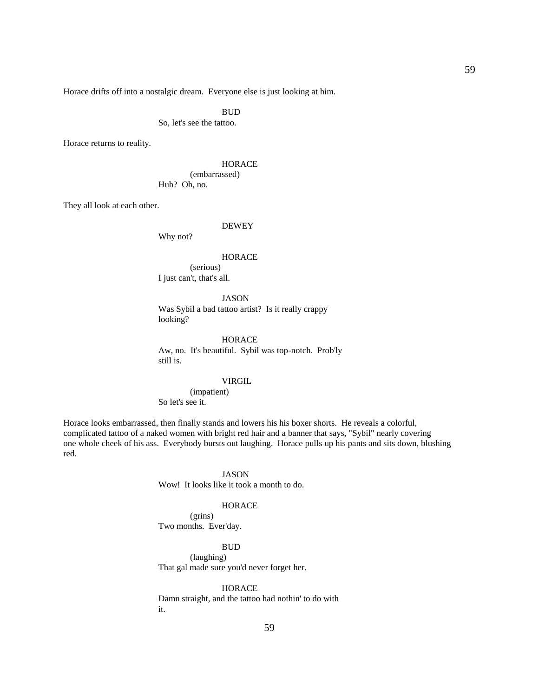Horace drifts off into a nostalgic dream. Everyone else is just looking at him.

**BUD** 

So, let's see the tattoo.

Horace returns to reality.

**HORACE**  (embarrassed) Huh? Oh, no.

They all look at each other.

### DEWEY

Why not?

#### **HORACE**

 (serious) I just can't, that's all.

# JASON

 Was Sybil a bad tattoo artist? Is it really crappy looking?

### **HORACE**

 Aw, no. It's beautiful. Sybil was top-notch. Prob'ly still is.

#### VIRGIL

 (impatient) So let's see it.

Horace looks embarrassed, then finally stands and lowers his his boxer shorts. He reveals a colorful, complicated tattoo of a naked women with bright red hair and a banner that says, "Sybil" nearly covering one whole cheek of his ass. Everybody bursts out laughing. Horace pulls up his pants and sits down, blushing red.

### JASON

Wow! It looks like it took a month to do.

#### **HORACE**

 (grins) Two months. Ever'day.

#### **BUD**

 (laughing) That gal made sure you'd never forget her.

### **HORACE**

 Damn straight, and the tattoo had nothin' to do with it.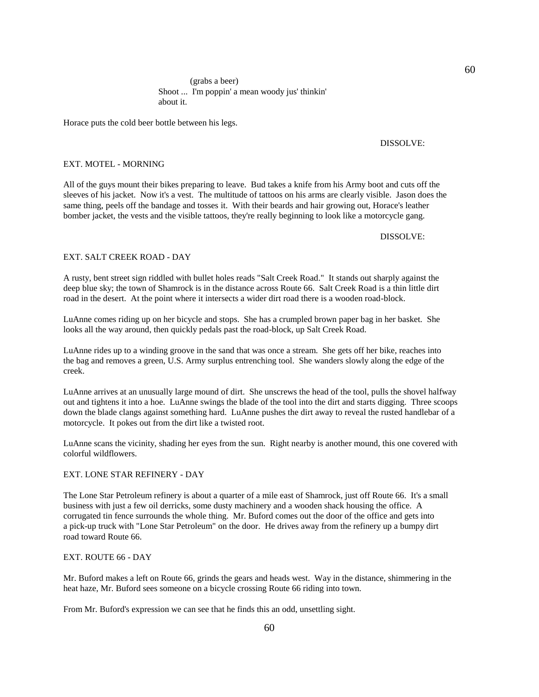# (grabs a beer) Shoot ... I'm poppin' a mean woody jus' thinkin' about it.

Horace puts the cold beer bottle between his legs.

#### DISSOLVE:

60

### EXT. MOTEL - MORNING

All of the guys mount their bikes preparing to leave. Bud takes a knife from his Army boot and cuts off the sleeves of his jacket. Now it's a vest. The multitude of tattoos on his arms are clearly visible. Jason does the same thing, peels off the bandage and tosses it. With their beards and hair growing out, Horace's leather bomber jacket, the vests and the visible tattoos, they're really beginning to look like a motorcycle gang.

#### DISSOLVE:

# EXT. SALT CREEK ROAD - DAY

A rusty, bent street sign riddled with bullet holes reads "Salt Creek Road." It stands out sharply against the deep blue sky; the town of Shamrock is in the distance across Route 66. Salt Creek Road is a thin little dirt road in the desert. At the point where it intersects a wider dirt road there is a wooden road-block.

LuAnne comes riding up on her bicycle and stops. She has a crumpled brown paper bag in her basket. She looks all the way around, then quickly pedals past the road-block, up Salt Creek Road.

LuAnne rides up to a winding groove in the sand that was once a stream. She gets off her bike, reaches into the bag and removes a green, U.S. Army surplus entrenching tool. She wanders slowly along the edge of the creek.

LuAnne arrives at an unusually large mound of dirt. She unscrews the head of the tool, pulls the shovel halfway out and tightens it into a hoe. LuAnne swings the blade of the tool into the dirt and starts digging. Three scoops down the blade clangs against something hard. LuAnne pushes the dirt away to reveal the rusted handlebar of a motorcycle. It pokes out from the dirt like a twisted root.

LuAnne scans the vicinity, shading her eyes from the sun. Right nearby is another mound, this one covered with colorful wildflowers.

### EXT. LONE STAR REFINERY - DAY

The Lone Star Petroleum refinery is about a quarter of a mile east of Shamrock, just off Route 66. It's a small business with just a few oil derricks, some dusty machinery and a wooden shack housing the office. A corrugated tin fence surrounds the whole thing. Mr. Buford comes out the door of the office and gets into a pick-up truck with "Lone Star Petroleum" on the door. He drives away from the refinery up a bumpy dirt road toward Route 66.

# EXT. ROUTE 66 - DAY

Mr. Buford makes a left on Route 66, grinds the gears and heads west. Way in the distance, shimmering in the heat haze, Mr. Buford sees someone on a bicycle crossing Route 66 riding into town.

From Mr. Buford's expression we can see that he finds this an odd, unsettling sight.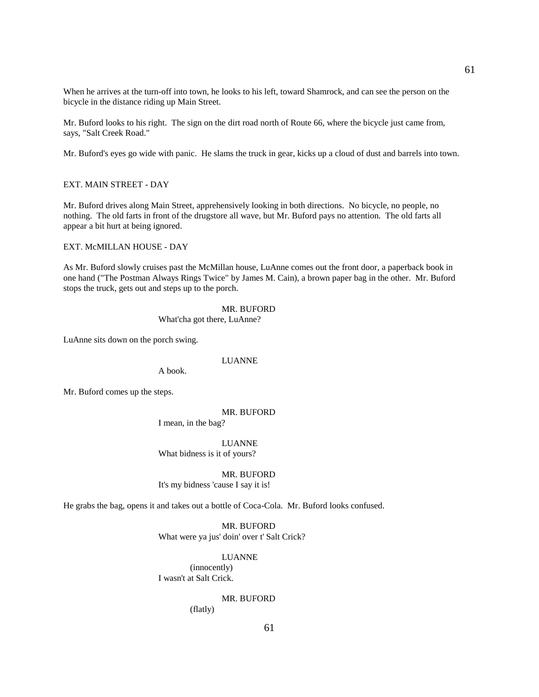When he arrives at the turn-off into town, he looks to his left, toward Shamrock, and can see the person on the bicycle in the distance riding up Main Street.

Mr. Buford looks to his right. The sign on the dirt road north of Route 66, where the bicycle just came from, says, "Salt Creek Road."

Mr. Buford's eyes go wide with panic. He slams the truck in gear, kicks up a cloud of dust and barrels into town.

### EXT. MAIN STREET - DAY

Mr. Buford drives along Main Street, apprehensively looking in both directions. No bicycle, no people, no nothing. The old farts in front of the drugstore all wave, but Mr. Buford pays no attention. The old farts all appear a bit hurt at being ignored.

### EXT. McMILLAN HOUSE - DAY

As Mr. Buford slowly cruises past the McMillan house, LuAnne comes out the front door, a paperback book in one hand ("The Postman Always Rings Twice" by James M. Cain), a brown paper bag in the other. Mr. Buford stops the truck, gets out and steps up to the porch.

> MR. BUFORD What'cha got there, LuAnne?

LuAnne sits down on the porch swing.

### LUANNE

A book.

Mr. Buford comes up the steps.

#### MR. BUFORD

I mean, in the bag?

 LUANNE What bidness is it of yours?

 MR. BUFORD It's my bidness 'cause I say it is!

He grabs the bag, opens it and takes out a bottle of Coca-Cola. Mr. Buford looks confused.

 MR. BUFORD What were ya jus' doin' over t' Salt Crick?

 LUANNE (innocently) I wasn't at Salt Crick.

### MR. BUFORD

(flatly)

61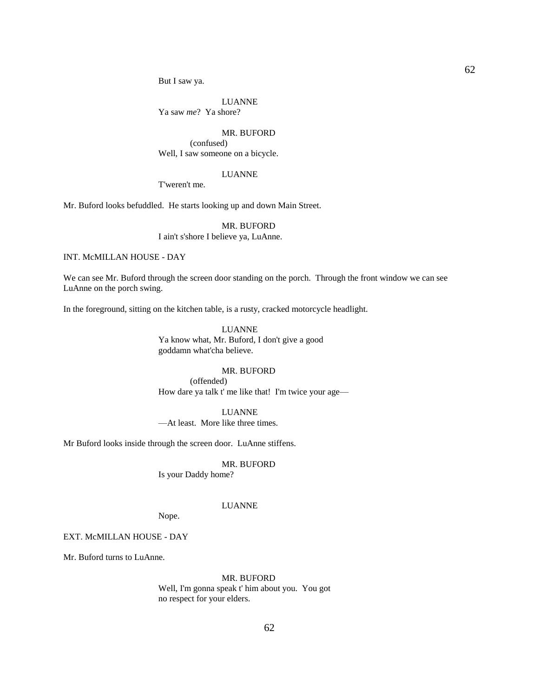But I saw ya.

 LUANNE Ya saw *me*? Ya shore?

# MR. BUFORD

 (confused) Well, I saw someone on a bicycle.

# LUANNE

T'weren't me.

Mr. Buford looks befuddled. He starts looking up and down Main Street.

# MR. BUFORD I ain't s'shore I believe ya, LuAnne.

### INT. McMILLAN HOUSE - DAY

We can see Mr. Buford through the screen door standing on the porch. Through the front window we can see LuAnne on the porch swing.

In the foreground, sitting on the kitchen table, is a rusty, cracked motorcycle headlight.

 LUANNE Ya know what, Mr. Buford, I don't give a good goddamn what'cha believe.

### MR. BUFORD

 (offended) How dare ya talk t' me like that! I'm twice your age—

 LUANNE —At least. More like three times.

Mr Buford looks inside through the screen door. LuAnne stiffens.

# MR. BUFORD

Is your Daddy home?

### LUANNE

Nope.

### EXT. McMILLAN HOUSE - DAY

Mr. Buford turns to LuAnne.

MR. BUFORD

 Well, I'm gonna speak t' him about you. You got no respect for your elders.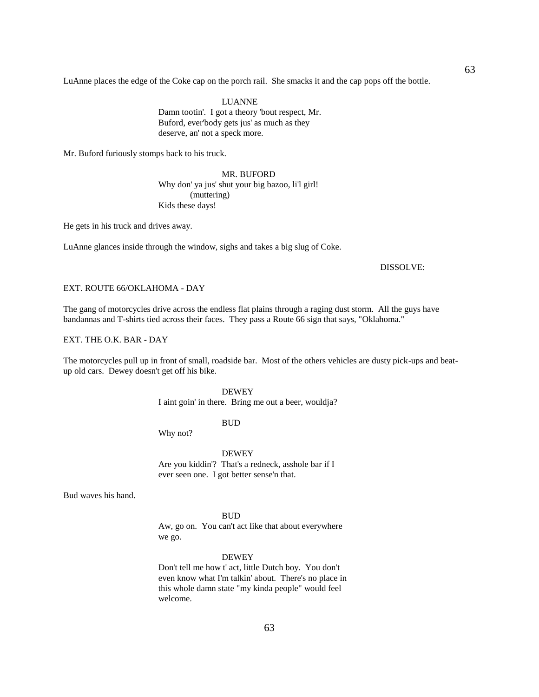LuAnne places the edge of the Coke cap on the porch rail. She smacks it and the cap pops off the bottle.

 LUANNE Damn tootin'. I got a theory 'bout respect, Mr. Buford, ever'body gets jus' as much as they deserve, an' not a speck more.

Mr. Buford furiously stomps back to his truck.

 MR. BUFORD Why don' ya jus' shut your big bazoo, li'l girl! (muttering) Kids these days!

He gets in his truck and drives away.

LuAnne glances inside through the window, sighs and takes a big slug of Coke.

### DISSOLVE:

#### EXT. ROUTE 66/OKLAHOMA - DAY

The gang of motorcycles drive across the endless flat plains through a raging dust storm. All the guys have bandannas and T-shirts tied across their faces. They pass a Route 66 sign that says, "Oklahoma."

EXT. THE O.K. BAR - DAY

The motorcycles pull up in front of small, roadside bar. Most of the others vehicles are dusty pick-ups and beatup old cars. Dewey doesn't get off his bike.

# DEWEY

I aint goin' in there. Bring me out a beer, wouldja?

BUD

Why not?

 DEWEY Are you kiddin'? That's a redneck, asshole bar if I ever seen one. I got better sense'n that.

Bud waves his hand.

#### **BUD**

 Aw, go on. You can't act like that about everywhere we go.

#### DEWEY

 Don't tell me how t' act, little Dutch boy. You don't even know what I'm talkin' about. There's no place in this whole damn state "my kinda people" would feel welcome.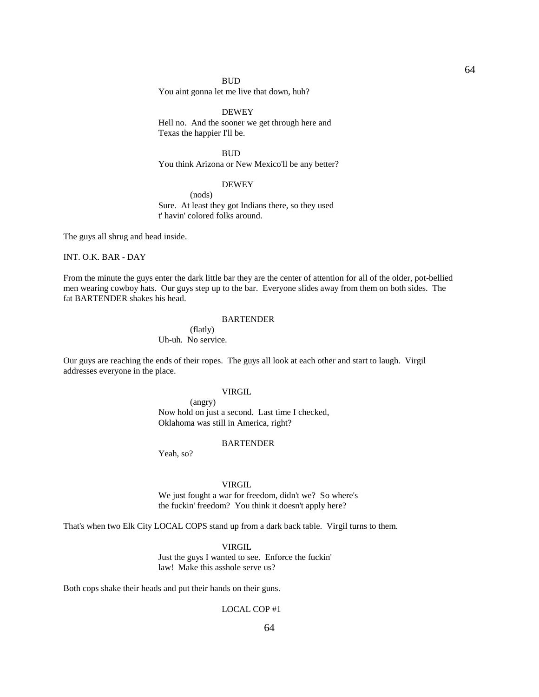#### BUD

You aint gonna let me live that down, huh?

### DEWEY

 Hell no. And the sooner we get through here and Texas the happier I'll be.

**BUD** You think Arizona or New Mexico'll be any better?

### DEWEY

 (nods) Sure. At least they got Indians there, so they used t' havin' colored folks around.

The guys all shrug and head inside.

INT. O.K. BAR - DAY

From the minute the guys enter the dark little bar they are the center of attention for all of the older, pot-bellied men wearing cowboy hats. Our guys step up to the bar. Everyone slides away from them on both sides. The fat BARTENDER shakes his head.

### **BARTENDER**

 (flatly) Uh-uh. No service.

Our guys are reaching the ends of their ropes. The guys all look at each other and start to laugh. Virgil addresses everyone in the place.

# VIRGIL

 (angry) Now hold on just a second. Last time I checked, Oklahoma was still in America, right?

#### **BARTENDER**

Yeah, so?

### VIRGIL

 We just fought a war for freedom, didn't we? So where's the fuckin' freedom? You think it doesn't apply here?

That's when two Elk City LOCAL COPS stand up from a dark back table. Virgil turns to them.

# VIRGIL

 Just the guys I wanted to see. Enforce the fuckin' law! Make this asshole serve us?

Both cops shake their heads and put their hands on their guns.

# LOCAL COP #1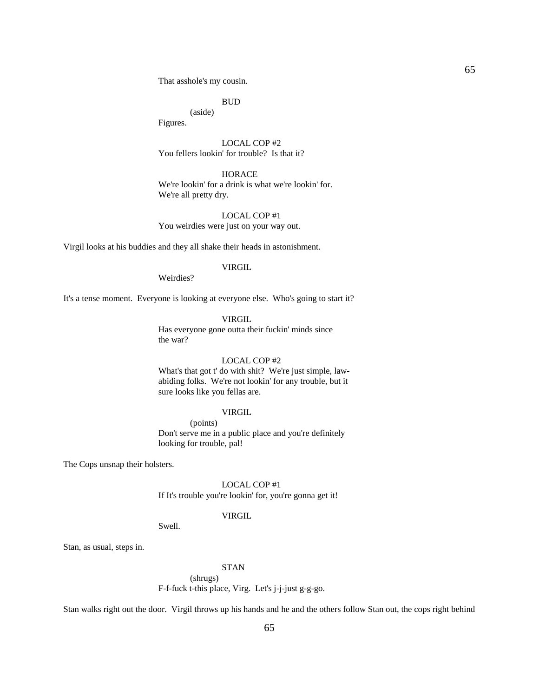That asshole's my cousin.

BUD

 (aside) Figures.

 LOCAL COP #2 You fellers lookin' for trouble? Is that it?

**HORACE**  We're lookin' for a drink is what we're lookin' for. We're all pretty dry.

 LOCAL COP #1 You weirdies were just on your way out.

Virgil looks at his buddies and they all shake their heads in astonishment.

# VIRGIL

Weirdies?

It's a tense moment. Everyone is looking at everyone else. Who's going to start it?

VIRGIL

 Has everyone gone outta their fuckin' minds since the war?

#### LOCAL COP #2

 What's that got t' do with shit? We're just simple, lawabiding folks. We're not lookin' for any trouble, but it sure looks like you fellas are.

# VIRGIL

 (points) Don't serve me in a public place and you're definitely looking for trouble, pal!

The Cops unsnap their holsters.

Stan, as usual, steps in.

 LOCAL COP #1 If It's trouble you're lookin' for, you're gonna get it!

#### VIRGIL

Swell.

#### STAN

(shrugs)

F-f-fuck t-this place, Virg. Let's j-j-just g-g-go.

Stan walks right out the door. Virgil throws up his hands and he and the others follow Stan out, the cops right behind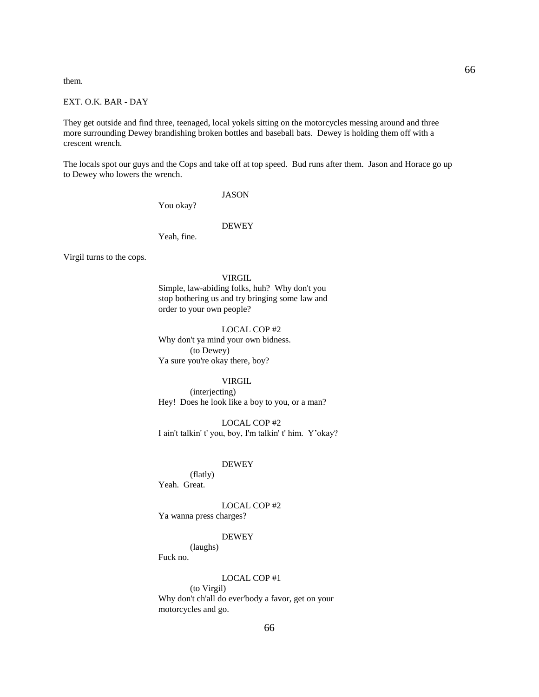them.

# EXT. O.K. BAR - DAY

They get outside and find three, teenaged, local yokels sitting on the motorcycles messing around and three more surrounding Dewey brandishing broken bottles and baseball bats. Dewey is holding them off with a crescent wrench.

The locals spot our guys and the Cops and take off at top speed. Bud runs after them. Jason and Horace go up to Dewey who lowers the wrench.

#### JASON

You okay?

### DEWEY

Yeah, fine.

Virgil turns to the cops.

### VIRGIL

 Simple, law-abiding folks, huh? Why don't you stop bothering us and try bringing some law and order to your own people?

 LOCAL COP #2 Why don't ya mind your own bidness. (to Dewey) Ya sure you're okay there, boy?

### VIRGIL

 (interjecting) Hey! Does he look like a boy to you, or a man?

 LOCAL COP #2 I ain't talkin' t' you, boy, I'm talkin' t' him. Y'okay?

# DEWEY

 (flatly) Yeah. Great.

### LOCAL COP #2

Ya wanna press charges?

#### DEWEY

(laughs)

Fuck no.

#### LOCAL COP #1

 (to Virgil) Why don't ch'all do ever'body a favor, get on your motorcycles and go.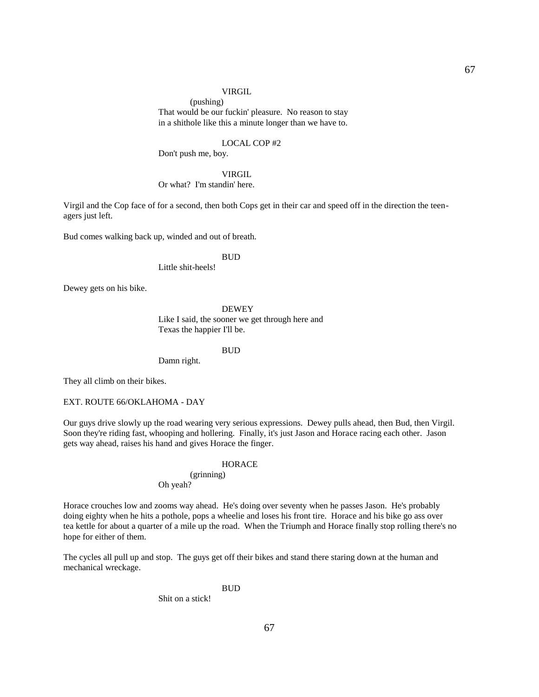#### VIRGIL

 (pushing) That would be our fuckin' pleasure. No reason to stay in a shithole like this a minute longer than we have to.

#### LOCAL COP #2

Don't push me, boy.

### VIRGIL Or what? I'm standin' here.

Virgil and the Cop face of for a second, then both Cops get in their car and speed off in the direction the teenagers just left.

Bud comes walking back up, winded and out of breath.

#### **BUD**

Little shit-heels!

Dewey gets on his bike.

 DEWEY Like I said, the sooner we get through here and Texas the happier I'll be.

**BUD** 

Damn right.

They all climb on their bikes.

EXT. ROUTE 66/OKLAHOMA - DAY

Our guys drive slowly up the road wearing very serious expressions. Dewey pulls ahead, then Bud, then Virgil. Soon they're riding fast, whooping and hollering. Finally, it's just Jason and Horace racing each other. Jason gets way ahead, raises his hand and gives Horace the finger.

### **HORACE**

 (grinning) Oh yeah?

Horace crouches low and zooms way ahead. He's doing over seventy when he passes Jason. He's probably doing eighty when he hits a pothole, pops a wheelie and loses his front tire. Horace and his bike go ass over tea kettle for about a quarter of a mile up the road. When the Triumph and Horace finally stop rolling there's no hope for either of them.

The cycles all pull up and stop. The guys get off their bikes and stand there staring down at the human and mechanical wreckage.

BUD

Shit on a stick!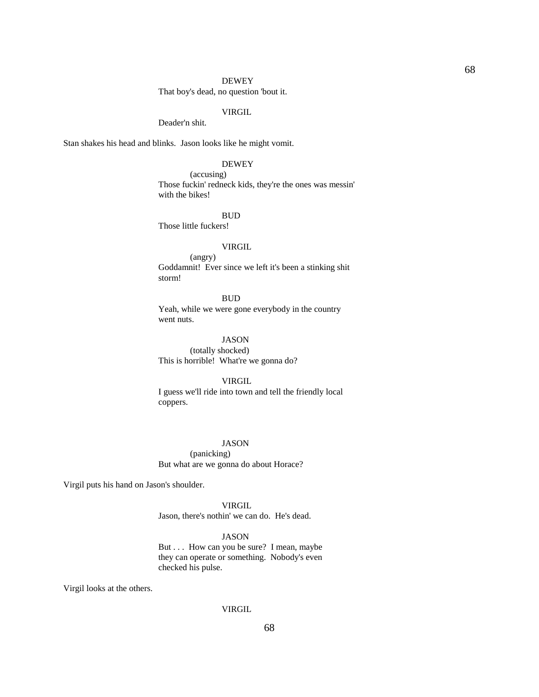#### DEWEY

That boy's dead, no question 'bout it.

# VIRGIL

Deader'n shit.

Stan shakes his head and blinks. Jason looks like he might vomit.

### DEWEY

 (accusing) Those fuckin' redneck kids, they're the ones was messin' with the bikes!

#### BUD

Those little fuckers!

# VIRGIL

 (angry) Goddamnit! Ever since we left it's been a stinking shit storm!

BUD

 Yeah, while we were gone everybody in the country went nuts.

JASON

 (totally shocked) This is horrible! What're we gonna do?

#### VIRGIL

 I guess we'll ride into town and tell the friendly local coppers.

### JASON

 (panicking) But what are we gonna do about Horace?

Virgil puts his hand on Jason's shoulder.

# VIRGIL

Jason, there's nothin' we can do. He's dead.

# JASON

 But . . . How can you be sure? I mean, maybe they can operate or something. Nobody's even checked his pulse.

Virgil looks at the others.

#### VIRGIL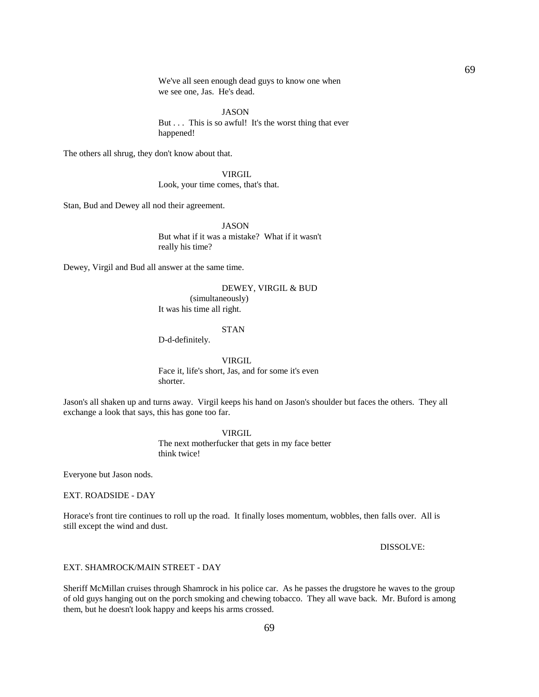We've all seen enough dead guys to know one when we see one, Jas. He's dead.

JASON

But . . . This is so awful! It's the worst thing that ever happened!

The others all shrug, they don't know about that.

 VIRGIL Look, your time comes, that's that.

Stan, Bud and Dewey all nod their agreement.

 JASON But what if it was a mistake? What if it wasn't really his time?

Dewey, Virgil and Bud all answer at the same time.

 DEWEY, VIRGIL & BUD (simultaneously) It was his time all right.

#### STAN

D-d-definitely.

 VIRGIL Face it, life's short, Jas, and for some it's even shorter.

Jason's all shaken up and turns away. Virgil keeps his hand on Jason's shoulder but faces the others. They all exchange a look that says, this has gone too far.

VIRGIL

 The next motherfucker that gets in my face better think twice!

Everyone but Jason nods.

EXT. ROADSIDE - DAY

Horace's front tire continues to roll up the road. It finally loses momentum, wobbles, then falls over. All is still except the wind and dust.

DISSOLVE:

EXT. SHAMROCK/MAIN STREET - DAY

Sheriff McMillan cruises through Shamrock in his police car. As he passes the drugstore he waves to the group of old guys hanging out on the porch smoking and chewing tobacco. They all wave back. Mr. Buford is among them, but he doesn't look happy and keeps his arms crossed.

69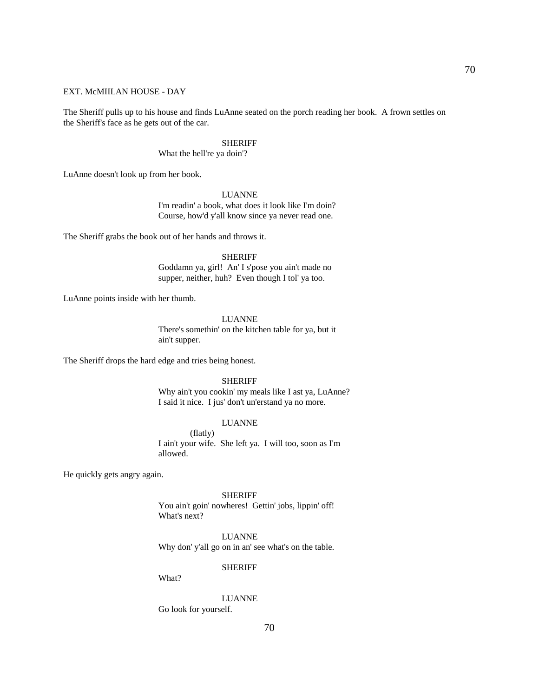### EXT. McMIILAN HOUSE - DAY

The Sheriff pulls up to his house and finds LuAnne seated on the porch reading her book. A frown settles on the Sheriff's face as he gets out of the car.

#### SHERIFF

What the hell're ya doin'?

LuAnne doesn't look up from her book.

#### LUANNE

 I'm readin' a book, what does it look like I'm doin? Course, how'd y'all know since ya never read one.

The Sheriff grabs the book out of her hands and throws it.

#### SHERIFF

 Goddamn ya, girl! An' I s'pose you ain't made no supper, neither, huh? Even though I tol' ya too.

LuAnne points inside with her thumb.

# LUANNE

 There's somethin' on the kitchen table for ya, but it ain't supper.

The Sheriff drops the hard edge and tries being honest.

#### SHERIFF

 Why ain't you cookin' my meals like I ast ya, LuAnne? I said it nice. I jus' don't un'erstand ya no more.

### LUANNE

 (flatly) I ain't your wife. She left ya. I will too, soon as I'm allowed.

He quickly gets angry again.

 SHERIFF You ain't goin' nowheres! Gettin' jobs, lippin' off! What's next?

LUANNE

Why don' y'all go on in an' see what's on the table.

SHERIFF

What?

# LUANNE

Go look for yourself.

70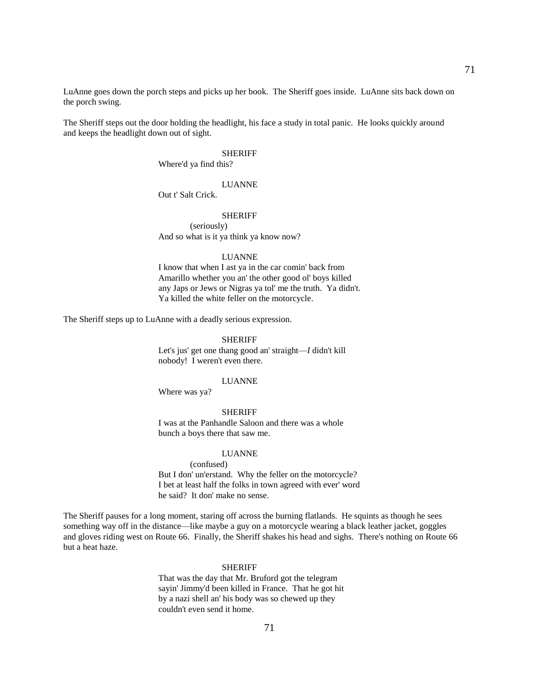LuAnne goes down the porch steps and picks up her book. The Sheriff goes inside. LuAnne sits back down on the porch swing.

The Sheriff steps out the door holding the headlight, his face a study in total panic. He looks quickly around and keeps the headlight down out of sight.

#### SHERIFF

Where'd ya find this?

### LUANNE

Out t' Salt Crick.

#### SHERIFF

 (seriously) And so what is it ya think ya know now?

#### LUANNE

 I know that when I ast ya in the car comin' back from Amarillo whether you an' the other good ol' boys killed any Japs or Jews or Nigras ya tol' me the truth. Ya didn't. Ya killed the white feller on the motorcycle.

The Sheriff steps up to LuAnne with a deadly serious expression.

### SHERIFF

 Let's jus' get one thang good an' straight—*I* didn't kill nobody! I weren't even there.

#### LUANNE

Where was ya?

### **SHERIFF**

 I was at the Panhandle Saloon and there was a whole bunch a boys there that saw me.

#### LUANNE

 (confused) But I don' un'erstand. Why the feller on the motorcycle? I bet at least half the folks in town agreed with ever' word he said? It don' make no sense.

The Sheriff pauses for a long moment, staring off across the burning flatlands. He squints as though he sees something way off in the distance—like maybe a guy on a motorcycle wearing a black leather jacket, goggles and gloves riding west on Route 66. Finally, the Sheriff shakes his head and sighs. There's nothing on Route 66 but a heat haze.

#### SHERIFF

 That was the day that Mr. Bruford got the telegram sayin' Jimmy'd been killed in France. That he got hit by a nazi shell an' his body was so chewed up they couldn't even send it home.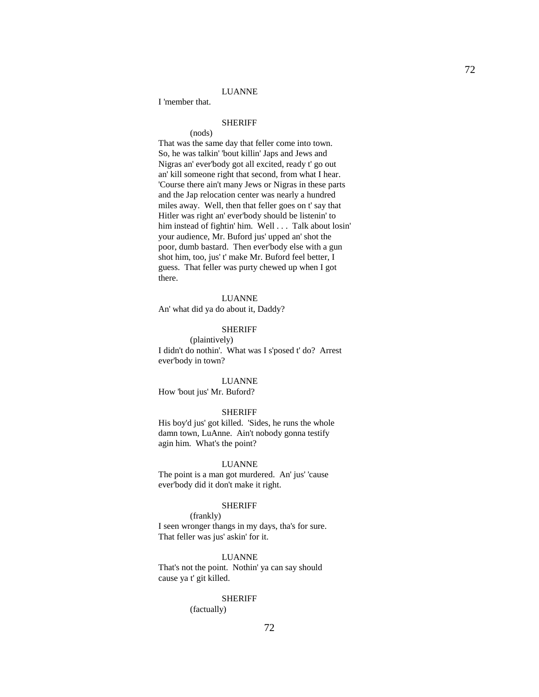### LUANNE

I 'member that.

# SHERIFF

(nods)

 That was the same day that feller come into town. So, he was talkin' 'bout killin' Japs and Jews and Nigras an' ever'body got all excited, ready t' go out an' kill someone right that second, from what I hear. 'Course there ain't many Jews or Nigras in these parts and the Jap relocation center was nearly a hundred miles away. Well, then that feller goes on t' say that Hitler was right an' ever'body should be listenin' to him instead of fightin' him. Well . . . Talk about losin' your audience, Mr. Buford jus' upped an' shot the poor, dumb bastard. Then ever'body else with a gun shot him, too, jus' t' make Mr. Buford feel better, I guess. That feller was purty chewed up when I got there.

#### LUANNE

An' what did ya do about it, Daddy?

### SHERIFF

 (plaintively) I didn't do nothin'. What was I s'posed t' do? Arrest ever'body in town?

#### LUANNE

How 'bout jus' Mr. Buford?

### SHERIFF

 His boy'd jus' got killed. 'Sides, he runs the whole damn town, LuAnne. Ain't nobody gonna testify agin him. What's the point?

#### LUANNE

 The point is a man got murdered. An' jus' 'cause ever'body did it don't make it right.

#### SHERIFF

(frankly)

 I seen wronger thangs in my days, tha's for sure. That feller was jus' askin' for it.

#### LUANNE

 That's not the point. Nothin' ya can say should cause ya t' git killed.

# SHERIFF

(factually)

72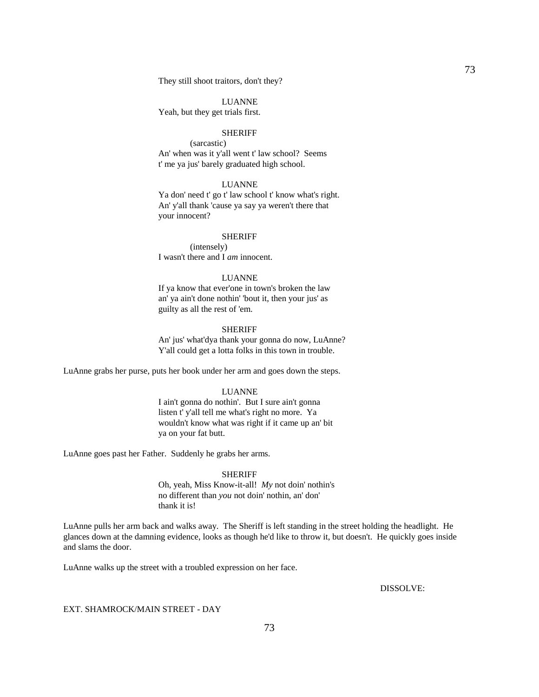LUANNE Yeah, but they get trials first.

## **SHERIFF**

 (sarcastic) An' when was it y'all went t' law school? Seems t' me ya jus' barely graduated high school.

## LUANNE

 Ya don' need t' go t' law school t' know what's right. An' y'all thank 'cause ya say ya weren't there that your innocent?

#### SHERIFF

 (intensely) I wasn't there and I *am* innocent.

### LUANNE

 If ya know that ever'one in town's broken the law an' ya ain't done nothin' 'bout it, then your jus' as guilty as all the rest of 'em.

#### SHERIFF

 An' jus' what'dya thank your gonna do now, LuAnne? Y'all could get a lotta folks in this town in trouble.

LuAnne grabs her purse, puts her book under her arm and goes down the steps.

## LUANNE

 I ain't gonna do nothin'. But I sure ain't gonna listen t' y'all tell me what's right no more. Ya wouldn't know what was right if it came up an' bit ya on your fat butt.

LuAnne goes past her Father. Suddenly he grabs her arms.

#### SHERIFF

 Oh, yeah, Miss Know-it-all! *My* not doin' nothin's no different than *you* not doin' nothin, an' don' thank it is!

LuAnne pulls her arm back and walks away. The Sheriff is left standing in the street holding the headlight. He glances down at the damning evidence, looks as though he'd like to throw it, but doesn't. He quickly goes inside and slams the door.

LuAnne walks up the street with a troubled expression on her face.

DISSOLVE:

### EXT. SHAMROCK/MAIN STREET - DAY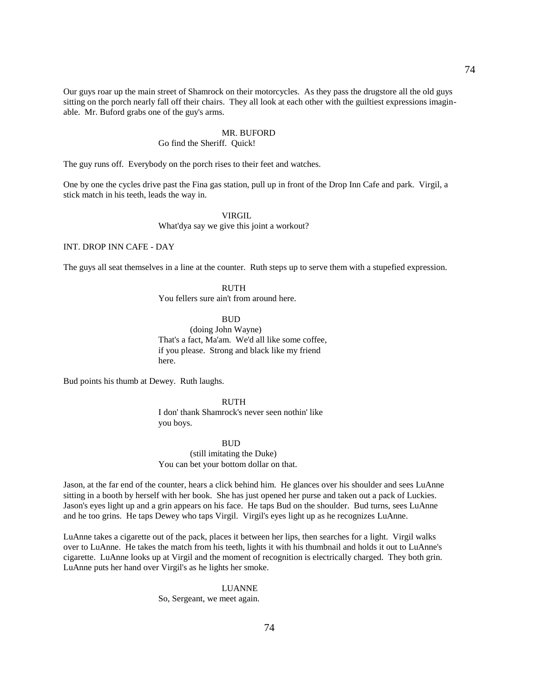Our guys roar up the main street of Shamrock on their motorcycles. As they pass the drugstore all the old guys sitting on the porch nearly fall off their chairs. They all look at each other with the guiltiest expressions imaginable. Mr. Buford grabs one of the guy's arms.

#### MR. BUFORD

## Go find the Sheriff. Quick!

The guy runs off. Everybody on the porch rises to their feet and watches.

One by one the cycles drive past the Fina gas station, pull up in front of the Drop Inn Cafe and park. Virgil, a stick match in his teeth, leads the way in.

## VIRGIL

What'dya say we give this joint a workout?

## INT. DROP INN CAFE - DAY

The guys all seat themselves in a line at the counter. Ruth steps up to serve them with a stupefied expression.

#### RUTH

You fellers sure ain't from around here.

**BUD** 

 (doing John Wayne) That's a fact, Ma'am. We'd all like some coffee, if you please. Strong and black like my friend here.

Bud points his thumb at Dewey. Ruth laughs.

 RUTH I don' thank Shamrock's never seen nothin' like you boys.

#### BUD

(still imitating the Duke) You can bet your bottom dollar on that.

Jason, at the far end of the counter, hears a click behind him. He glances over his shoulder and sees LuAnne sitting in a booth by herself with her book. She has just opened her purse and taken out a pack of Luckies. Jason's eyes light up and a grin appears on his face. He taps Bud on the shoulder. Bud turns, sees LuAnne and he too grins. He taps Dewey who taps Virgil. Virgil's eyes light up as he recognizes LuAnne.

LuAnne takes a cigarette out of the pack, places it between her lips, then searches for a light. Virgil walks over to LuAnne. He takes the match from his teeth, lights it with his thumbnail and holds it out to LuAnne's cigarette. LuAnne looks up at Virgil and the moment of recognition is electrically charged. They both grin. LuAnne puts her hand over Virgil's as he lights her smoke.

> LUANNE So, Sergeant, we meet again.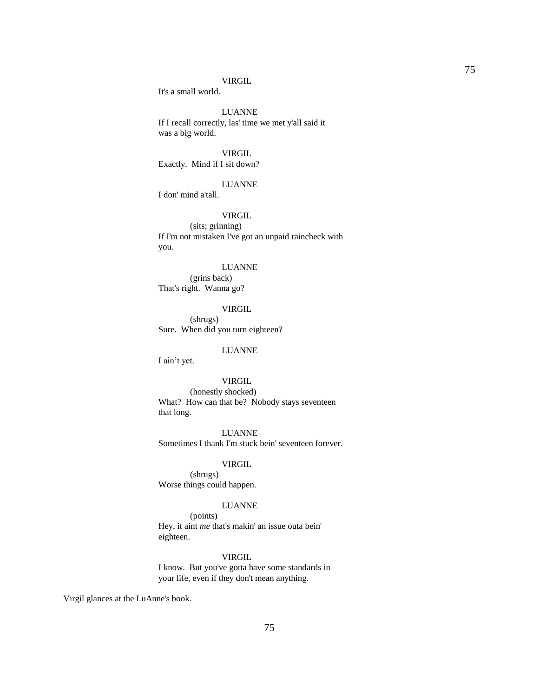#### VIRGIL

It's a small world.

## LUANNE

 If I recall correctly, las' time we met y'all said it was a big world.

## VIRGIL

Exactly. Mind if I sit down?

## LUANNE

I don' mind a'tall.

### VIRGIL

 (sits; grinning) If I'm not mistaken I've got an unpaid raincheck with you.

#### LUANNE

 (grins back) That's right. Wanna go?

### VIRGIL

 (shrugs) Sure. When did you turn eighteen?

## LUANNE

I ain't yet.

## VIRGIL

 (honestly shocked) What? How can that be? Nobody stays seventeen that long.

 LUANNE Sometimes I thank I'm stuck bein' seventeen forever.

### VIRGIL

 (shrugs) Worse things could happen.

#### LUANNE

 (points) Hey, it aint *me* that's makin' an issue outa bein' eighteen.

## VIRGIL

 I know. But you've gotta have some standards in your life, even if they don't mean anything.

Virgil glances at the LuAnne's book.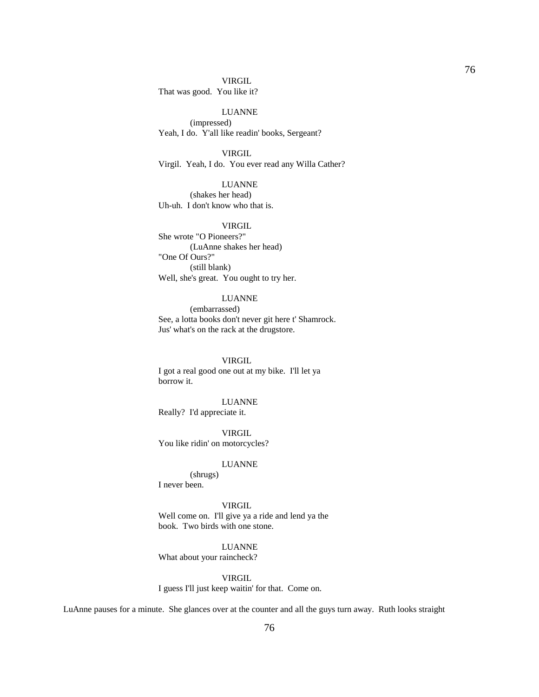### VIRGIL

That was good. You like it?

 LUANNE (impressed) Yeah, I do. Y'all like readin' books, Sergeant?

VIRGIL

Virgil. Yeah, I do. You ever read any Willa Cather?

## LUANNE

 (shakes her head) Uh-uh. I don't know who that is.

## VIRGIL

 She wrote "O Pioneers?" (LuAnne shakes her head) "One Of Ours?" (still blank) Well, she's great. You ought to try her.

### LUANNE

 (embarrassed) See, a lotta books don't never git here t' Shamrock. Jus' what's on the rack at the drugstore.

#### VIRGIL

 I got a real good one out at my bike. I'll let ya borrow it.

#### LUANNE

Really? I'd appreciate it.

 VIRGIL You like ridin' on motorcycles?

## LUANNE

 (shrugs) I never been.

## **VIRGIL**

 Well come on. I'll give ya a ride and lend ya the book. Two birds with one stone.

## LUANNE

What about your raincheck?

VIRGIL

I guess I'll just keep waitin' for that. Come on.

LuAnne pauses for a minute. She glances over at the counter and all the guys turn away. Ruth looks straight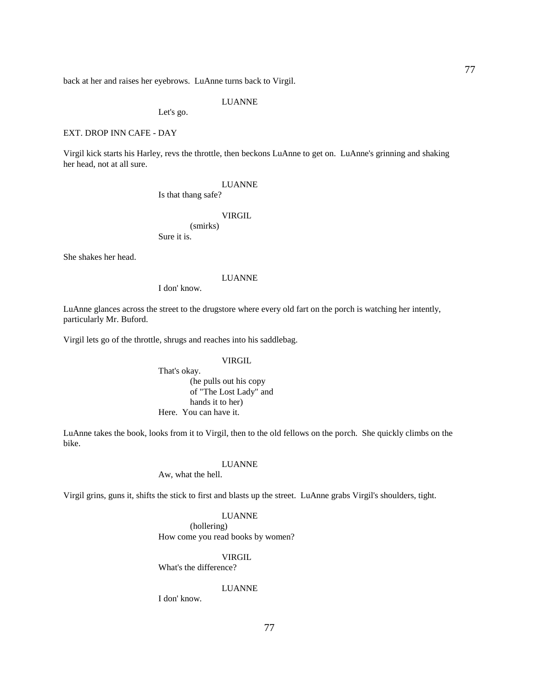back at her and raises her eyebrows. LuAnne turns back to Virgil.

LUANNE

Let's go.

## EXT. DROP INN CAFE - DAY

Virgil kick starts his Harley, revs the throttle, then beckons LuAnne to get on. LuAnne's grinning and shaking her head, not at all sure.

### LUANNE

Is that thang safe?

VIRGIL

 (smirks) Sure it is.

She shakes her head.

### LUANNE

I don' know.

LuAnne glances across the street to the drugstore where every old fart on the porch is watching her intently, particularly Mr. Buford.

Virgil lets go of the throttle, shrugs and reaches into his saddlebag.

### VIRGIL

 That's okay. (he pulls out his copy of "The Lost Lady" and hands it to her) Here. You can have it.

LuAnne takes the book, looks from it to Virgil, then to the old fellows on the porch. She quickly climbs on the bike.

## LUANNE

Aw, what the hell.

Virgil grins, guns it, shifts the stick to first and blasts up the street. LuAnne grabs Virgil's shoulders, tight.

#### LUANNE

 (hollering) How come you read books by women?

VIRGIL

What's the difference?

## LUANNE

I don' know.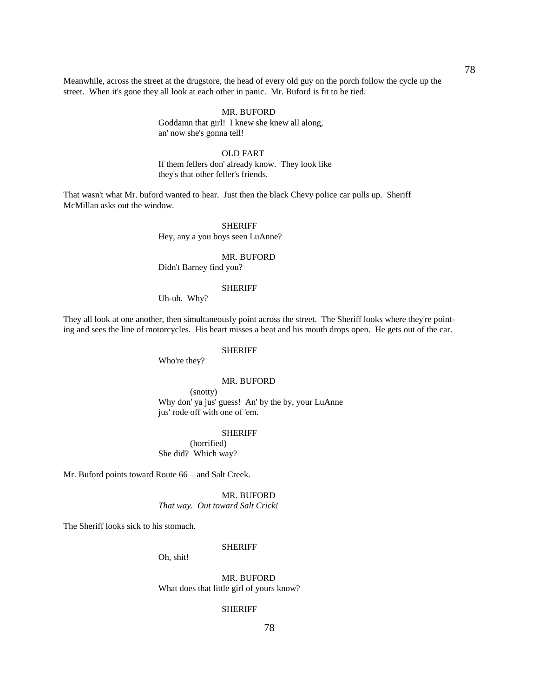Meanwhile, across the street at the drugstore, the head of every old guy on the porch follow the cycle up the street. When it's gone they all look at each other in panic. Mr. Buford is fit to be tied.

## MR. BUFORD

 Goddamn that girl! I knew she knew all along, an' now she's gonna tell!

### OLD FART

 If them fellers don' already know. They look like they's that other feller's friends.

That wasn't what Mr. buford wanted to hear. Just then the black Chevy police car pulls up. Sheriff McMillan asks out the window.

## **SHERIFF**

Hey, any a you boys seen LuAnne?

## MR. BUFORD

Didn't Barney find you?

#### SHERIFF

Uh-uh. Why?

They all look at one another, then simultaneously point across the street. The Sheriff looks where they're pointing and sees the line of motorcycles. His heart misses a beat and his mouth drops open. He gets out of the car.

#### SHERIFF

Who're they?

#### MR. BUFORD

 (snotty) Why don' ya jus' guess! An' by the by, your LuAnne jus' rode off with one of 'em.

SHERIFF

 (horrified) She did? Which way?

Mr. Buford points toward Route 66—and Salt Creek.

 MR. BUFORD *That way. Out toward Salt Crick!*

The Sheriff looks sick to his stomach.

#### SHERIFF

Oh, shit!

 MR. BUFORD What does that little girl of yours know?

## SHERIFF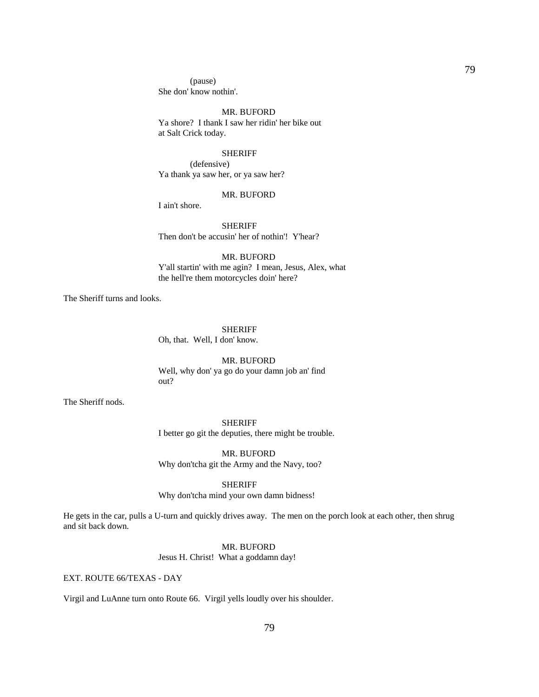(pause) She don' know nothin'.

#### MR. BUFORD

 Ya shore? I thank I saw her ridin' her bike out at Salt Crick today.

#### SHERIFF

 (defensive) Ya thank ya saw her, or ya saw her?

#### MR. BUFORD

I ain't shore.

 SHERIFF Then don't be accusin' her of nothin'! Y'hear?

## MR. BUFORD

 Y'all startin' with me agin? I mean, Jesus, Alex, what the hell're them motorcycles doin' here?

The Sheriff turns and looks.

SHERIFF

Oh, that. Well, I don' know.

 MR. BUFORD Well, why don' ya go do your damn job an' find out?

The Sheriff nods.

 SHERIFF I better go git the deputies, there might be trouble.

 MR. BUFORD Why don'tcha git the Army and the Navy, too?

### SHERIFF

Why don'tcha mind your own damn bidness!

He gets in the car, pulls a U-turn and quickly drives away. The men on the porch look at each other, then shrug and sit back down.

## MR. BUFORD

Jesus H. Christ! What a goddamn day!

EXT. ROUTE 66/TEXAS - DAY

Virgil and LuAnne turn onto Route 66. Virgil yells loudly over his shoulder.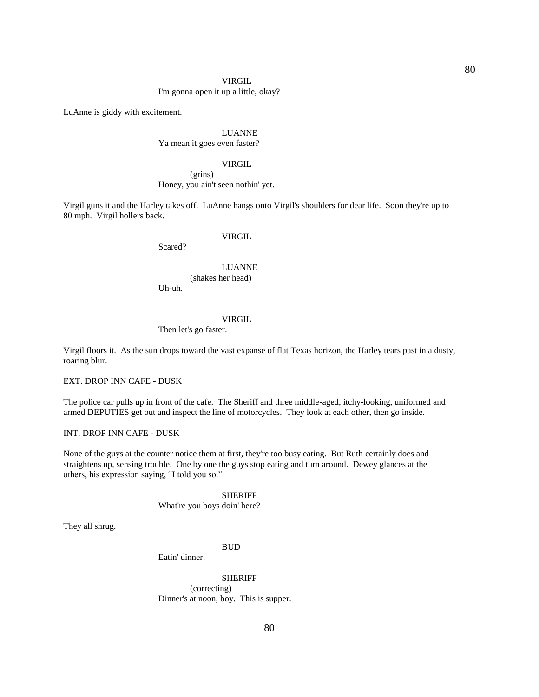#### VIRGIL

## I'm gonna open it up a little, okay?

LuAnne is giddy with excitement.

## LUANNE Ya mean it goes even faster?

### VIRGIL

## (grins) Honey, you ain't seen nothin' yet.

Virgil guns it and the Harley takes off. LuAnne hangs onto Virgil's shoulders for dear life. Soon they're up to 80 mph. Virgil hollers back.

## VIRGIL

Scared?

# LUANNE (shakes her head)

Uh-uh.

### VIRGIL

## Then let's go faster.

Virgil floors it. As the sun drops toward the vast expanse of flat Texas horizon, the Harley tears past in a dusty, roaring blur.

EXT. DROP INN CAFE - DUSK

The police car pulls up in front of the cafe. The Sheriff and three middle-aged, itchy-looking, uniformed and armed DEPUTIES get out and inspect the line of motorcycles. They look at each other, then go inside.

## INT. DROP INN CAFE - DUSK

None of the guys at the counter notice them at first, they're too busy eating. But Ruth certainly does and straightens up, sensing trouble. One by one the guys stop eating and turn around. Dewey glances at the others, his expression saying, "I told you so."

> SHERIFF What're you boys doin' here?

They all shrug.

### **BUD**

Eatin' dinner.

## SHERIFF

 (correcting) Dinner's at noon, boy. This is supper.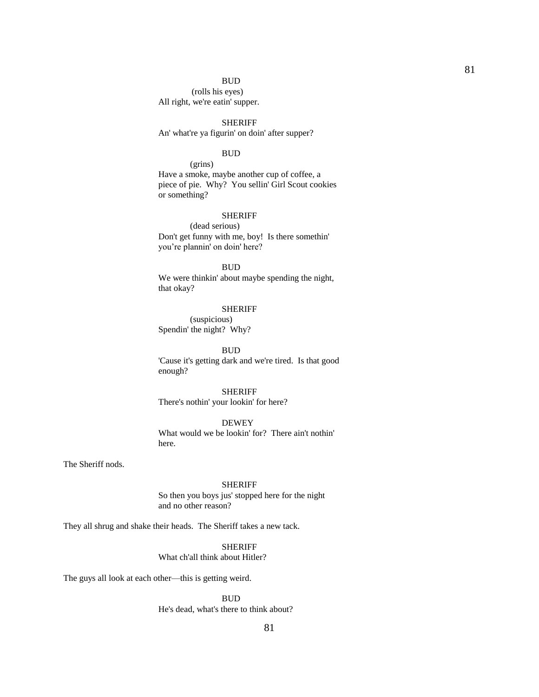#### BUD

 (rolls his eyes) All right, we're eatin' supper.

## SHERIFF

An' what're ya figurin' on doin' after supper?

#### **BUD**

 (grins) Have a smoke, maybe another cup of coffee, a piece of pie. Why? You sellin' Girl Scout cookies or something?

#### SHERIFF

 (dead serious) Don't get funny with me, boy! Is there somethin' you're plannin' on doin' here?

**BUD**  We were thinkin' about maybe spending the night, that okay?

#### SHERIFF

 (suspicious) Spendin' the night? Why?

**BUD** 

 'Cause it's getting dark and we're tired. Is that good enough?

## SHERIFF

There's nothin' your lookin' for here?

## DEWEY

 What would we be lookin' for? There ain't nothin' here.

The Sheriff nods.

### SHERIFF

 So then you boys jus' stopped here for the night and no other reason?

They all shrug and shake their heads. The Sheriff takes a new tack.

## SHERIFF

## What ch'all think about Hitler?

The guys all look at each other—this is getting weird.

**BUD** 

He's dead, what's there to think about?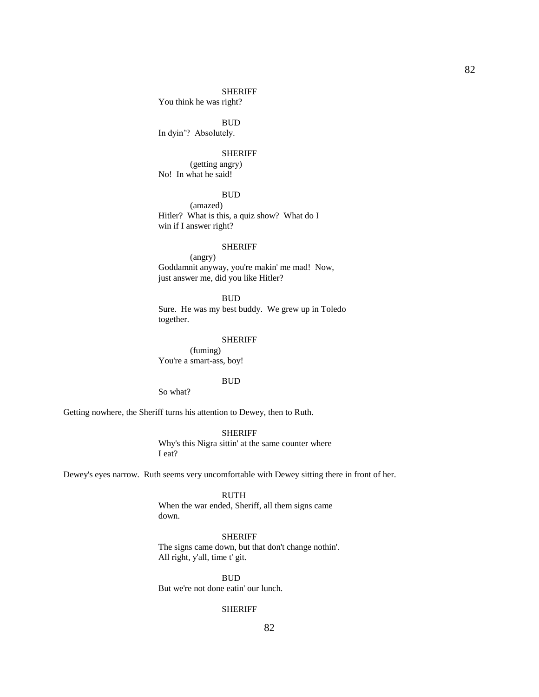#### SHERIFF

You think he was right?

**BUD** 

In dyin'? Absolutely.

#### SHERIFF

 (getting angry) No! In what he said!

#### BUD

 (amazed) Hitler? What is this, a quiz show? What do I win if I answer right?

### SHERIFF

 (angry) Goddamnit anyway, you're makin' me mad! Now, just answer me, did you like Hitler?

 BUD Sure. He was my best buddy. We grew up in Toledo together.

#### SHERIFF

 (fuming) You're a smart-ass, boy!

#### **BUD**

So what?

Getting nowhere, the Sheriff turns his attention to Dewey, then to Ruth.

#### SHERIFF

 Why's this Nigra sittin' at the same counter where I eat?

Dewey's eyes narrow. Ruth seems very uncomfortable with Dewey sitting there in front of her.

 RUTH When the war ended, Sheriff, all them signs came down.

## SHERIFF

 The signs came down, but that don't change nothin'. All right, y'all, time t' git.

**BUD** 

But we're not done eatin' our lunch.

## SHERIFF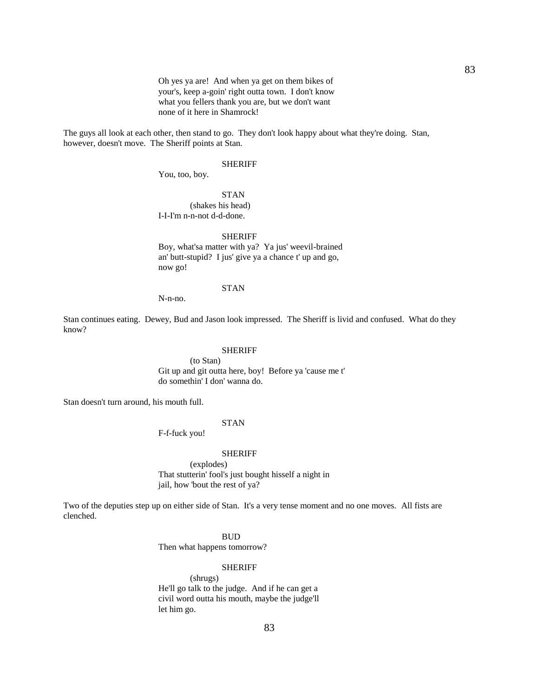Oh yes ya are! And when ya get on them bikes of your's, keep a-goin' right outta town. I don't know what you fellers thank you are, but we don't want none of it here in Shamrock!

The guys all look at each other, then stand to go. They don't look happy about what they're doing. Stan, however, doesn't move. The Sheriff points at Stan.

#### SHERIFF

You, too, boy.

 STAN (shakes his head) I-I-I'm n-n-not d-d-done.

#### SHERIFF

 Boy, what'sa matter with ya? Ya jus' weevil-brained an' butt-stupid? I jus' give ya a chance t' up and go, now go!

#### STAN

N-n-no.

Stan continues eating. Dewey, Bud and Jason look impressed. The Sheriff is livid and confused. What do they know?

#### SHERIFF

 (to Stan) Git up and git outta here, boy! Before ya 'cause me t' do somethin' I don' wanna do.

Stan doesn't turn around, his mouth full.

## STAN

F-f-fuck you!

#### SHERIFF

 (explodes) That stutterin' fool's just bought hisself a night in jail, how 'bout the rest of ya?

Two of the deputies step up on either side of Stan. It's a very tense moment and no one moves. All fists are clenched.

#### **BUD**

Then what happens tomorrow?

## SHERIFF

 (shrugs) He'll go talk to the judge. And if he can get a civil word outta his mouth, maybe the judge'll let him go.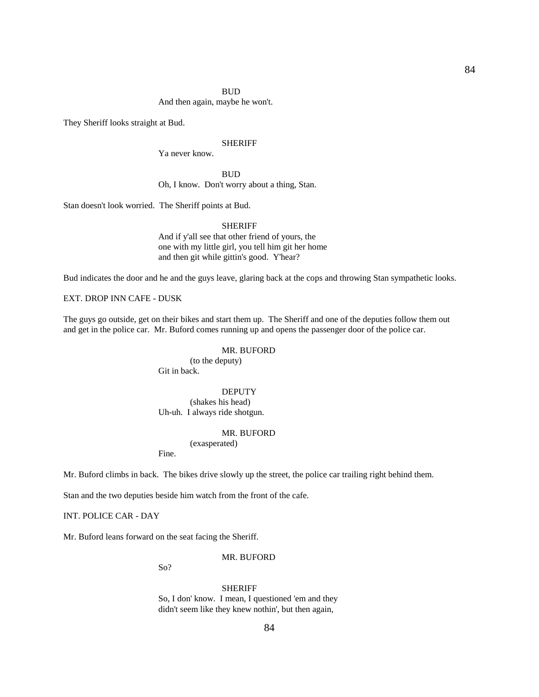### **BUD**

And then again, maybe he won't.

They Sheriff looks straight at Bud.

### SHERIFF

Ya never know.

**BUD** Oh, I know. Don't worry about a thing, Stan.

Stan doesn't look worried. The Sheriff points at Bud.

## **SHERIFF**

 And if y'all see that other friend of yours, the one with my little girl, you tell him git her home and then git while gittin's good. Y'hear?

Bud indicates the door and he and the guys leave, glaring back at the cops and throwing Stan sympathetic looks.

EXT. DROP INN CAFE - DUSK

The guys go outside, get on their bikes and start them up. The Sheriff and one of the deputies follow them out and get in the police car. Mr. Buford comes running up and opens the passenger door of the police car.

## MR. BUFORD

 (to the deputy) Git in back.

## DEPUTY

 (shakes his head) Uh-uh. I always ride shotgun.

### MR. BUFORD

(exasperated)

Fine.

Mr. Buford climbs in back. The bikes drive slowly up the street, the police car trailing right behind them.

Stan and the two deputies beside him watch from the front of the cafe.

INT. POLICE CAR - DAY

Mr. Buford leans forward on the seat facing the Sheriff.

#### MR. BUFORD

So?

#### **SHERIFF**

 So, I don' know. I mean, I questioned 'em and they didn't seem like they knew nothin', but then again,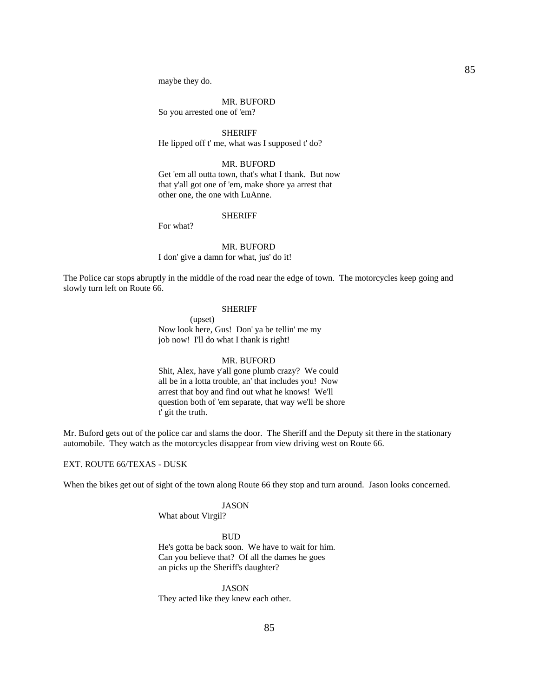maybe they do.

## MR. BUFORD

So you arrested one of 'em?

**SHERIFF** He lipped off t' me, what was I supposed t' do?

### MR. BUFORD

 Get 'em all outta town, that's what I thank. But now that y'all got one of 'em, make shore ya arrest that other one, the one with LuAnne.

#### **SHERIFF**

For what?

## MR. BUFORD

I don' give a damn for what, jus' do it!

The Police car stops abruptly in the middle of the road near the edge of town. The motorcycles keep going and slowly turn left on Route 66.

#### SHERIFF

 (upset) Now look here, Gus! Don' ya be tellin' me my job now! I'll do what I thank is right!

### MR. BUFORD

 Shit, Alex, have y'all gone plumb crazy? We could all be in a lotta trouble, an' that includes you! Now arrest that boy and find out what he knows! We'll question both of 'em separate, that way we'll be shore t' git the truth.

Mr. Buford gets out of the police car and slams the door. The Sheriff and the Deputy sit there in the stationary automobile. They watch as the motorcycles disappear from view driving west on Route 66.

## EXT. ROUTE 66/TEXAS - DUSK

When the bikes get out of sight of the town along Route 66 they stop and turn around. Jason looks concerned.

#### JASON

What about Virgil?

#### **BUD**

 He's gotta be back soon. We have to wait for him. Can you believe that? Of all the dames he goes an picks up the Sheriff's daughter?

 JASON They acted like they knew each other.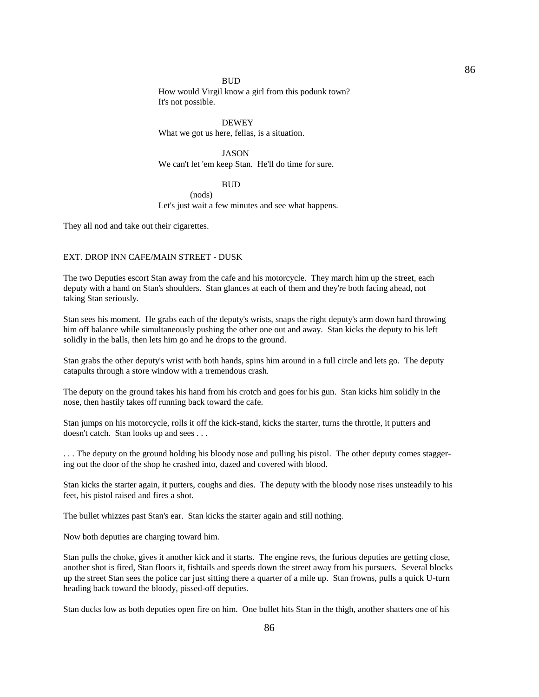#### BUD

 How would Virgil know a girl from this podunk town? It's not possible.

 DEWEY What we got us here, fellas, is a situation.

 JASON We can't let 'em keep Stan. He'll do time for sure.

#### **BUD**

 (nods) Let's just wait a few minutes and see what happens.

They all nod and take out their cigarettes.

## EXT. DROP INN CAFE/MAIN STREET - DUSK

The two Deputies escort Stan away from the cafe and his motorcycle. They march him up the street, each deputy with a hand on Stan's shoulders. Stan glances at each of them and they're both facing ahead, not taking Stan seriously.

Stan sees his moment. He grabs each of the deputy's wrists, snaps the right deputy's arm down hard throwing him off balance while simultaneously pushing the other one out and away. Stan kicks the deputy to his left solidly in the balls, then lets him go and he drops to the ground.

Stan grabs the other deputy's wrist with both hands, spins him around in a full circle and lets go. The deputy catapults through a store window with a tremendous crash.

The deputy on the ground takes his hand from his crotch and goes for his gun. Stan kicks him solidly in the nose, then hastily takes off running back toward the cafe.

Stan jumps on his motorcycle, rolls it off the kick-stand, kicks the starter, turns the throttle, it putters and doesn't catch. Stan looks up and sees . . .

. . . The deputy on the ground holding his bloody nose and pulling his pistol. The other deputy comes staggering out the door of the shop he crashed into, dazed and covered with blood.

Stan kicks the starter again, it putters, coughs and dies. The deputy with the bloody nose rises unsteadily to his feet, his pistol raised and fires a shot.

The bullet whizzes past Stan's ear. Stan kicks the starter again and still nothing.

Now both deputies are charging toward him.

Stan pulls the choke, gives it another kick and it starts. The engine revs, the furious deputies are getting close, another shot is fired, Stan floors it, fishtails and speeds down the street away from his pursuers. Several blocks up the street Stan sees the police car just sitting there a quarter of a mile up. Stan frowns, pulls a quick U-turn heading back toward the bloody, pissed-off deputies.

Stan ducks low as both deputies open fire on him. One bullet hits Stan in the thigh, another shatters one of his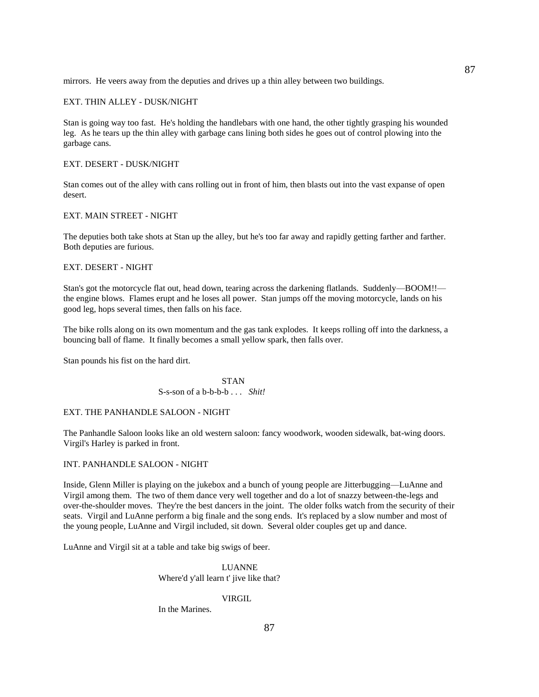mirrors. He veers away from the deputies and drives up a thin alley between two buildings.

### EXT. THIN ALLEY - DUSK/NIGHT

Stan is going way too fast. He's holding the handlebars with one hand, the other tightly grasping his wounded leg. As he tears up the thin alley with garbage cans lining both sides he goes out of control plowing into the garbage cans.

## EXT. DESERT - DUSK/NIGHT

Stan comes out of the alley with cans rolling out in front of him, then blasts out into the vast expanse of open desert.

### EXT. MAIN STREET - NIGHT

The deputies both take shots at Stan up the alley, but he's too far away and rapidly getting farther and farther. Both deputies are furious.

## EXT. DESERT - NIGHT

Stan's got the motorcycle flat out, head down, tearing across the darkening flatlands. Suddenly—BOOM!! the engine blows. Flames erupt and he loses all power. Stan jumps off the moving motorcycle, lands on his good leg, hops several times, then falls on his face.

The bike rolls along on its own momentum and the gas tank explodes. It keeps rolling off into the darkness, a bouncing ball of flame. It finally becomes a small yellow spark, then falls over.

Stan pounds his fist on the hard dirt.

STAN STAN S-s-son of a b-b-b-b . . . *Shit!*

## EXT. THE PANHANDLE SALOON - NIGHT

The Panhandle Saloon looks like an old western saloon: fancy woodwork, wooden sidewalk, bat-wing doors. Virgil's Harley is parked in front.

### INT. PANHANDLE SALOON - NIGHT

Inside, Glenn Miller is playing on the jukebox and a bunch of young people are Jitterbugging—LuAnne and Virgil among them. The two of them dance very well together and do a lot of snazzy between-the-legs and over-the-shoulder moves. They're the best dancers in the joint. The older folks watch from the security of their seats. Virgil and LuAnne perform a big finale and the song ends. It's replaced by a slow number and most of the young people, LuAnne and Virgil included, sit down. Several older couples get up and dance.

LuAnne and Virgil sit at a table and take big swigs of beer.

 LUANNE Where'd y'all learn t' jive like that?

#### VIRGIL

In the Marines.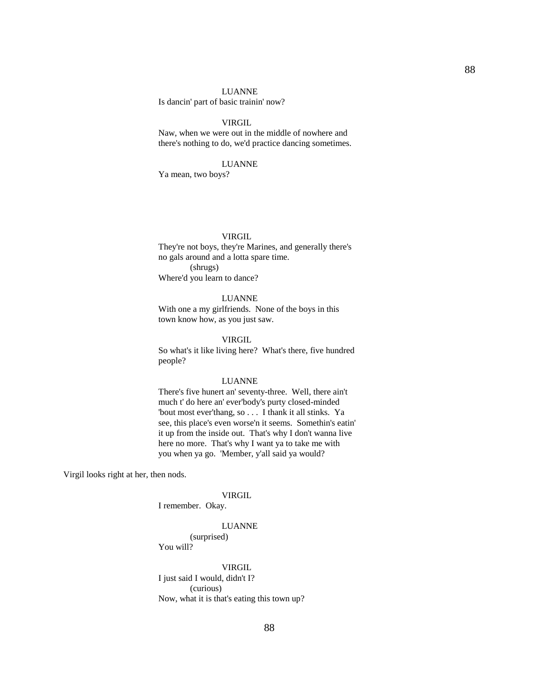#### LUANNE

Is dancin' part of basic trainin' now?

## VIRGIL

 Naw, when we were out in the middle of nowhere and there's nothing to do, we'd practice dancing sometimes.

### LUANNE

Ya mean, two boys?

### VIRGIL

 They're not boys, they're Marines, and generally there's no gals around and a lotta spare time. (shrugs) Where'd you learn to dance?

## LUANNE

 With one a my girlfriends. None of the boys in this town know how, as you just saw.

## VIRGIL

 So what's it like living here? What's there, five hundred people?

#### LUANNE

 There's five hunert an' seventy-three. Well, there ain't much t' do here an' ever'body's purty closed-minded 'bout most ever'thang, so . . . I thank it all stinks. Ya see, this place's even worse'n it seems. Somethin's eatin' it up from the inside out. That's why I don't wanna live here no more. That's why I want ya to take me with you when ya go. 'Member, y'all said ya would?

Virgil looks right at her, then nods.

## VIRGIL

I remember. Okay.

#### LUANNE

 (surprised) You will?

## VIRGIL

 I just said I would, didn't I? (curious) Now, what it is that's eating this town up?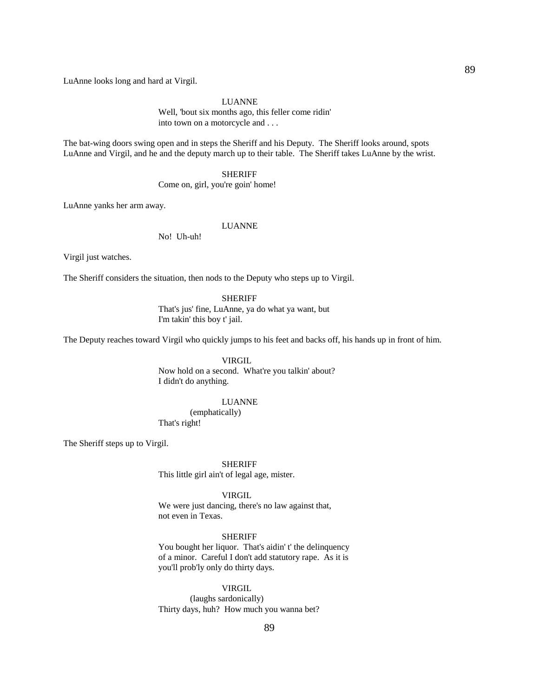LuAnne looks long and hard at Virgil.

## LUANNE

 Well, 'bout six months ago, this feller come ridin' into town on a motorcycle and . . .

The bat-wing doors swing open and in steps the Sheriff and his Deputy. The Sheriff looks around, spots LuAnne and Virgil, and he and the deputy march up to their table. The Sheriff takes LuAnne by the wrist.

SHERIFF

Come on, girl, you're goin' home!

LuAnne yanks her arm away.

### LUANNE

No! Uh-uh!

Virgil just watches.

The Sheriff considers the situation, then nods to the Deputy who steps up to Virgil.

 SHERIFF That's jus' fine, LuAnne, ya do what ya want, but I'm takin' this boy t' jail.

The Deputy reaches toward Virgil who quickly jumps to his feet and backs off, his hands up in front of him.

 VIRGIL Now hold on a second. What're you talkin' about? I didn't do anything.

### LUANNE

 (emphatically) That's right!

The Sheriff steps up to Virgil.

SHERIFF

This little girl ain't of legal age, mister.

VIRGIL

 We were just dancing, there's no law against that, not even in Texas.

## SHERIFF

 You bought her liquor. That's aidin' t' the delinquency of a minor. Careful I don't add statutory rape. As it is you'll prob'ly only do thirty days.

### VIRGIL

 (laughs sardonically) Thirty days, huh? How much you wanna bet?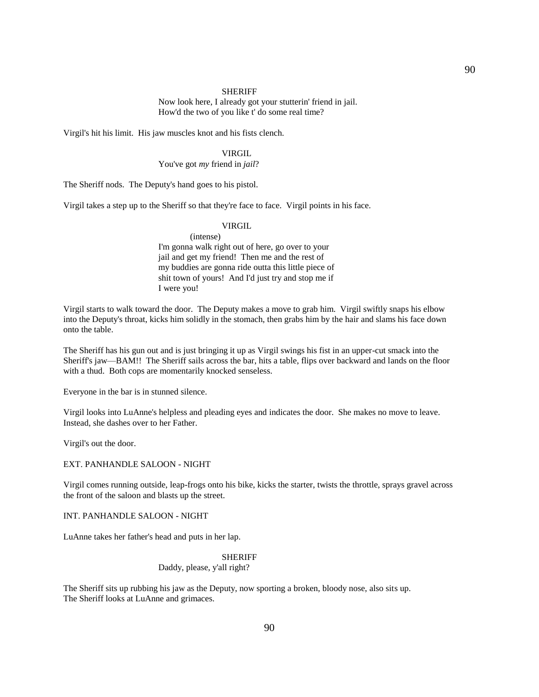#### SHERIFF

 Now look here, I already got your stutterin' friend in jail. How'd the two of you like t' do some real time?

Virgil's hit his limit. His jaw muscles knot and his fists clench.

#### VIRGIL

## You've got *my* friend in *jail*?

The Sheriff nods. The Deputy's hand goes to his pistol.

Virgil takes a step up to the Sheriff so that they're face to face. Virgil points in his face.

## VIRGIL

 (intense) I'm gonna walk right out of here, go over to your jail and get my friend! Then me and the rest of my buddies are gonna ride outta this little piece of shit town of yours! And I'd just try and stop me if I were you!

Virgil starts to walk toward the door. The Deputy makes a move to grab him. Virgil swiftly snaps his elbow into the Deputy's throat, kicks him solidly in the stomach, then grabs him by the hair and slams his face down onto the table.

The Sheriff has his gun out and is just bringing it up as Virgil swings his fist in an upper-cut smack into the Sheriff's jaw—BAM!! The Sheriff sails across the bar, hits a table, flips over backward and lands on the floor with a thud. Both cops are momentarily knocked senseless.

Everyone in the bar is in stunned silence.

Virgil looks into LuAnne's helpless and pleading eyes and indicates the door. She makes no move to leave. Instead, she dashes over to her Father.

Virgil's out the door.

### EXT. PANHANDLE SALOON - NIGHT

Virgil comes running outside, leap-frogs onto his bike, kicks the starter, twists the throttle, sprays gravel across the front of the saloon and blasts up the street.

INT. PANHANDLE SALOON - NIGHT

LuAnne takes her father's head and puts in her lap.

#### SHERIFF

Daddy, please, y'all right?

The Sheriff sits up rubbing his jaw as the Deputy, now sporting a broken, bloody nose, also sits up. The Sheriff looks at LuAnne and grimaces.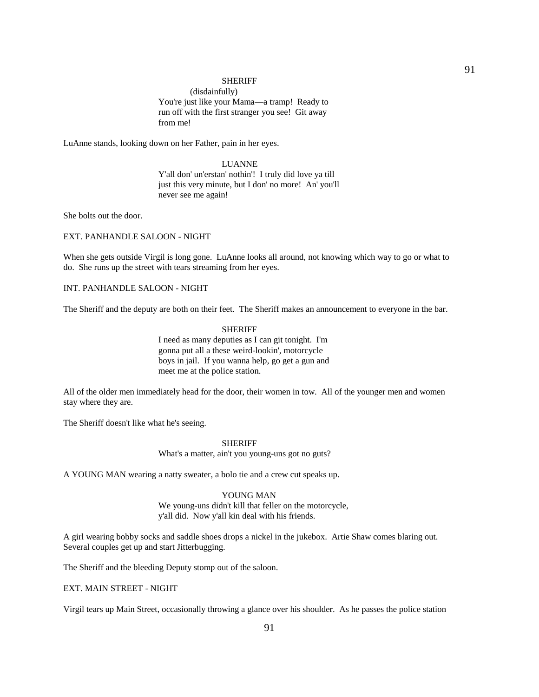#### SHERIFF

 (disdainfully) You're just like your Mama—a tramp! Ready to run off with the first stranger you see! Git away from me!

LuAnne stands, looking down on her Father, pain in her eyes.

## LUANNE

 Y'all don' un'erstan' nothin'! I truly did love ya till just this very minute, but I don' no more! An' you'll never see me again!

She bolts out the door.

## EXT. PANHANDLE SALOON - NIGHT

When she gets outside Virgil is long gone. LuAnne looks all around, not knowing which way to go or what to do. She runs up the street with tears streaming from her eyes.

### INT. PANHANDLE SALOON - NIGHT

The Sheriff and the deputy are both on their feet. The Sheriff makes an announcement to everyone in the bar.

 SHERIFF I need as many deputies as I can git tonight. I'm gonna put all a these weird-lookin', motorcycle boys in jail. If you wanna help, go get a gun and meet me at the police station.

All of the older men immediately head for the door, their women in tow. All of the younger men and women stay where they are.

The Sheriff doesn't like what he's seeing.

#### **SHERIFF**

What's a matter, ain't you young-uns got no guts?

A YOUNG MAN wearing a natty sweater, a bolo tie and a crew cut speaks up.

# YOUNG MAN

 We young-uns didn't kill that feller on the motorcycle, y'all did. Now y'all kin deal with his friends.

A girl wearing bobby socks and saddle shoes drops a nickel in the jukebox. Artie Shaw comes blaring out. Several couples get up and start Jitterbugging.

The Sheriff and the bleeding Deputy stomp out of the saloon.

EXT. MAIN STREET - NIGHT

Virgil tears up Main Street, occasionally throwing a glance over his shoulder. As he passes the police station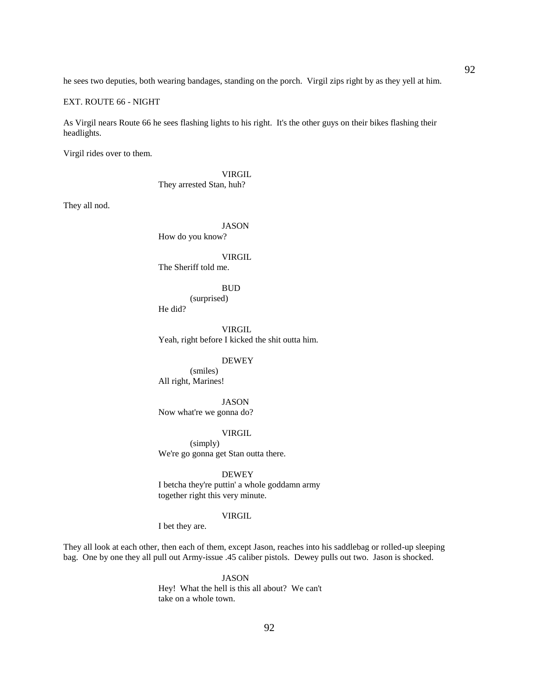he sees two deputies, both wearing bandages, standing on the porch. Virgil zips right by as they yell at him.

EXT. ROUTE 66 - NIGHT

As Virgil nears Route 66 he sees flashing lights to his right. It's the other guys on their bikes flashing their headlights.

Virgil rides over to them.

 VIRGIL They arrested Stan, huh?

They all nod.

## JASON

How do you know?

### VIRGIL

The Sheriff told me.

#### **BUD**

 (surprised) He did?

 VIRGIL Yeah, right before I kicked the shit outta him.

 DEWEY (smiles) All right, Marines!

 JASON Now what're we gonna do?

### VIRGIL

 (simply) We're go gonna get Stan outta there.

DEWEY

 I betcha they're puttin' a whole goddamn army together right this very minute.

#### VIRGIL

I bet they are.

They all look at each other, then each of them, except Jason, reaches into his saddlebag or rolled-up sleeping bag. One by one they all pull out Army-issue .45 caliber pistols. Dewey pulls out two. Jason is shocked.

### JASON

 Hey! What the hell is this all about? We can't take on a whole town.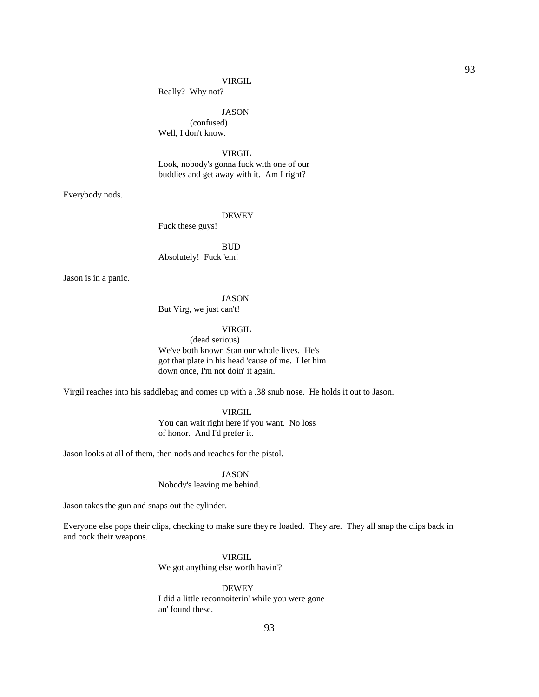#### VIRGIL

Really? Why not?

JASON

 (confused) Well, I don't know.

VIRGIL

 Look, nobody's gonna fuck with one of our buddies and get away with it. Am I right?

Everybody nods.

#### DEWEY

Fuck these guys!

 BUD Absolutely! Fuck 'em!

Jason is in a panic.

#### JASON

But Virg, we just can't!

## VIRGIL

 (dead serious) We've both known Stan our whole lives. He's got that plate in his head 'cause of me. I let him down once, I'm not doin' it again.

Virgil reaches into his saddlebag and comes up with a .38 snub nose. He holds it out to Jason.

 VIRGIL You can wait right here if you want. No loss of honor. And I'd prefer it.

Jason looks at all of them, then nods and reaches for the pistol.

## JASON

Nobody's leaving me behind.

Jason takes the gun and snaps out the cylinder.

Everyone else pops their clips, checking to make sure they're loaded. They are. They all snap the clips back in and cock their weapons.

## VIRGIL

We got anything else worth havin'?

## DEWEY

 I did a little reconnoiterin' while you were gone an' found these.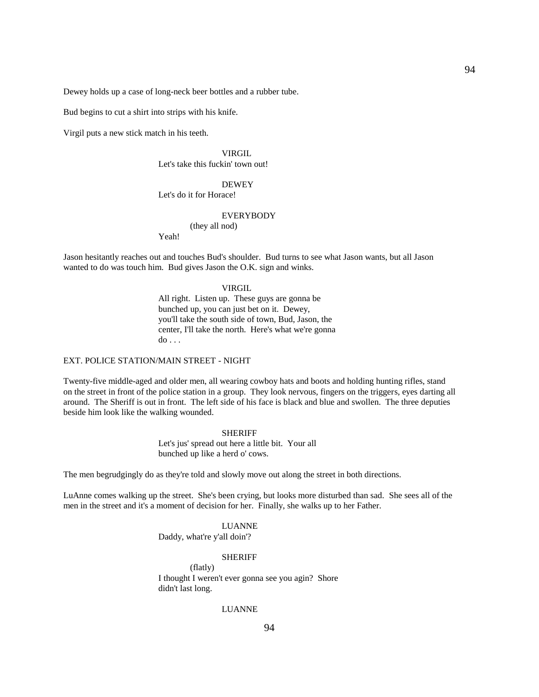Dewey holds up a case of long-neck beer bottles and a rubber tube.

Bud begins to cut a shirt into strips with his knife.

Virgil puts a new stick match in his teeth.

### VIRGIL Let's take this fuckin' town out!

### **DEWEY**

### Let's do it for Horace!

#### EVERYBODY

## (they all nod)

Yeah!

Jason hesitantly reaches out and touches Bud's shoulder. Bud turns to see what Jason wants, but all Jason wanted to do was touch him. Bud gives Jason the O.K. sign and winks.

#### VIRGIL

 All right. Listen up. These guys are gonna be bunched up, you can just bet on it. Dewey, you'll take the south side of town, Bud, Jason, the center, I'll take the north. Here's what we're gonna  $do \ldots$ 

## EXT. POLICE STATION/MAIN STREET - NIGHT

Twenty-five middle-aged and older men, all wearing cowboy hats and boots and holding hunting rifles, stand on the street in front of the police station in a group. They look nervous, fingers on the triggers, eyes darting all around. The Sheriff is out in front. The left side of his face is black and blue and swollen. The three deputies beside him look like the walking wounded.

#### SHERIFF

 Let's jus' spread out here a little bit. Your all bunched up like a herd o' cows.

The men begrudgingly do as they're told and slowly move out along the street in both directions.

LuAnne comes walking up the street. She's been crying, but looks more disturbed than sad. She sees all of the men in the street and it's a moment of decision for her. Finally, she walks up to her Father.

#### LUANNE

Daddy, what're y'all doin'?

#### SHERIFF

 (flatly) I thought I weren't ever gonna see you agin? Shore didn't last long.

## LUANNE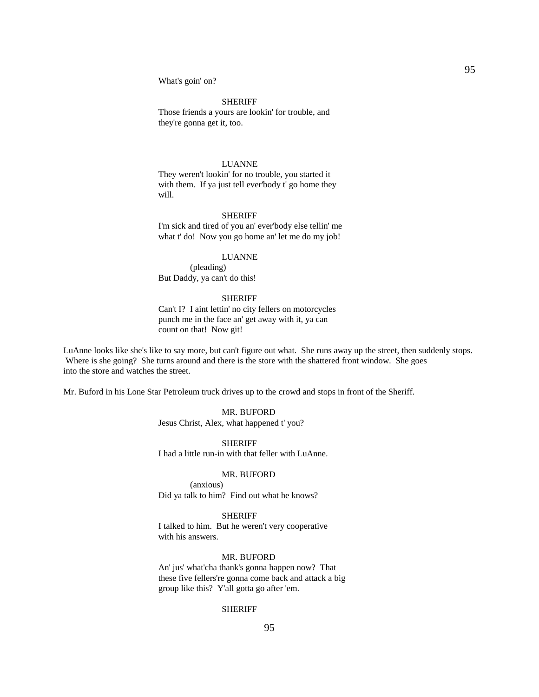What's goin' on?

#### SHERIFF

 Those friends a yours are lookin' for trouble, and they're gonna get it, too.

## LUANNE

 They weren't lookin' for no trouble, you started it with them. If ya just tell ever'body t' go home they will.

#### SHERIFF

 I'm sick and tired of you an' ever'body else tellin' me what t' do! Now you go home an' let me do my job!

## LUANNE

 (pleading) But Daddy, ya can't do this!

## SHERIFF

 Can't I? I aint lettin' no city fellers on motorcycles punch me in the face an' get away with it, ya can count on that! Now git!

LuAnne looks like she's like to say more, but can't figure out what. She runs away up the street, then suddenly stops. Where is she going? She turns around and there is the store with the shattered front window. She goes into the store and watches the street.

Mr. Buford in his Lone Star Petroleum truck drives up to the crowd and stops in front of the Sheriff.

 MR. BUFORD Jesus Christ, Alex, what happened t' you?

#### SHERIFF

I had a little run-in with that feller with LuAnne.

#### MR. BUFORD

 (anxious) Did ya talk to him? Find out what he knows?

#### SHERIFF

 I talked to him. But he weren't very cooperative with his answers.

### MR. BUFORD

 An' jus' what'cha thank's gonna happen now? That these five fellers're gonna come back and attack a big group like this? Y'all gotta go after 'em.

## SHERIFF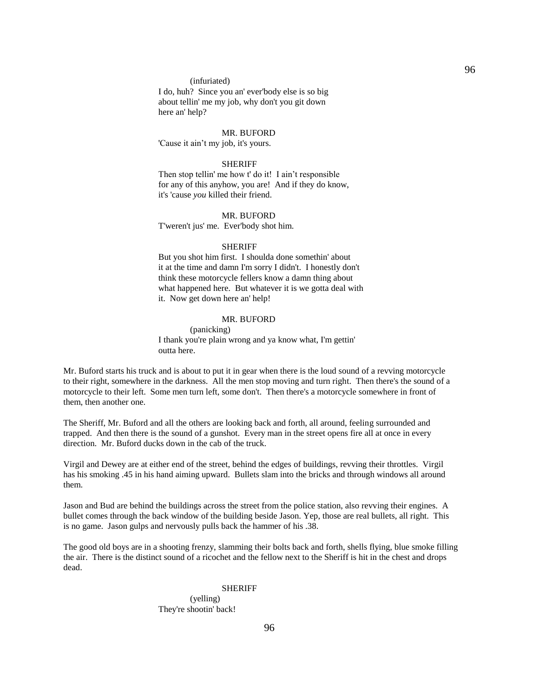#### (infuriated)

 I do, huh? Since you an' ever'body else is so big about tellin' me my job, why don't you git down here an' help?

#### MR. BUFORD

'Cause it ain't my job, it's yours.

#### SHERIFF

 Then stop tellin' me how t' do it! I ain't responsible for any of this anyhow, you are! And if they do know, it's 'cause *you* killed their friend.

#### MR. BUFORD

T'weren't jus' me. Ever'body shot him.

### **SHERIFF**

 But you shot him first. I shoulda done somethin' about it at the time and damn I'm sorry I didn't. I honestly don't think these motorcycle fellers know a damn thing about what happened here. But whatever it is we gotta deal with it. Now get down here an' help!

## MR. BUFORD

 (panicking) I thank you're plain wrong and ya know what, I'm gettin' outta here.

Mr. Buford starts his truck and is about to put it in gear when there is the loud sound of a revving motorcycle to their right, somewhere in the darkness. All the men stop moving and turn right. Then there's the sound of a motorcycle to their left. Some men turn left, some don't. Then there's a motorcycle somewhere in front of them, then another one.

The Sheriff, Mr. Buford and all the others are looking back and forth, all around, feeling surrounded and trapped. And then there is the sound of a gunshot. Every man in the street opens fire all at once in every direction. Mr. Buford ducks down in the cab of the truck.

Virgil and Dewey are at either end of the street, behind the edges of buildings, revving their throttles. Virgil has his smoking .45 in his hand aiming upward. Bullets slam into the bricks and through windows all around them.

Jason and Bud are behind the buildings across the street from the police station, also revving their engines. A bullet comes through the back window of the building beside Jason. Yep, those are real bullets, all right. This is no game. Jason gulps and nervously pulls back the hammer of his .38.

The good old boys are in a shooting frenzy, slamming their bolts back and forth, shells flying, blue smoke filling the air. There is the distinct sound of a ricochet and the fellow next to the Sheriff is hit in the chest and drops dead.

#### **SHERIFF**

 (yelling) They're shootin' back!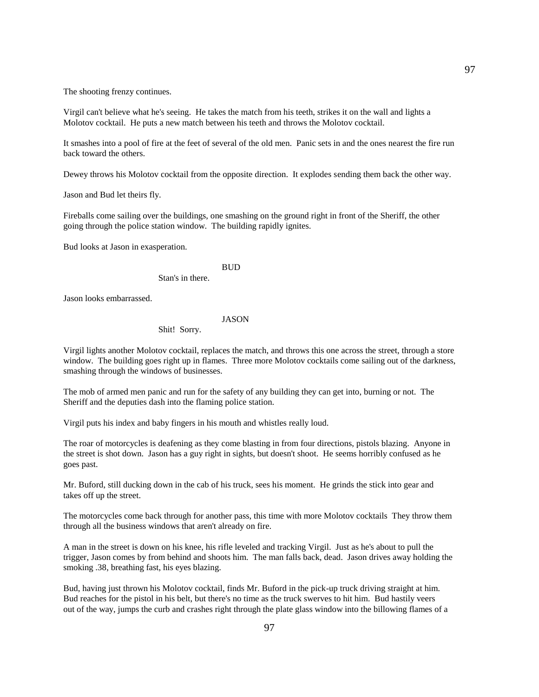The shooting frenzy continues.

Virgil can't believe what he's seeing. He takes the match from his teeth, strikes it on the wall and lights a Molotov cocktail. He puts a new match between his teeth and throws the Molotov cocktail.

It smashes into a pool of fire at the feet of several of the old men. Panic sets in and the ones nearest the fire run back toward the others.

Dewey throws his Molotov cocktail from the opposite direction. It explodes sending them back the other way.

Jason and Bud let theirs fly.

Fireballs come sailing over the buildings, one smashing on the ground right in front of the Sheriff, the other going through the police station window. The building rapidly ignites.

Bud looks at Jason in exasperation.

### **BUD**

Stan's in there.

Jason looks embarrassed.

JASON

Shit! Sorry.

Virgil lights another Molotov cocktail, replaces the match, and throws this one across the street, through a store window. The building goes right up in flames. Three more Molotov cocktails come sailing out of the darkness, smashing through the windows of businesses.

The mob of armed men panic and run for the safety of any building they can get into, burning or not. The Sheriff and the deputies dash into the flaming police station.

Virgil puts his index and baby fingers in his mouth and whistles really loud.

The roar of motorcycles is deafening as they come blasting in from four directions, pistols blazing. Anyone in the street is shot down. Jason has a guy right in sights, but doesn't shoot. He seems horribly confused as he goes past.

Mr. Buford, still ducking down in the cab of his truck, sees his moment. He grinds the stick into gear and takes off up the street.

The motorcycles come back through for another pass, this time with more Molotov cocktails They throw them through all the business windows that aren't already on fire.

A man in the street is down on his knee, his rifle leveled and tracking Virgil. Just as he's about to pull the trigger, Jason comes by from behind and shoots him. The man falls back, dead. Jason drives away holding the smoking .38, breathing fast, his eyes blazing.

Bud, having just thrown his Molotov cocktail, finds Mr. Buford in the pick-up truck driving straight at him. Bud reaches for the pistol in his belt, but there's no time as the truck swerves to hit him. Bud hastily veers out of the way, jumps the curb and crashes right through the plate glass window into the billowing flames of a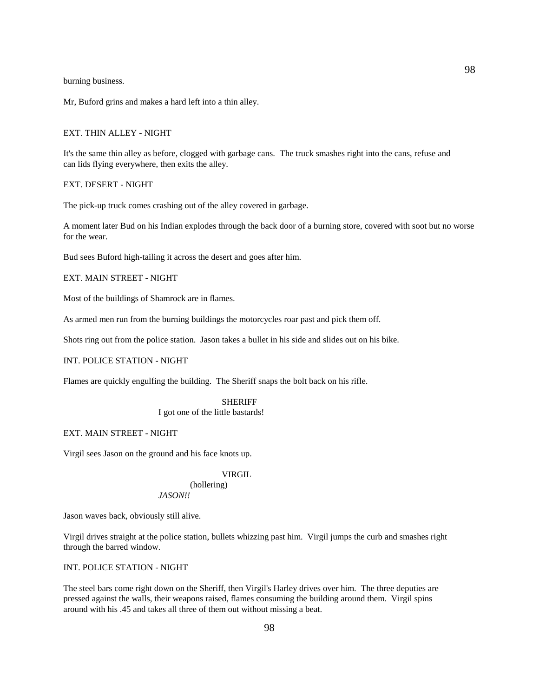burning business.

Mr, Buford grins and makes a hard left into a thin alley.

## EXT. THIN ALLEY - NIGHT

It's the same thin alley as before, clogged with garbage cans. The truck smashes right into the cans, refuse and can lids flying everywhere, then exits the alley.

EXT. DESERT - NIGHT

The pick-up truck comes crashing out of the alley covered in garbage.

A moment later Bud on his Indian explodes through the back door of a burning store, covered with soot but no worse for the wear.

Bud sees Buford high-tailing it across the desert and goes after him.

EXT. MAIN STREET - NIGHT

Most of the buildings of Shamrock are in flames.

As armed men run from the burning buildings the motorcycles roar past and pick them off.

Shots ring out from the police station. Jason takes a bullet in his side and slides out on his bike.

## INT. POLICE STATION - NIGHT

Flames are quickly engulfing the building. The Sheriff snaps the bolt back on his rifle.

## SHERIFF

I got one of the little bastards!

## EXT. MAIN STREET - NIGHT

Virgil sees Jason on the ground and his face knots up.

## VIRGIL

### (hollering) *JASON!!*

Jason waves back, obviously still alive.

Virgil drives straight at the police station, bullets whizzing past him. Virgil jumps the curb and smashes right through the barred window.

### INT. POLICE STATION - NIGHT

The steel bars come right down on the Sheriff, then Virgil's Harley drives over him. The three deputies are pressed against the walls, their weapons raised, flames consuming the building around them. Virgil spins around with his .45 and takes all three of them out without missing a beat.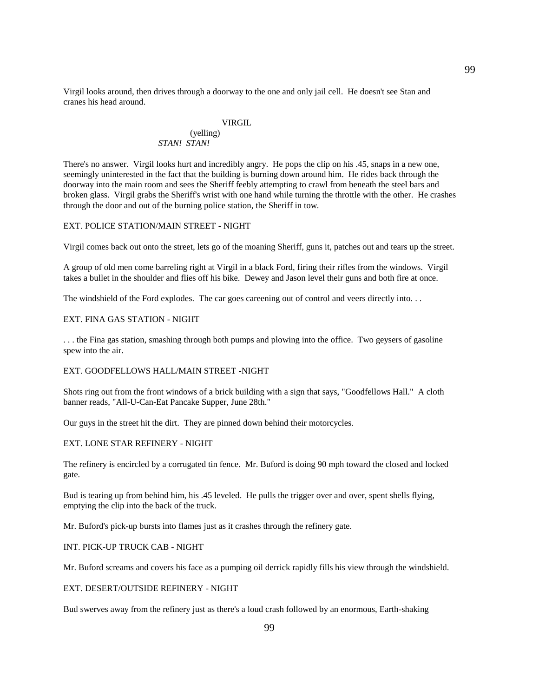Virgil looks around, then drives through a doorway to the one and only jail cell. He doesn't see Stan and cranes his head around.

## VIRGIL

## (yelling) *STAN! STAN!*

There's no answer. Virgil looks hurt and incredibly angry. He pops the clip on his .45, snaps in a new one, seemingly uninterested in the fact that the building is burning down around him. He rides back through the doorway into the main room and sees the Sheriff feebly attempting to crawl from beneath the steel bars and broken glass. Virgil grabs the Sheriff's wrist with one hand while turning the throttle with the other. He crashes through the door and out of the burning police station, the Sheriff in tow.

## EXT. POLICE STATION/MAIN STREET - NIGHT

Virgil comes back out onto the street, lets go of the moaning Sheriff, guns it, patches out and tears up the street.

A group of old men come barreling right at Virgil in a black Ford, firing their rifles from the windows. Virgil takes a bullet in the shoulder and flies off his bike. Dewey and Jason level their guns and both fire at once.

The windshield of the Ford explodes. The car goes careening out of control and veers directly into. . .

## EXT. FINA GAS STATION - NIGHT

. . . the Fina gas station, smashing through both pumps and plowing into the office. Two geysers of gasoline spew into the air.

## EXT. GOODFELLOWS HALL/MAIN STREET -NIGHT

Shots ring out from the front windows of a brick building with a sign that says, "Goodfellows Hall." A cloth banner reads, "All-U-Can-Eat Pancake Supper, June 28th."

Our guys in the street hit the dirt. They are pinned down behind their motorcycles.

### EXT. LONE STAR REFINERY - NIGHT

The refinery is encircled by a corrugated tin fence. Mr. Buford is doing 90 mph toward the closed and locked gate.

Bud is tearing up from behind him, his .45 leveled. He pulls the trigger over and over, spent shells flying, emptying the clip into the back of the truck.

Mr. Buford's pick-up bursts into flames just as it crashes through the refinery gate.

## INT. PICK-UP TRUCK CAB - NIGHT

Mr. Buford screams and covers his face as a pumping oil derrick rapidly fills his view through the windshield.

## EXT. DESERT/OUTSIDE REFINERY - NIGHT

Bud swerves away from the refinery just as there's a loud crash followed by an enormous, Earth-shaking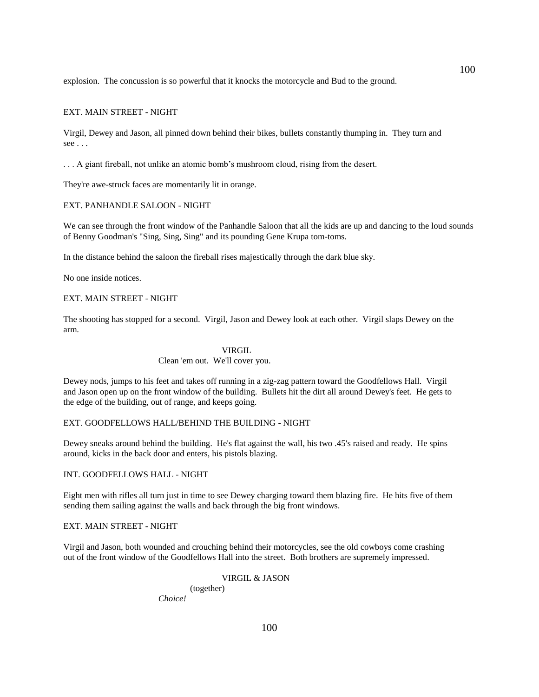explosion. The concussion is so powerful that it knocks the motorcycle and Bud to the ground.

## EXT. MAIN STREET - NIGHT

Virgil, Dewey and Jason, all pinned down behind their bikes, bullets constantly thumping in. They turn and see . . .

. . . A giant fireball, not unlike an atomic bomb's mushroom cloud, rising from the desert.

They're awe-struck faces are momentarily lit in orange.

## EXT. PANHANDLE SALOON - NIGHT

We can see through the front window of the Panhandle Saloon that all the kids are up and dancing to the loud sounds of Benny Goodman's "Sing, Sing, Sing" and its pounding Gene Krupa tom-toms.

In the distance behind the saloon the fireball rises majestically through the dark blue sky.

No one inside notices.

#### EXT. MAIN STREET - NIGHT

The shooting has stopped for a second. Virgil, Jason and Dewey look at each other. Virgil slaps Dewey on the arm.

#### VIRGIL

## Clean 'em out. We'll cover you.

Dewey nods, jumps to his feet and takes off running in a zig-zag pattern toward the Goodfellows Hall. Virgil and Jason open up on the front window of the building. Bullets hit the dirt all around Dewey's feet. He gets to the edge of the building, out of range, and keeps going.

### EXT. GOODFELLOWS HALL/BEHIND THE BUILDING - NIGHT

Dewey sneaks around behind the building. He's flat against the wall, his two .45's raised and ready. He spins around, kicks in the back door and enters, his pistols blazing.

## INT. GOODFELLOWS HALL - NIGHT

Eight men with rifles all turn just in time to see Dewey charging toward them blazing fire. He hits five of them sending them sailing against the walls and back through the big front windows.

#### EXT. MAIN STREET - NIGHT

Virgil and Jason, both wounded and crouching behind their motorcycles, see the old cowboys come crashing out of the front window of the Goodfellows Hall into the street. Both brothers are supremely impressed.

### VIRGIL & JASON

 (together) *Choice!*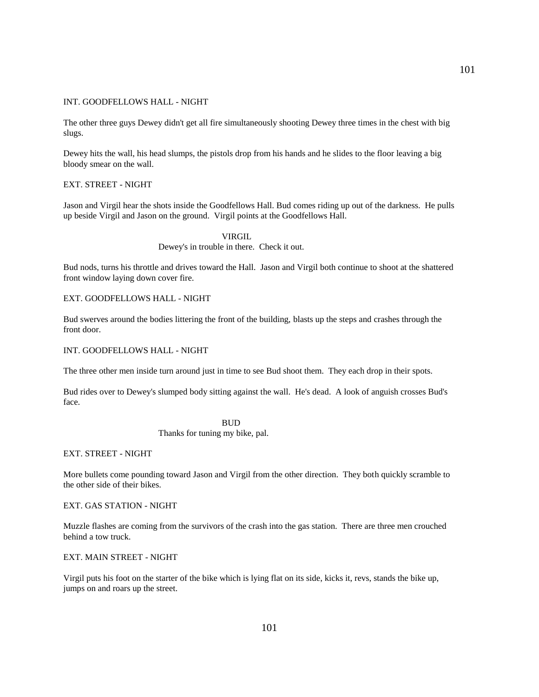### INT. GOODFELLOWS HALL - NIGHT

The other three guys Dewey didn't get all fire simultaneously shooting Dewey three times in the chest with big slugs.

Dewey hits the wall, his head slumps, the pistols drop from his hands and he slides to the floor leaving a big bloody smear on the wall.

## EXT. STREET - NIGHT

Jason and Virgil hear the shots inside the Goodfellows Hall. Bud comes riding up out of the darkness. He pulls up beside Virgil and Jason on the ground. Virgil points at the Goodfellows Hall.

> VIRGIL Dewey's in trouble in there. Check it out.

Bud nods, turns his throttle and drives toward the Hall. Jason and Virgil both continue to shoot at the shattered front window laying down cover fire.

#### EXT. GOODFELLOWS HALL - NIGHT

Bud swerves around the bodies littering the front of the building, blasts up the steps and crashes through the front door.

## INT. GOODFELLOWS HALL - NIGHT

The three other men inside turn around just in time to see Bud shoot them. They each drop in their spots.

Bud rides over to Dewey's slumped body sitting against the wall. He's dead. A look of anguish crosses Bud's face.

 BUD Thanks for tuning my bike, pal.

EXT. STREET - NIGHT

More bullets come pounding toward Jason and Virgil from the other direction. They both quickly scramble to the other side of their bikes.

## EXT. GAS STATION - NIGHT

Muzzle flashes are coming from the survivors of the crash into the gas station. There are three men crouched behind a tow truck.

### EXT. MAIN STREET - NIGHT

Virgil puts his foot on the starter of the bike which is lying flat on its side, kicks it, revs, stands the bike up, jumps on and roars up the street.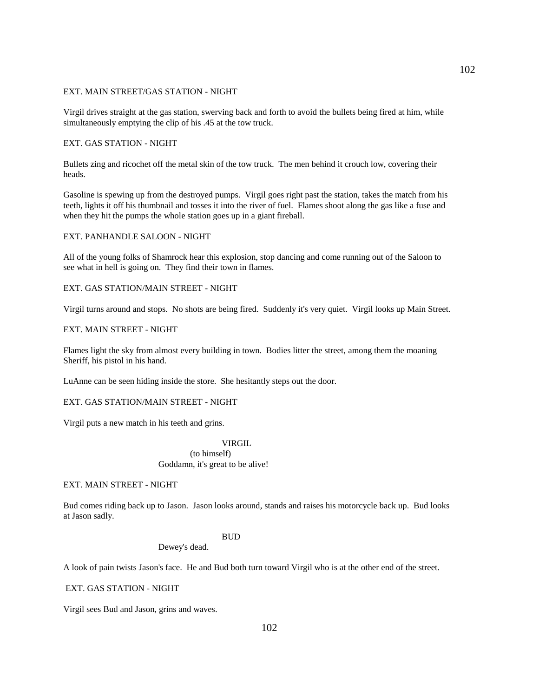## EXT. MAIN STREET/GAS STATION - NIGHT

Virgil drives straight at the gas station, swerving back and forth to avoid the bullets being fired at him, while simultaneously emptying the clip of his .45 at the tow truck.

## EXT. GAS STATION - NIGHT

Bullets zing and ricochet off the metal skin of the tow truck. The men behind it crouch low, covering their heads.

Gasoline is spewing up from the destroyed pumps. Virgil goes right past the station, takes the match from his teeth, lights it off his thumbnail and tosses it into the river of fuel. Flames shoot along the gas like a fuse and when they hit the pumps the whole station goes up in a giant fireball.

## EXT. PANHANDLE SALOON - NIGHT

All of the young folks of Shamrock hear this explosion, stop dancing and come running out of the Saloon to see what in hell is going on. They find their town in flames.

### EXT. GAS STATION/MAIN STREET - NIGHT

Virgil turns around and stops. No shots are being fired. Suddenly it's very quiet. Virgil looks up Main Street.

## EXT. MAIN STREET - NIGHT

Flames light the sky from almost every building in town. Bodies litter the street, among them the moaning Sheriff, his pistol in his hand.

LuAnne can be seen hiding inside the store. She hesitantly steps out the door.

## EXT. GAS STATION/MAIN STREET - NIGHT

Virgil puts a new match in his teeth and grins.

### **VIRGIL**

 (to himself) Goddamn, it's great to be alive!

## EXT. MAIN STREET - NIGHT

Bud comes riding back up to Jason. Jason looks around, stands and raises his motorcycle back up. Bud looks at Jason sadly.

#### **BUD**

Dewey's dead.

A look of pain twists Jason's face. He and Bud both turn toward Virgil who is at the other end of the street.

EXT. GAS STATION - NIGHT

Virgil sees Bud and Jason, grins and waves.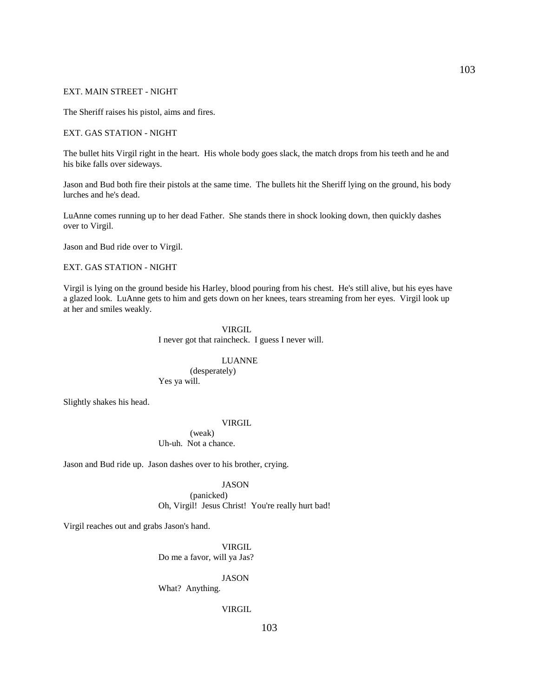## EXT. MAIN STREET - NIGHT

The Sheriff raises his pistol, aims and fires.

## EXT. GAS STATION - NIGHT

The bullet hits Virgil right in the heart. His whole body goes slack, the match drops from his teeth and he and his bike falls over sideways.

Jason and Bud both fire their pistols at the same time. The bullets hit the Sheriff lying on the ground, his body lurches and he's dead.

LuAnne comes running up to her dead Father. She stands there in shock looking down, then quickly dashes over to Virgil.

Jason and Bud ride over to Virgil.

## EXT. GAS STATION - NIGHT

Virgil is lying on the ground beside his Harley, blood pouring from his chest. He's still alive, but his eyes have a glazed look. LuAnne gets to him and gets down on her knees, tears streaming from her eyes. Virgil look up at her and smiles weakly.

## VIRGIL I never got that raincheck. I guess I never will.

# LUANNE

 (desperately) Yes ya will.

Slightly shakes his head.

#### VIRGIL

 (weak) Uh-uh. Not a chance.

Jason and Bud ride up. Jason dashes over to his brother, crying.

## JASON

 (panicked) Oh, Virgil! Jesus Christ! You're really hurt bad!

Virgil reaches out and grabs Jason's hand.

 VIRGIL Do me a favor, will ya Jas?

JASON

What? Anything.

### VIRGIL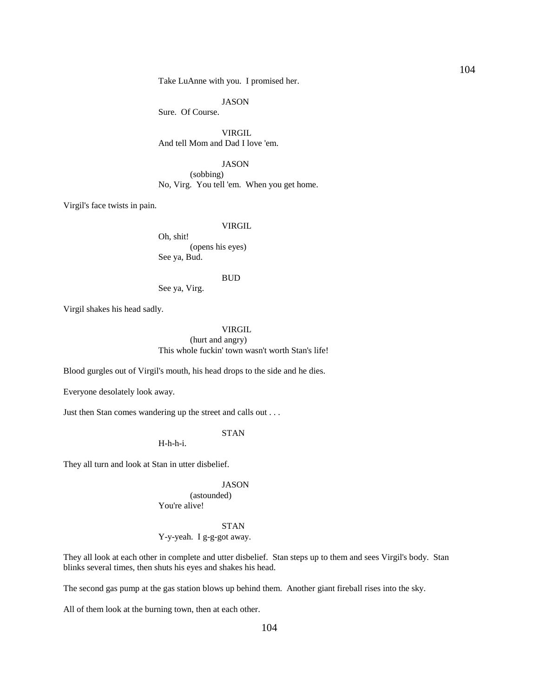Take LuAnne with you. I promised her.

JASON

Sure. Of Course.

 VIRGIL And tell Mom and Dad I love 'em.

### JASON

 (sobbing) No, Virg. You tell 'em. When you get home.

Virgil's face twists in pain.

#### VIRGIL

 Oh, shit! (opens his eyes) See ya, Bud.

#### BUD

See ya, Virg.

Virgil shakes his head sadly.

 VIRGIL (hurt and angry) This whole fuckin' town wasn't worth Stan's life!

Blood gurgles out of Virgil's mouth, his head drops to the side and he dies.

Everyone desolately look away.

Just then Stan comes wandering up the street and calls out . . .

STAN

H-h-h-i.

They all turn and look at Stan in utter disbelief.

### JASON

 (astounded) You're alive!

 STAN Y-y-yeah. I g-g-got away.

They all look at each other in complete and utter disbelief. Stan steps up to them and sees Virgil's body. Stan blinks several times, then shuts his eyes and shakes his head.

The second gas pump at the gas station blows up behind them. Another giant fireball rises into the sky.

All of them look at the burning town, then at each other.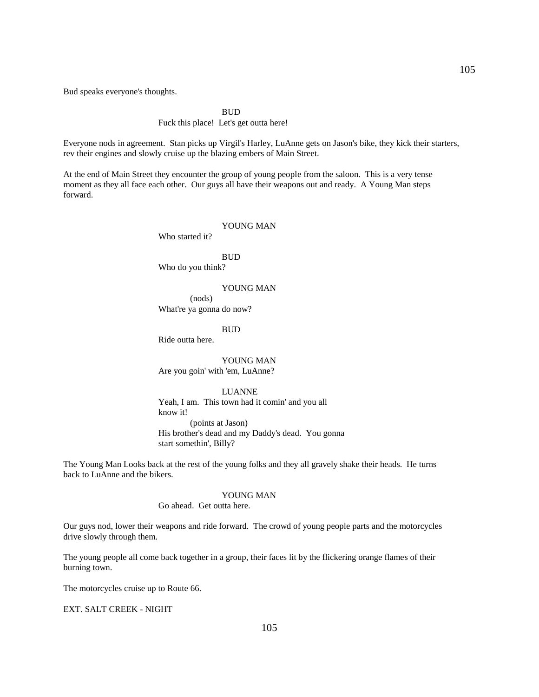Bud speaks everyone's thoughts.

**BUD** 

## Fuck this place! Let's get outta here!

Everyone nods in agreement. Stan picks up Virgil's Harley, LuAnne gets on Jason's bike, they kick their starters, rev their engines and slowly cruise up the blazing embers of Main Street.

At the end of Main Street they encounter the group of young people from the saloon. This is a very tense moment as they all face each other. Our guys all have their weapons out and ready. A Young Man steps forward.

## YOUNG MAN

Who started it?

## **BUD**

Who do you think?

#### YOUNG MAN

 (nods) What're ya gonna do now?

BUD

Ride outta here.

 YOUNG MAN Are you goin' with 'em, LuAnne?

## LUANNE

 Yeah, I am. This town had it comin' and you all know it! (points at Jason) His brother's dead and my Daddy's dead. You gonna start somethin', Billy?

The Young Man Looks back at the rest of the young folks and they all gravely shake their heads. He turns back to LuAnne and the bikers.

## YOUNG MAN

Go ahead. Get outta here.

Our guys nod, lower their weapons and ride forward. The crowd of young people parts and the motorcycles drive slowly through them.

The young people all come back together in a group, their faces lit by the flickering orange flames of their burning town.

The motorcycles cruise up to Route 66.

EXT. SALT CREEK - NIGHT